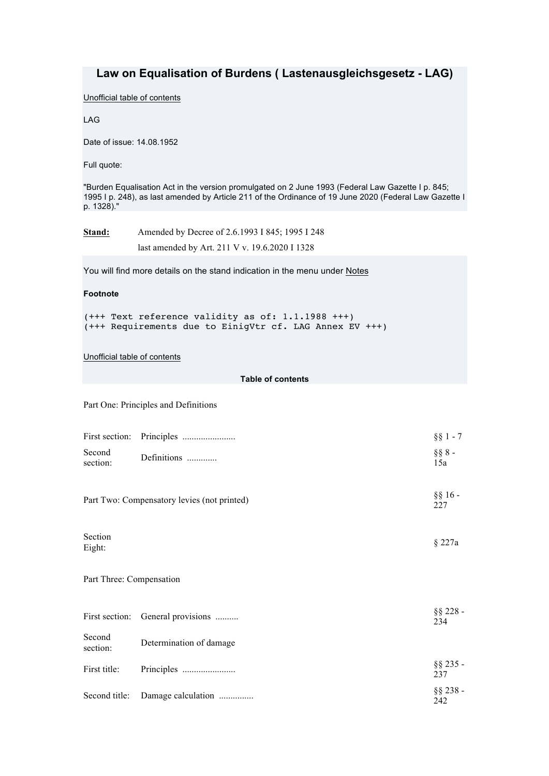# **Law on Equalisation of Burdens ( Lastenausgleichsgesetz - LAG)**

Unofficial table of contents

LAG

Date of issue: 14.08.1952

Full quote:

"Burden Equalisation Act in the version promulgated on 2 June 1993 (Federal Law Gazette I p. 845; 1995 I p. 248), as last amended by Article 211 of the Ordinance of 19 June 2020 (Federal Law Gazette I p. 1328)."

**Stand:** Amended by Decree of 2.6.1993 I 845; 1995 I 248 last amended by Art. 211 V v. 19.6.2020 I 1328

You will find more details on the stand indication in the menu under Notes

## **Footnote**

```
(+++ Text reference validity as of: 1.1.1988 +++)
(+++ Requirements due to EinigVtr cf. LAG Annex EV +++)
```
## Unofficial table of contents

## **Table of contents**

Part One: Principles and Definitions

|                          |                                             | $§$ § 1 - 7        |
|--------------------------|---------------------------------------------|--------------------|
| Second<br>section:       | Definitions                                 | $§$ § 8 -<br>15a   |
|                          | Part Two: Compensatory levies (not printed) | $§$ § 16 -<br>227  |
| Section<br>Eight:        |                                             | $§$ 227a           |
| Part Three: Compensation |                                             |                    |
|                          | First section: General provisions           | $§$ § 228 -<br>234 |
| Second<br>section:       | Determination of damage                     |                    |
| First title:             |                                             | $§$ § 235 -<br>237 |
| Second title:            | Damage calculation                          | $§$ § 238 -<br>242 |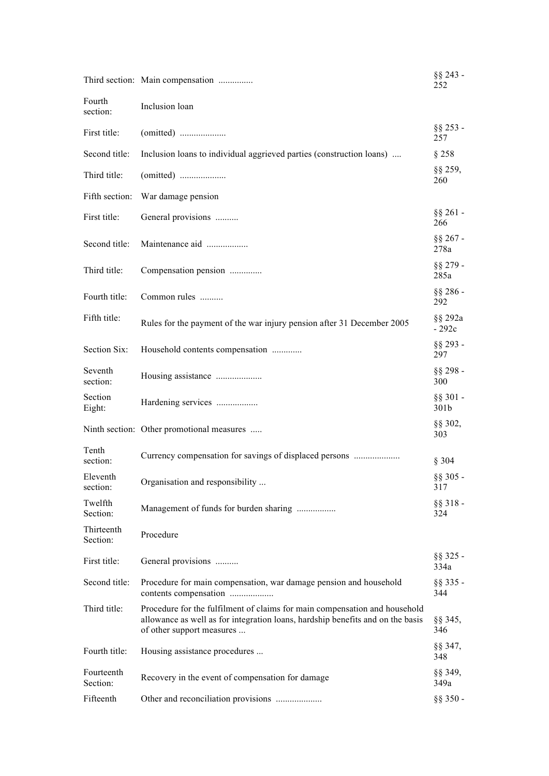|                        | Third section: Main compensation                                                                                                                                                          | $§$ § 243 -<br>252  |
|------------------------|-------------------------------------------------------------------------------------------------------------------------------------------------------------------------------------------|---------------------|
| Fourth<br>section:     | Inclusion loan                                                                                                                                                                            |                     |
| First title:           |                                                                                                                                                                                           | $§$ § 253 -<br>257  |
| Second title:          | Inclusion loans to individual aggrieved parties (construction loans)                                                                                                                      | §258                |
| Third title:           |                                                                                                                                                                                           | $§$ § 259,<br>260   |
| Fifth section:         | War damage pension                                                                                                                                                                        |                     |
| First title:           | General provisions                                                                                                                                                                        | $§$ § 261 -<br>266  |
| Second title:          | Maintenance aid                                                                                                                                                                           | $§$ § 267 -<br>278a |
| Third title:           | Compensation pension                                                                                                                                                                      | $§$ § 279 -<br>285a |
| Fourth title:          | Common rules                                                                                                                                                                              | $§$ § 286 -<br>292  |
| Fifth title:           | Rules for the payment of the war injury pension after 31 December 2005                                                                                                                    | §§ 292a<br>$-292c$  |
| Section Six:           | Household contents compensation                                                                                                                                                           | $§$ § 293 -<br>297  |
| Seventh<br>section:    | Housing assistance                                                                                                                                                                        | $§$ § 298 -<br>300  |
| Section<br>Eight:      | Hardening services                                                                                                                                                                        | $§$ § 301 -<br>301b |
|                        | Ninth section: Other promotional measures                                                                                                                                                 | $§$ § 302,<br>303   |
| Tenth<br>section:      | Currency compensation for savings of displaced persons                                                                                                                                    | § 304               |
| Eleventh<br>section:   | Organisation and responsibility                                                                                                                                                           | $§$ § 305 -<br>317  |
| Twelfth<br>Section:    | Management of funds for burden sharing                                                                                                                                                    | $§$ § 318 -<br>324  |
| Thirteenth<br>Section: | Procedure                                                                                                                                                                                 |                     |
| First title:           | General provisions                                                                                                                                                                        | $§$ § 325 -<br>334a |
| Second title:          | Procedure for main compensation, war damage pension and household<br>contents compensation                                                                                                | $§$ § 335 -<br>344  |
| Third title:           | Procedure for the fulfilment of claims for main compensation and household<br>allowance as well as for integration loans, hardship benefits and on the basis<br>of other support measures | $\S$ § 345,<br>346  |
| Fourth title:          | Housing assistance procedures                                                                                                                                                             | $\S$ § 347,<br>348  |
| Fourteenth<br>Section: | Recovery in the event of compensation for damage                                                                                                                                          | $§$ § 349,<br>349a  |
| Fifteenth              | Other and reconciliation provisions                                                                                                                                                       | $\S$ § 350 -        |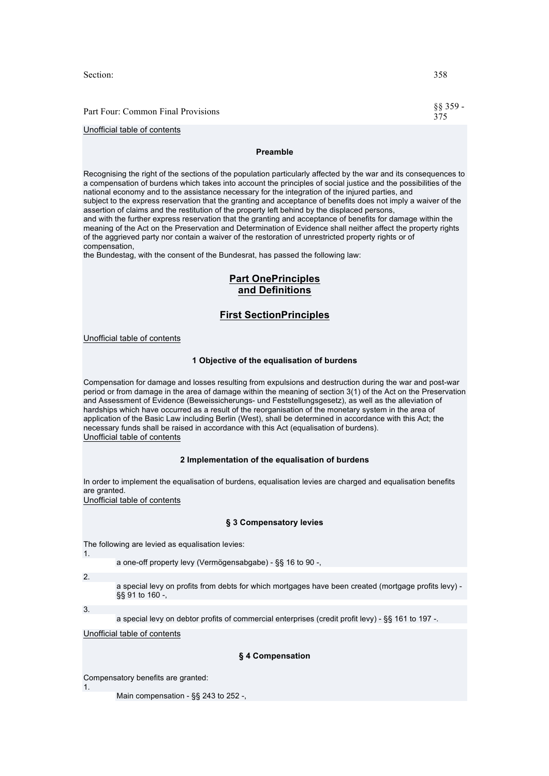Section: 358

Part Four: Common Final Provisions §§ 359 -

## Unofficial table of contents

### **Preamble**

Recognising the right of the sections of the population particularly affected by the war and its consequences to a compensation of burdens which takes into account the principles of social justice and the possibilities of the national economy and to the assistance necessary for the integration of the injured parties, and subject to the express reservation that the granting and acceptance of benefits does not imply a waiver of the assertion of claims and the restitution of the property left behind by the displaced persons, and with the further express reservation that the granting and acceptance of benefits for damage within the meaning of the Act on the Preservation and Determination of Evidence shall neither affect the property rights of the aggrieved party nor contain a waiver of the restoration of unrestricted property rights or of compensation,

the Bundestag, with the consent of the Bundesrat, has passed the following law:

# **Part OnePrinciples and Definitions**

## **First SectionPrinciples**

### Unofficial table of contents

### **1 Objective of the equalisation of burdens**

Compensation for damage and losses resulting from expulsions and destruction during the war and post-war period or from damage in the area of damage within the meaning of section 3(1) of the Act on the Preservation and Assessment of Evidence (Beweissicherungs- und Feststellungsgesetz), as well as the alleviation of hardships which have occurred as a result of the reorganisation of the monetary system in the area of application of the Basic Law including Berlin (West), shall be determined in accordance with this Act; the necessary funds shall be raised in accordance with this Act (equalisation of burdens). Unofficial table of contents

### **2 Implementation of the equalisation of burdens**

In order to implement the equalisation of burdens, equalisation levies are charged and equalisation benefits are granted.

Unofficial table of contents

### **§ 3 Compensatory levies**

The following are levied as equalisation levies: 1.

a one-off property levy (Vermögensabgabe) - §§ 16 to 90 -,

2.

a special levy on profits from debts for which mortgages have been created (mortgage profits levy) - §§ 91 to 160 -,

3.

1.

a special levy on debtor profits of commercial enterprises (credit profit levy) - §§ 161 to 197 -.

Unofficial table of contents

### **§ 4 Compensation**

Compensatory benefits are granted:

Main compensation - §§ 243 to 252 -,

375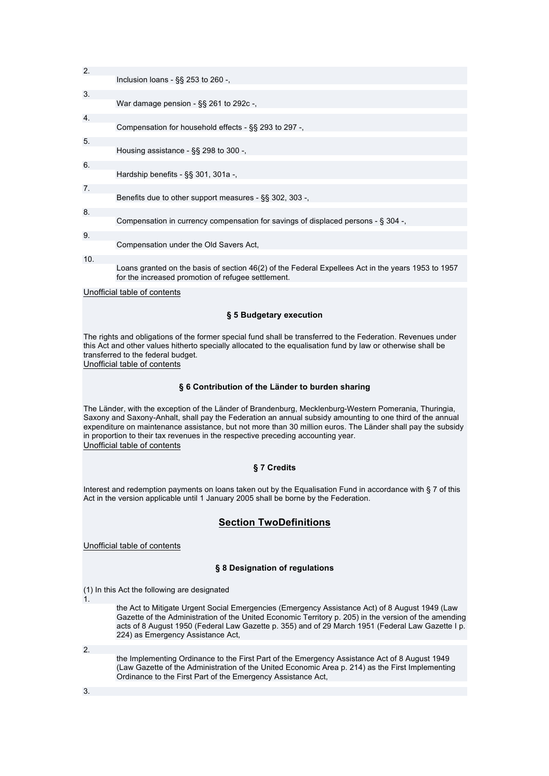| 2.  |                                                                                                                                                          |
|-----|----------------------------------------------------------------------------------------------------------------------------------------------------------|
|     | Inclusion loans - $\S$ § 253 to 260 -,                                                                                                                   |
| 3.  | War damage pension $-$ §§ 261 to 292c $-$ ,                                                                                                              |
| 4.  |                                                                                                                                                          |
|     | Compensation for household effects $-$ §§ 293 to 297 $-$ ,                                                                                               |
| 5.  | Housing assistance $-$ §§ 298 to 300 $-$ .                                                                                                               |
| 6.  |                                                                                                                                                          |
|     | Hardship benefits - $\S$ § 301, 301a -,                                                                                                                  |
| 7.  | Benefits due to other support measures - §§ 302, 303 -,                                                                                                  |
| 8.  |                                                                                                                                                          |
|     | Compensation in currency compensation for savings of displaced persons - § 304 -,                                                                        |
| 9.  | Compensation under the Old Savers Act,                                                                                                                   |
| 10. |                                                                                                                                                          |
|     | Loans granted on the basis of section 46(2) of the Federal Expellees Act in the years 1953 to 1957<br>for the increased promotion of refugee settlement. |

### Unofficial table of contents

### **§ 5 Budgetary execution**

The rights and obligations of the former special fund shall be transferred to the Federation. Revenues under this Act and other values hitherto specially allocated to the equalisation fund by law or otherwise shall be transferred to the federal budget.

Unofficial table of contents

### **§ 6 Contribution of the Länder to burden sharing**

The Länder, with the exception of the Länder of Brandenburg, Mecklenburg-Western Pomerania, Thuringia, Saxony and Saxony-Anhalt, shall pay the Federation an annual subsidy amounting to one third of the annual expenditure on maintenance assistance, but not more than 30 million euros. The Länder shall pay the subsidy in proportion to their tax revenues in the respective preceding accounting year. Unofficial table of contents

### **§ 7 Credits**

Interest and redemption payments on loans taken out by the Equalisation Fund in accordance with § 7 of this Act in the version applicable until 1 January 2005 shall be borne by the Federation.

## **Section TwoDefinitions**

Unofficial table of contents

### **§ 8 Designation of regulations**

(1) In this Act the following are designated

1.

the Act to Mitigate Urgent Social Emergencies (Emergency Assistance Act) of 8 August 1949 (Law Gazette of the Administration of the United Economic Territory p. 205) in the version of the amending acts of 8 August 1950 (Federal Law Gazette p. 355) and of 29 March 1951 (Federal Law Gazette I p. 224) as Emergency Assistance Act,

2.

the Implementing Ordinance to the First Part of the Emergency Assistance Act of 8 August 1949 (Law Gazette of the Administration of the United Economic Area p. 214) as the First Implementing Ordinance to the First Part of the Emergency Assistance Act,

3.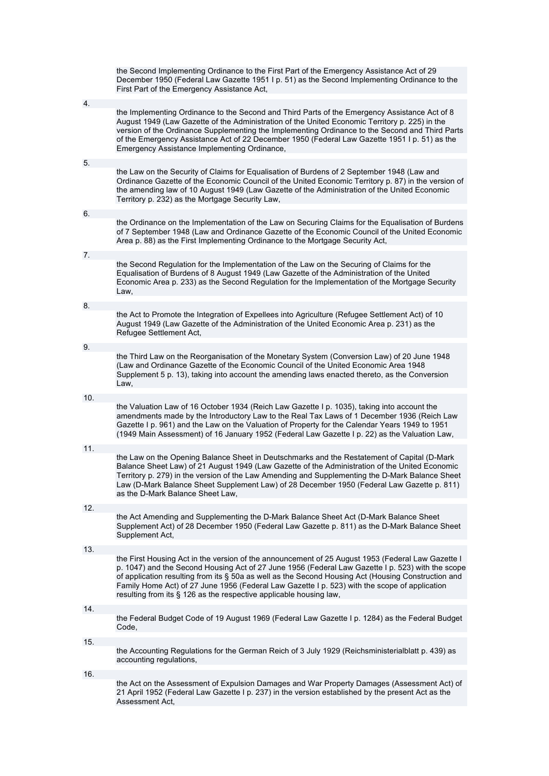|     | the Second Implementing Ordinance to the First Part of the Emergency Assistance Act of 29<br>December 1950 (Federal Law Gazette 1951 I p. 51) as the Second Implementing Ordinance to the<br>First Part of the Emergency Assistance Act,                                                                                                                                                                                                                                             |
|-----|--------------------------------------------------------------------------------------------------------------------------------------------------------------------------------------------------------------------------------------------------------------------------------------------------------------------------------------------------------------------------------------------------------------------------------------------------------------------------------------|
| 4.  |                                                                                                                                                                                                                                                                                                                                                                                                                                                                                      |
|     | the Implementing Ordinance to the Second and Third Parts of the Emergency Assistance Act of 8<br>August 1949 (Law Gazette of the Administration of the United Economic Territory p. 225) in the<br>version of the Ordinance Supplementing the Implementing Ordinance to the Second and Third Parts<br>of the Emergency Assistance Act of 22 December 1950 (Federal Law Gazette 1951 I p. 51) as the<br>Emergency Assistance Implementing Ordinance,                                  |
| 5.  |                                                                                                                                                                                                                                                                                                                                                                                                                                                                                      |
|     | the Law on the Security of Claims for Equalisation of Burdens of 2 September 1948 (Law and<br>Ordinance Gazette of the Economic Council of the United Economic Territory p. 87) in the version of<br>the amending law of 10 August 1949 (Law Gazette of the Administration of the United Economic<br>Territory p. 232) as the Mortgage Security Law,                                                                                                                                 |
| 6.  |                                                                                                                                                                                                                                                                                                                                                                                                                                                                                      |
|     | the Ordinance on the Implementation of the Law on Securing Claims for the Equalisation of Burdens<br>of 7 September 1948 (Law and Ordinance Gazette of the Economic Council of the United Economic<br>Area p. 88) as the First Implementing Ordinance to the Mortgage Security Act,                                                                                                                                                                                                  |
| 7.  |                                                                                                                                                                                                                                                                                                                                                                                                                                                                                      |
|     | the Second Regulation for the Implementation of the Law on the Securing of Claims for the<br>Equalisation of Burdens of 8 August 1949 (Law Gazette of the Administration of the United<br>Economic Area p. 233) as the Second Regulation for the Implementation of the Mortgage Security<br>Law,                                                                                                                                                                                     |
| 8.  |                                                                                                                                                                                                                                                                                                                                                                                                                                                                                      |
|     | the Act to Promote the Integration of Expellees into Agriculture (Refugee Settlement Act) of 10<br>August 1949 (Law Gazette of the Administration of the United Economic Area p. 231) as the<br>Refugee Settlement Act,                                                                                                                                                                                                                                                              |
| 9.  |                                                                                                                                                                                                                                                                                                                                                                                                                                                                                      |
|     | the Third Law on the Reorganisation of the Monetary System (Conversion Law) of 20 June 1948<br>(Law and Ordinance Gazette of the Economic Council of the United Economic Area 1948<br>Supplement 5 p. 13), taking into account the amending laws enacted thereto, as the Conversion<br>Law,                                                                                                                                                                                          |
| 10. |                                                                                                                                                                                                                                                                                                                                                                                                                                                                                      |
|     | the Valuation Law of 16 October 1934 (Reich Law Gazette I p. 1035), taking into account the<br>amendments made by the Introductory Law to the Real Tax Laws of 1 December 1936 (Reich Law<br>Gazette I p. 961) and the Law on the Valuation of Property for the Calendar Years 1949 to 1951<br>(1949 Main Assessment) of 16 January 1952 (Federal Law Gazette I p. 22) as the Valuation Law,                                                                                         |
| 11. |                                                                                                                                                                                                                                                                                                                                                                                                                                                                                      |
|     | the Law on the Opening Balance Sheet in Deutschmarks and the Restatement of Capital (D-Mark<br>Balance Sheet Law) of 21 August 1949 (Law Gazette of the Administration of the United Economic<br>Territory p. 279) in the version of the Law Amending and Supplementing the D-Mark Balance Sheet<br>Law (D-Mark Balance Sheet Supplement Law) of 28 December 1950 (Federal Law Gazette p. 811)<br>as the D-Mark Balance Sheet Law.                                                   |
| 12. |                                                                                                                                                                                                                                                                                                                                                                                                                                                                                      |
|     | the Act Amending and Supplementing the D-Mark Balance Sheet Act (D-Mark Balance Sheet<br>Supplement Act) of 28 December 1950 (Federal Law Gazette p. 811) as the D-Mark Balance Sheet<br>Supplement Act,                                                                                                                                                                                                                                                                             |
| 13. |                                                                                                                                                                                                                                                                                                                                                                                                                                                                                      |
|     | the First Housing Act in the version of the announcement of 25 August 1953 (Federal Law Gazette I<br>p. 1047) and the Second Housing Act of 27 June 1956 (Federal Law Gazette I p. 523) with the scope<br>of application resulting from its § 50a as well as the Second Housing Act (Housing Construction and<br>Family Home Act) of 27 June 1956 (Federal Law Gazette I p. 523) with the scope of application<br>resulting from its § 126 as the respective applicable housing law, |
| 14. |                                                                                                                                                                                                                                                                                                                                                                                                                                                                                      |
|     | the Federal Budget Code of 19 August 1969 (Federal Law Gazette I p. 1284) as the Federal Budget<br>Code,                                                                                                                                                                                                                                                                                                                                                                             |
| 15. |                                                                                                                                                                                                                                                                                                                                                                                                                                                                                      |
|     | the Accounting Regulations for the German Reich of 3 July 1929 (Reichsministerialblatt p. 439) as<br>accounting regulations,                                                                                                                                                                                                                                                                                                                                                         |
| 16. |                                                                                                                                                                                                                                                                                                                                                                                                                                                                                      |
|     | the Act on the Assessment of Expulsion Damages and War Property Damages (Assessment Act) of<br>21 April 1952 (Federal Law Gazette I p. 237) in the version established by the present Act as the<br>Assessment Act,                                                                                                                                                                                                                                                                  |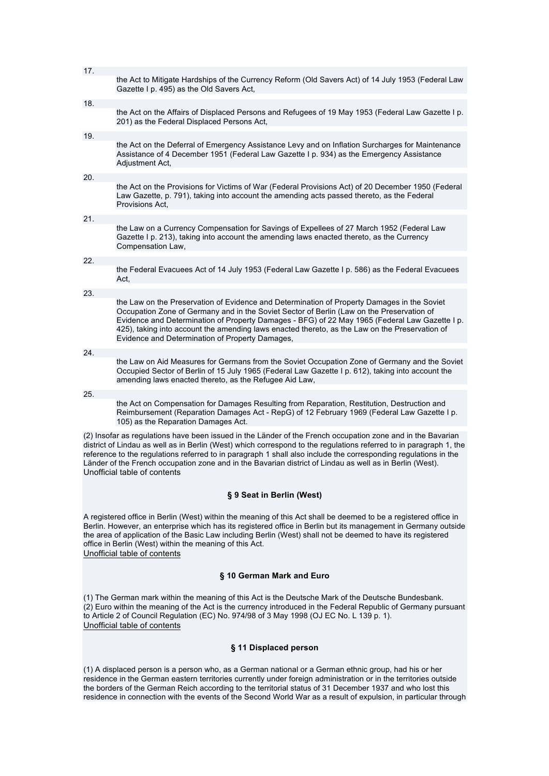| 17. |                                                                                                                                                                                                                                                                                                                                                                                                                                                 |
|-----|-------------------------------------------------------------------------------------------------------------------------------------------------------------------------------------------------------------------------------------------------------------------------------------------------------------------------------------------------------------------------------------------------------------------------------------------------|
|     | the Act to Mitigate Hardships of the Currency Reform (Old Savers Act) of 14 July 1953 (Federal Law<br>Gazette I p. 495) as the Old Savers Act,                                                                                                                                                                                                                                                                                                  |
| 18. |                                                                                                                                                                                                                                                                                                                                                                                                                                                 |
|     | the Act on the Affairs of Displaced Persons and Refugees of 19 May 1953 (Federal Law Gazette I p.<br>201) as the Federal Displaced Persons Act,                                                                                                                                                                                                                                                                                                 |
| 19. |                                                                                                                                                                                                                                                                                                                                                                                                                                                 |
|     | the Act on the Deferral of Emergency Assistance Levy and on Inflation Surcharges for Maintenance<br>Assistance of 4 December 1951 (Federal Law Gazette I p. 934) as the Emergency Assistance<br>Adjustment Act,                                                                                                                                                                                                                                 |
| 20. |                                                                                                                                                                                                                                                                                                                                                                                                                                                 |
|     | the Act on the Provisions for Victims of War (Federal Provisions Act) of 20 December 1950 (Federal<br>Law Gazette, p. 791), taking into account the amending acts passed thereto, as the Federal<br>Provisions Act,                                                                                                                                                                                                                             |
| 21. |                                                                                                                                                                                                                                                                                                                                                                                                                                                 |
|     | the Law on a Currency Compensation for Savings of Expellees of 27 March 1952 (Federal Law<br>Gazette I p. 213), taking into account the amending laws enacted thereto, as the Currency<br>Compensation Law,                                                                                                                                                                                                                                     |
| 22. |                                                                                                                                                                                                                                                                                                                                                                                                                                                 |
|     | the Federal Evacuees Act of 14 July 1953 (Federal Law Gazette I p. 586) as the Federal Evacuees<br>Act,                                                                                                                                                                                                                                                                                                                                         |
| 23. |                                                                                                                                                                                                                                                                                                                                                                                                                                                 |
|     | the Law on the Preservation of Evidence and Determination of Property Damages in the Soviet<br>Occupation Zone of Germany and in the Soviet Sector of Berlin (Law on the Preservation of<br>Evidence and Determination of Property Damages - BFG) of 22 May 1965 (Federal Law Gazette I p.<br>425), taking into account the amending laws enacted thereto, as the Law on the Preservation of<br>Evidence and Determination of Property Damages, |
| 24. |                                                                                                                                                                                                                                                                                                                                                                                                                                                 |
|     | the Law on Aid Measures for Germans from the Soviet Occupation Zone of Germany and the Soviet<br>Occupied Sector of Berlin of 15 July 1965 (Federal Law Gazette I p. 612), taking into account the<br>amending laws enacted thereto, as the Refugee Aid Law,                                                                                                                                                                                    |
| 25. |                                                                                                                                                                                                                                                                                                                                                                                                                                                 |
|     | the Act on Compensation for Damages Resulting from Reparation, Restitution, Destruction and<br>Reimbursement (Reparation Damages Act - RepG) of 12 February 1969 (Federal Law Gazette I p.<br>105) as the Reparation Damages Act.                                                                                                                                                                                                               |
|     | (2) Insofar as regulations have been issued in the Länder of the French occupation zone and in the Bavarian                                                                                                                                                                                                                                                                                                                                     |
|     | district of Lindau as well as in Berlin (West) which correspond to the regulations referred to in paragraph 1, the                                                                                                                                                                                                                                                                                                                              |

district of Lindau as well as in Berlin (West) which correspond to the regulations referred to in paragraph 1, the reference to the regulations referred to in paragraph 1 shall also include the corresponding regulations in the Länder of the French occupation zone and in the Bavarian district of Lindau as well as in Berlin (West). Unofficial table of contents

### **§ 9 Seat in Berlin (West)**

A registered office in Berlin (West) within the meaning of this Act shall be deemed to be a registered office in Berlin. However, an enterprise which has its registered office in Berlin but its management in Germany outside the area of application of the Basic Law including Berlin (West) shall not be deemed to have its registered office in Berlin (West) within the meaning of this Act. Unofficial table of contents

### **§ 10 German Mark and Euro**

(1) The German mark within the meaning of this Act is the Deutsche Mark of the Deutsche Bundesbank. (2) Euro within the meaning of the Act is the currency introduced in the Federal Republic of Germany pursuant to Article 2 of Council Regulation (EC) No. 974/98 of 3 May 1998 (OJ EC No. L 139 p. 1). Unofficial table of contents

### **§ 11 Displaced person**

(1) A displaced person is a person who, as a German national or a German ethnic group, had his or her residence in the German eastern territories currently under foreign administration or in the territories outside the borders of the German Reich according to the territorial status of 31 December 1937 and who lost this residence in connection with the events of the Second World War as a result of expulsion, in particular through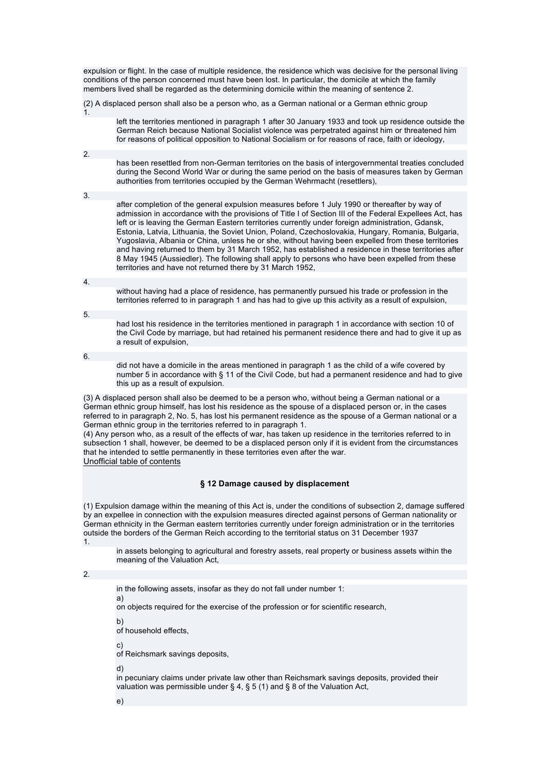expulsion or flight. In the case of multiple residence, the residence which was decisive for the personal living conditions of the person concerned must have been lost. In particular, the domicile at which the family members lived shall be regarded as the determining domicile within the meaning of sentence 2.

(2) A displaced person shall also be a person who, as a German national or a German ethnic group 1.

left the territories mentioned in paragraph 1 after 30 January 1933 and took up residence outside the German Reich because National Socialist violence was perpetrated against him or threatened him for reasons of political opposition to National Socialism or for reasons of race, faith or ideology,

has been resettled from non-German territories on the basis of intergovernmental treaties concluded during the Second World War or during the same period on the basis of measures taken by German authorities from territories occupied by the German Wehrmacht (resettlers),

3.

2.

after completion of the general expulsion measures before 1 July 1990 or thereafter by way of admission in accordance with the provisions of Title I of Section III of the Federal Expellees Act, has left or is leaving the German Eastern territories currently under foreign administration, Gdansk, Estonia, Latvia, Lithuania, the Soviet Union, Poland, Czechoslovakia, Hungary, Romania, Bulgaria, Yugoslavia, Albania or China, unless he or she, without having been expelled from these territories and having returned to them by 31 March 1952, has established a residence in these territories after 8 May 1945 (Aussiedler). The following shall apply to persons who have been expelled from these territories and have not returned there by 31 March 1952,

4.

without having had a place of residence, has permanently pursued his trade or profession in the territories referred to in paragraph 1 and has had to give up this activity as a result of expulsion,

5.

had lost his residence in the territories mentioned in paragraph 1 in accordance with section 10 of the Civil Code by marriage, but had retained his permanent residence there and had to give it up as a result of expulsion,

6.

did not have a domicile in the areas mentioned in paragraph 1 as the child of a wife covered by number 5 in accordance with § 11 of the Civil Code, but had a permanent residence and had to give this up as a result of expulsion.

(3) A displaced person shall also be deemed to be a person who, without being a German national or a German ethnic group himself, has lost his residence as the spouse of a displaced person or, in the cases referred to in paragraph 2, No. 5, has lost his permanent residence as the spouse of a German national or a German ethnic group in the territories referred to in paragraph 1.

(4) Any person who, as a result of the effects of war, has taken up residence in the territories referred to in subsection 1 shall, however, be deemed to be a displaced person only if it is evident from the circumstances that he intended to settle permanently in these territories even after the war. Unofficial table of contents

## **§ 12 Damage caused by displacement**

(1) Expulsion damage within the meaning of this Act is, under the conditions of subsection 2, damage suffered by an expellee in connection with the expulsion measures directed against persons of German nationality or German ethnicity in the German eastern territories currently under foreign administration or in the territories outside the borders of the German Reich according to the territorial status on 31 December 1937 1.

in assets belonging to agricultural and forestry assets, real property or business assets within the meaning of the Valuation Act,

2.

in the following assets, insofar as they do not fall under number 1:

a)

on objects required for the exercise of the profession or for scientific research,

b)

of household effects,

c)

of Reichsmark savings deposits,

d)

in pecuniary claims under private law other than Reichsmark savings deposits, provided their valuation was permissible under § 4, § 5 (1) and § 8 of the Valuation Act,

e)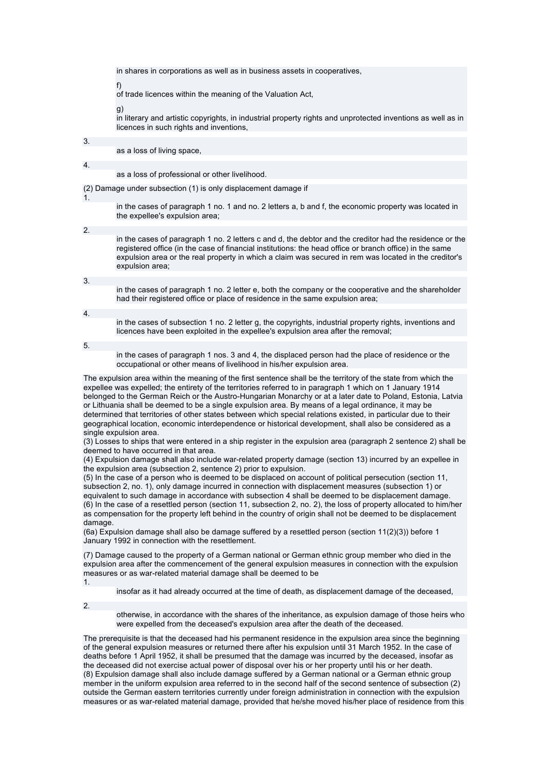in shares in corporations as well as in business assets in cooperatives,

f)

of trade licences within the meaning of the Valuation Act,

g)

in literary and artistic copyrights, in industrial property rights and unprotected inventions as well as in licences in such rights and inventions,

3.

as a loss of living space,

4.

#### as a loss of professional or other livelihood.

(2) Damage under subsection (1) is only displacement damage if

1.

in the cases of paragraph 1 no. 1 and no. 2 letters a, b and f, the economic property was located in the expellee's expulsion area;

2.

in the cases of paragraph 1 no. 2 letters c and d, the debtor and the creditor had the residence or the registered office (in the case of financial institutions: the head office or branch office) in the same expulsion area or the real property in which a claim was secured in rem was located in the creditor's expulsion area;

3.

in the cases of paragraph 1 no. 2 letter e, both the company or the cooperative and the shareholder had their registered office or place of residence in the same expulsion area;

4.

in the cases of subsection 1 no. 2 letter g, the copyrights, industrial property rights, inventions and licences have been exploited in the expellee's expulsion area after the removal;

5.

in the cases of paragraph 1 nos. 3 and 4, the displaced person had the place of residence or the occupational or other means of livelihood in his/her expulsion area.

The expulsion area within the meaning of the first sentence shall be the territory of the state from which the expellee was expelled; the entirety of the territories referred to in paragraph 1 which on 1 January 1914 belonged to the German Reich or the Austro-Hungarian Monarchy or at a later date to Poland, Estonia, Latvia or Lithuania shall be deemed to be a single expulsion area. By means of a legal ordinance, it may be determined that territories of other states between which special relations existed, in particular due to their geographical location, economic interdependence or historical development, shall also be considered as a single expulsion area.

(3) Losses to ships that were entered in a ship register in the expulsion area (paragraph 2 sentence 2) shall be deemed to have occurred in that area.

(4) Expulsion damage shall also include war-related property damage (section 13) incurred by an expellee in the expulsion area (subsection 2, sentence 2) prior to expulsion.

(5) In the case of a person who is deemed to be displaced on account of political persecution (section 11, subsection 2, no. 1), only damage incurred in connection with displacement measures (subsection 1) or equivalent to such damage in accordance with subsection 4 shall be deemed to be displacement damage. (6) In the case of a resettled person (section 11, subsection 2, no. 2), the loss of property allocated to him/her as compensation for the property left behind in the country of origin shall not be deemed to be displacement damage.

(6a) Expulsion damage shall also be damage suffered by a resettled person (section 11(2)(3)) before 1 January 1992 in connection with the resettlement.

(7) Damage caused to the property of a German national or German ethnic group member who died in the expulsion area after the commencement of the general expulsion measures in connection with the expulsion measures or as war-related material damage shall be deemed to be 1.

insofar as it had already occurred at the time of death, as displacement damage of the deceased,

2.

otherwise, in accordance with the shares of the inheritance, as expulsion damage of those heirs who were expelled from the deceased's expulsion area after the death of the deceased.

The prerequisite is that the deceased had his permanent residence in the expulsion area since the beginning of the general expulsion measures or returned there after his expulsion until 31 March 1952. In the case of deaths before 1 April 1952, it shall be presumed that the damage was incurred by the deceased, insofar as the deceased did not exercise actual power of disposal over his or her property until his or her death. (8) Expulsion damage shall also include damage suffered by a German national or a German ethnic group member in the uniform expulsion area referred to in the second half of the second sentence of subsection (2) outside the German eastern territories currently under foreign administration in connection with the expulsion measures or as war-related material damage, provided that he/she moved his/her place of residence from this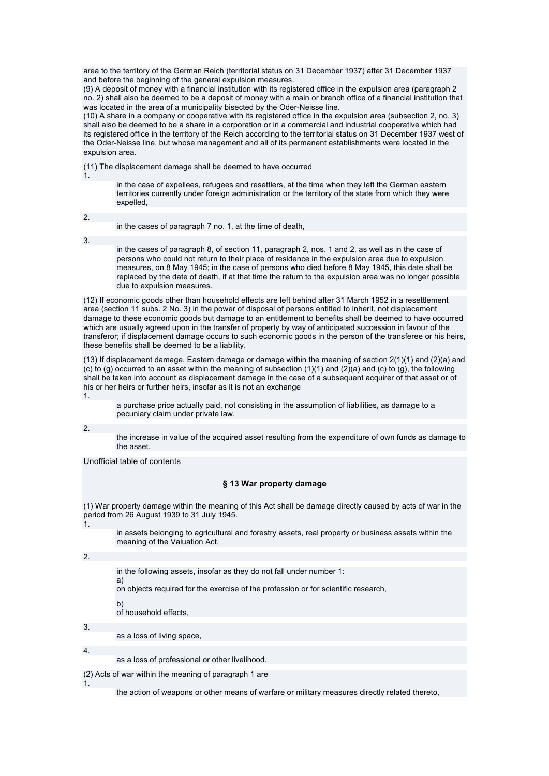area to the territory of the German Reich (territorial status on 31 December 1937) after 31 December 1937 and before the beginning of the general expulsion measures.

(9) A deposit of money with a financial institution with its registered office in the expulsion area (paragraph 2 no. 2) shall also be deemed to be a deposit of money with a main or branch office of a financial institution that was located in the area of a municipality bisected by the Oder-Neisse line.

(10) A share in a company or cooperative with its registered office in the expulsion area (subsection 2, no. 3) shall also be deemed to be a share in a corporation or in a commercial and industrial cooperative which had its registered office in the territory of the Reich according to the territorial status on 31 December 1937 west of the Oder-Neisse line, but whose management and all of its permanent establishments were located in the expulsion area.

(11) The displacement damage shall be deemed to have occurred

1.

in the case of expellees, refugees and resettlers, at the time when they left the German eastern territories currently under foreign administration or the territory of the state from which they were expelled,

2.

in the cases of paragraph 7 no. 1, at the time of death,

3.

in the cases of paragraph 8, of section 11, paragraph 2, nos. 1 and 2, as well as in the case of persons who could not return to their place of residence in the expulsion area due to expulsion measures, on 8 May 1945; in the case of persons who died before 8 May 1945, this date shall be replaced by the date of death, if at that time the return to the expulsion area was no longer possible due to expulsion measures.

(12) If economic goods other than household effects are left behind after 31 March 1952 in a resettlement area (section 11 subs. 2 No. 3) in the power of disposal of persons entitled to inherit, not displacement damage to these economic goods but damage to an entitlement to benefits shall be deemed to have occurred which are usually agreed upon in the transfer of property by way of anticipated succession in favour of the transferor; if displacement damage occurs to such economic goods in the person of the transferee or his heirs, these benefits shall be deemed to be a liability.

(13) If displacement damage, Eastern damage or damage within the meaning of section 2(1)(1) and (2)(a) and (c) to (g) occurred to an asset within the meaning of subsection  $(1)(1)$  and  $(2)(a)$  and  $(c)$  to  $(g)$ , the following shall be taken into account as displacement damage in the case of a subsequent acquirer of that asset or of his or her heirs or further heirs, insofar as it is not an exchange 1.

a purchase price actually paid, not consisting in the assumption of liabilities, as damage to a pecuniary claim under private law,

2.

the increase in value of the acquired asset resulting from the expenditure of own funds as damage to the asset.

Unofficial table of contents

## **§ 13 War property damage**

(1) War property damage within the meaning of this Act shall be damage directly caused by acts of war in the period from 26 August 1939 to 31 July 1945. 1.

in assets belonging to agricultural and forestry assets, real property or business assets within the meaning of the Valuation Act,

2.

in the following assets, insofar as they do not fall under number 1:

on objects required for the exercise of the profession or for scientific research,

b) of household effects,

a)

3.

as a loss of living space,

4.

1.

as a loss of professional or other livelihood.

(2) Acts of war within the meaning of paragraph 1 are

the action of weapons or other means of warfare or military measures directly related thereto,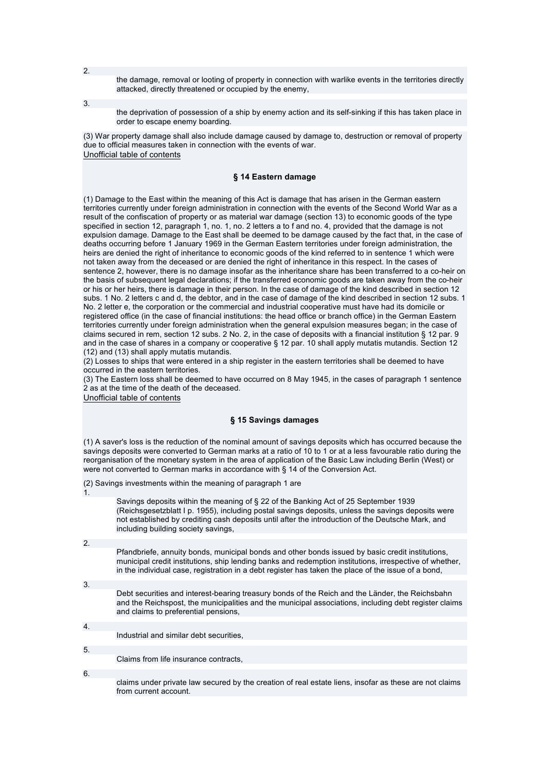the damage, removal or looting of property in connection with warlike events in the territories directly attacked, directly threatened or occupied by the enemy,

3.

the deprivation of possession of a ship by enemy action and its self-sinking if this has taken place in order to escape enemy boarding.

(3) War property damage shall also include damage caused by damage to, destruction or removal of property due to official measures taken in connection with the events of war. Unofficial table of contents

## **§ 14 Eastern damage**

(1) Damage to the East within the meaning of this Act is damage that has arisen in the German eastern territories currently under foreign administration in connection with the events of the Second World War as a result of the confiscation of property or as material war damage (section 13) to economic goods of the type specified in section 12, paragraph 1, no. 1, no. 2 letters a to f and no. 4, provided that the damage is not expulsion damage. Damage to the East shall be deemed to be damage caused by the fact that, in the case of deaths occurring before 1 January 1969 in the German Eastern territories under foreign administration, the heirs are denied the right of inheritance to economic goods of the kind referred to in sentence 1 which were not taken away from the deceased or are denied the right of inheritance in this respect. In the cases of sentence 2, however, there is no damage insofar as the inheritance share has been transferred to a co-heir on the basis of subsequent legal declarations; if the transferred economic goods are taken away from the co-heir or his or her heirs, there is damage in their person. In the case of damage of the kind described in section 12 subs. 1 No. 2 letters c and d, the debtor, and in the case of damage of the kind described in section 12 subs. 1 No. 2 letter e, the corporation or the commercial and industrial cooperative must have had its domicile or registered office (in the case of financial institutions: the head office or branch office) in the German Eastern territories currently under foreign administration when the general expulsion measures began; in the case of claims secured in rem, section 12 subs. 2 No. 2, in the case of deposits with a financial institution § 12 par. 9 and in the case of shares in a company or cooperative § 12 par. 10 shall apply mutatis mutandis. Section 12 (12) and (13) shall apply mutatis mutandis.

(2) Losses to ships that were entered in a ship register in the eastern territories shall be deemed to have occurred in the eastern territories.

(3) The Eastern loss shall be deemed to have occurred on 8 May 1945, in the cases of paragraph 1 sentence 2 as at the time of the death of the deceased.

Unofficial table of contents

## **§ 15 Savings damages**

(1) A saver's loss is the reduction of the nominal amount of savings deposits which has occurred because the savings deposits were converted to German marks at a ratio of 10 to 1 or at a less favourable ratio during the reorganisation of the monetary system in the area of application of the Basic Law including Berlin (West) or were not converted to German marks in accordance with § 14 of the Conversion Act.

(2) Savings investments within the meaning of paragraph 1 are

Savings deposits within the meaning of § 22 of the Banking Act of 25 September 1939 (Reichsgesetzblatt I p. 1955), including postal savings deposits, unless the savings deposits were not established by crediting cash deposits until after the introduction of the Deutsche Mark, and including building society savings,

2.

1.

Pfandbriefe, annuity bonds, municipal bonds and other bonds issued by basic credit institutions, municipal credit institutions, ship lending banks and redemption institutions, irrespective of whether, in the individual case, registration in a debt register has taken the place of the issue of a bond,

3.

Debt securities and interest-bearing treasury bonds of the Reich and the Länder, the Reichsbahn and the Reichspost, the municipalities and the municipal associations, including debt register claims and claims to preferential pensions,

4. Industrial and similar debt securities,

5.

6.

Claims from life insurance contracts,

claims under private law secured by the creation of real estate liens, insofar as these are not claims from current account.

2.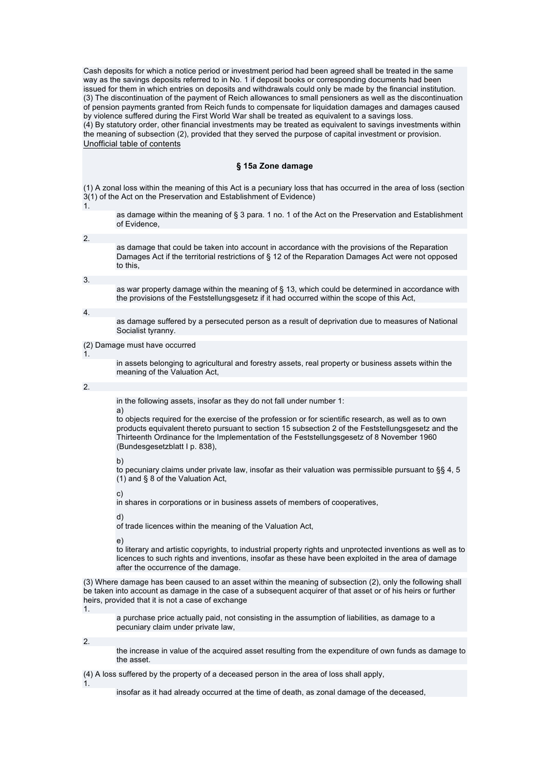Cash deposits for which a notice period or investment period had been agreed shall be treated in the same way as the savings deposits referred to in No. 1 if deposit books or corresponding documents had been issued for them in which entries on deposits and withdrawals could only be made by the financial institution. (3) The discontinuation of the payment of Reich allowances to small pensioners as well as the discontinuation of pension payments granted from Reich funds to compensate for liquidation damages and damages caused by violence suffered during the First World War shall be treated as equivalent to a savings loss. (4) By statutory order, other financial investments may be treated as equivalent to savings investments within the meaning of subsection (2), provided that they served the purpose of capital investment or provision. Unofficial table of contents

### **§ 15a Zone damage**

(1) A zonal loss within the meaning of this Act is a pecuniary loss that has occurred in the area of loss (section  $3(1)$  of the Act on the Preservation and Establishment of Evidence) 1.

- as damage within the meaning of § 3 para. 1 no. 1 of the Act on the Preservation and Establishment of Evidence,
- 2. as damage that could be taken into account in accordance with the provisions of the Reparation Damages Act if the territorial restrictions of § 12 of the Reparation Damages Act were not opposed to this,

3.

as war property damage within the meaning of § 13, which could be determined in accordance with the provisions of the Feststellungsgesetz if it had occurred within the scope of this Act,

4.

as damage suffered by a persecuted person as a result of deprivation due to measures of National Socialist tyranny.

(2) Damage must have occurred

in assets belonging to agricultural and forestry assets, real property or business assets within the meaning of the Valuation Act,

### 2.

1.

in the following assets, insofar as they do not fall under number 1:

a)

to objects required for the exercise of the profession or for scientific research, as well as to own products equivalent thereto pursuant to section 15 subsection 2 of the Feststellungsgesetz and the Thirteenth Ordinance for the Implementation of the Feststellungsgesetz of 8 November 1960 (Bundesgesetzblatt I p. 838),

b)

to pecuniary claims under private law, insofar as their valuation was permissible pursuant to §§ 4, 5 (1) and § 8 of the Valuation Act,

c)

in shares in corporations or in business assets of members of cooperatives,

d)

of trade licences within the meaning of the Valuation Act,

e)

to literary and artistic copyrights, to industrial property rights and unprotected inventions as well as to licences to such rights and inventions, insofar as these have been exploited in the area of damage after the occurrence of the damage.

(3) Where damage has been caused to an asset within the meaning of subsection (2), only the following shall be taken into account as damage in the case of a subsequent acquirer of that asset or of his heirs or further heirs, provided that it is not a case of exchange

1.

a purchase price actually paid, not consisting in the assumption of liabilities, as damage to a pecuniary claim under private law,

2.

the increase in value of the acquired asset resulting from the expenditure of own funds as damage to the asset.

(4) A loss suffered by the property of a deceased person in the area of loss shall apply,

1.

insofar as it had already occurred at the time of death, as zonal damage of the deceased,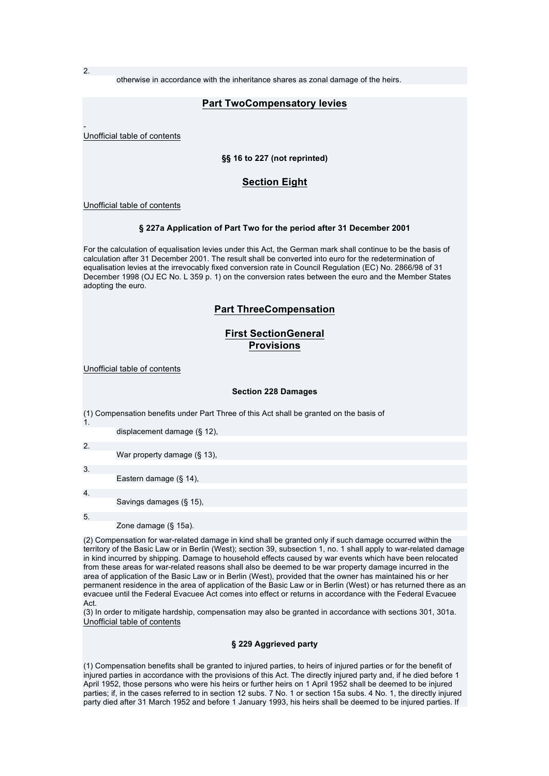2.

otherwise in accordance with the inheritance shares as zonal damage of the heirs.

## **Part TwoCompensatory levies**

- Unofficial table of contents

## **§§ 16 to 227 (not reprinted)**

## **Section Eight**

Unofficial table of contents

### **§ 227a Application of Part Two for the period after 31 December 2001**

For the calculation of equalisation levies under this Act, the German mark shall continue to be the basis of calculation after 31 December 2001. The result shall be converted into euro for the redetermination of equalisation levies at the irrevocably fixed conversion rate in Council Regulation (EC) No. 2866/98 of 31 December 1998 (OJ EC No. L 359 p. 1) on the conversion rates between the euro and the Member States adopting the euro.

## **Part ThreeCompensation**

# **First SectionGeneral Provisions**

Unofficial table of contents

### **Section 228 Damages**

| $\mathbf{1}$ .   | (1) Compensation benefits under Part Three of this Act shall be granted on the basis of |
|------------------|-----------------------------------------------------------------------------------------|
|                  | displacement damage $(S, 12)$ ,                                                         |
| 2.               | War property damage (§ 13),                                                             |
| 3.               | Eastern damage $(\S$ 14),                                                               |
| $\overline{4}$ . | Savings damages (§ 15),                                                                 |
| 5.               | Zone damage $(\S$ 15a).                                                                 |

(2) Compensation for war-related damage in kind shall be granted only if such damage occurred within the territory of the Basic Law or in Berlin (West); section 39, subsection 1, no. 1 shall apply to war-related damage in kind incurred by shipping. Damage to household effects caused by war events which have been relocated from these areas for war-related reasons shall also be deemed to be war property damage incurred in the area of application of the Basic Law or in Berlin (West), provided that the owner has maintained his or her permanent residence in the area of application of the Basic Law or in Berlin (West) or has returned there as an evacuee until the Federal Evacuee Act comes into effect or returns in accordance with the Federal Evacuee Act.

(3) In order to mitigate hardship, compensation may also be granted in accordance with sections 301, 301a. Unofficial table of contents

### **§ 229 Aggrieved party**

(1) Compensation benefits shall be granted to injured parties, to heirs of injured parties or for the benefit of injured parties in accordance with the provisions of this Act. The directly injured party and, if he died before 1 April 1952, those persons who were his heirs or further heirs on 1 April 1952 shall be deemed to be injured parties; if, in the cases referred to in section 12 subs. 7 No. 1 or section 15a subs. 4 No. 1, the directly injured party died after 31 March 1952 and before 1 January 1993, his heirs shall be deemed to be injured parties. If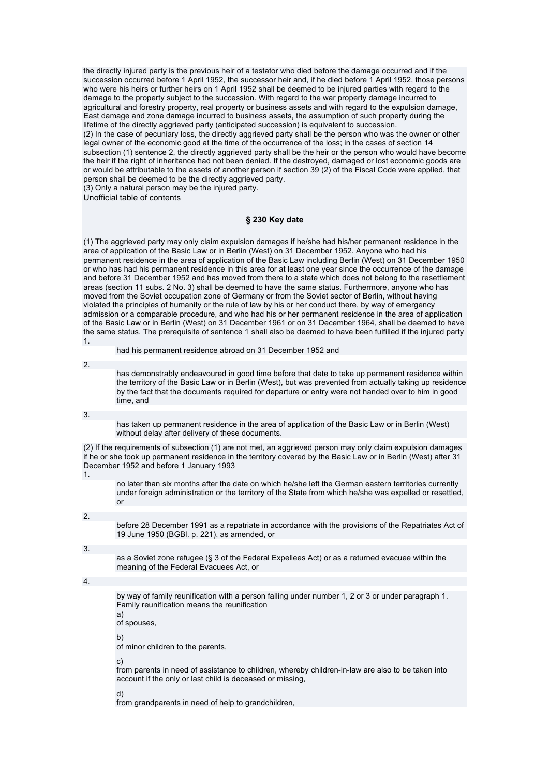the directly injured party is the previous heir of a testator who died before the damage occurred and if the succession occurred before 1 April 1952, the successor heir and, if he died before 1 April 1952, those persons who were his heirs or further heirs on 1 April 1952 shall be deemed to be injured parties with regard to the damage to the property subject to the succession. With regard to the war property damage incurred to agricultural and forestry property, real property or business assets and with regard to the expulsion damage, East damage and zone damage incurred to business assets, the assumption of such property during the lifetime of the directly aggrieved party (anticipated succession) is equivalent to succession. (2) In the case of pecuniary loss, the directly aggrieved party shall be the person who was the owner or other legal owner of the economic good at the time of the occurrence of the loss; in the cases of section 14 subsection (1) sentence 2, the directly aggrieved party shall be the heir or the person who would have become the heir if the right of inheritance had not been denied. If the destroyed, damaged or lost economic goods are or would be attributable to the assets of another person if section 39 (2) of the Fiscal Code were applied, that person shall be deemed to be the directly aggrieved party. (3) Only a natural person may be the injured party.

Unofficial table of contents

### **§ 230 Key date**

(1) The aggrieved party may only claim expulsion damages if he/she had his/her permanent residence in the area of application of the Basic Law or in Berlin (West) on 31 December 1952. Anyone who had his permanent residence in the area of application of the Basic Law including Berlin (West) on 31 December 1950 or who has had his permanent residence in this area for at least one year since the occurrence of the damage and before 31 December 1952 and has moved from there to a state which does not belong to the resettlement areas (section 11 subs. 2 No. 3) shall be deemed to have the same status. Furthermore, anyone who has moved from the Soviet occupation zone of Germany or from the Soviet sector of Berlin, without having violated the principles of humanity or the rule of law by his or her conduct there, by way of emergency admission or a comparable procedure, and who had his or her permanent residence in the area of application of the Basic Law or in Berlin (West) on 31 December 1961 or on 31 December 1964, shall be deemed to have the same status. The prerequisite of sentence 1 shall also be deemed to have been fulfilled if the injured party 1.

had his permanent residence abroad on 31 December 1952 and

2.

has demonstrably endeavoured in good time before that date to take up permanent residence within the territory of the Basic Law or in Berlin (West), but was prevented from actually taking up residence by the fact that the documents required for departure or entry were not handed over to him in good time, and

3.

has taken up permanent residence in the area of application of the Basic Law or in Berlin (West) without delay after delivery of these documents.

(2) If the requirements of subsection (1) are not met, an aggrieved person may only claim expulsion damages if he or she took up permanent residence in the territory covered by the Basic Law or in Berlin (West) after 31 December 1952 and before 1 January 1993

1.

no later than six months after the date on which he/she left the German eastern territories currently under foreign administration or the territory of the State from which he/she was expelled or resettled, or

2.

before 28 December 1991 as a repatriate in accordance with the provisions of the Repatriates Act of 19 June 1950 (BGBl. p. 221), as amended, or

3.

as a Soviet zone refugee (§ 3 of the Federal Expellees Act) or as a returned evacuee within the meaning of the Federal Evacuees Act, or

### 4.

by way of family reunification with a person falling under number 1, 2 or 3 or under paragraph 1. Family reunification means the reunification

a) of spouses,

b)

of minor children to the parents,

c)

from parents in need of assistance to children, whereby children-in-law are also to be taken into account if the only or last child is deceased or missing,

d)

from grandparents in need of help to grandchildren,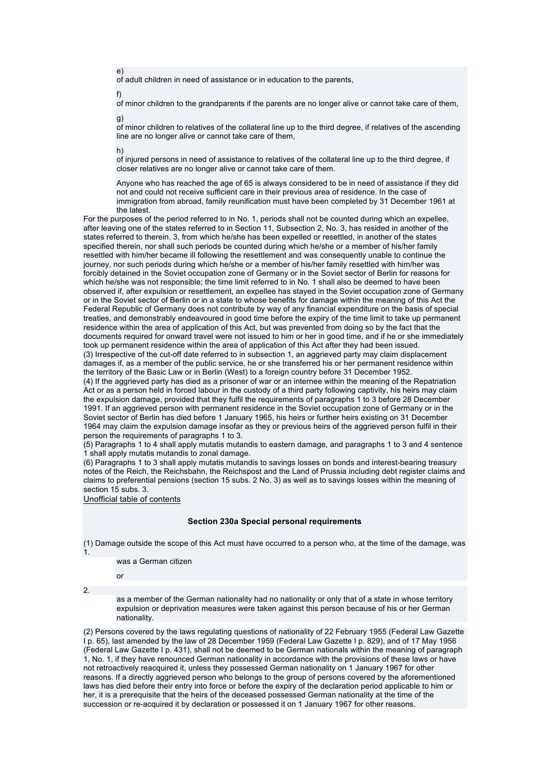of adult children in need of assistance or in education to the parents,

f)

e)

of minor children to the grandparents if the parents are no longer alive or cannot take care of them, g)

of minor children to relatives of the collateral line up to the third degree, if relatives of the ascending line are no longer alive or cannot take care of them,

h)

of injured persons in need of assistance to relatives of the collateral line up to the third degree, if closer relatives are no longer alive or cannot take care of them.

Anyone who has reached the age of 65 is always considered to be in need of assistance if they did not and could not receive sufficient care in their previous area of residence. In the case of immigration from abroad, family reunification must have been completed by 31 December 1961 at the latest.

For the purposes of the period referred to in No. 1, periods shall not be counted during which an expellee, after leaving one of the states referred to in Section 11, Subsection 2, No. 3, has resided in another of the states referred to therein. 3, from which he/she has been expelled or resettled, in another of the states specified therein, nor shall such periods be counted during which he/she or a member of his/her family resettled with him/her became ill following the resettlement and was consequently unable to continue the journey, nor such periods during which he/she or a member of his/her family resettled with him/her was forcibly detained in the Soviet occupation zone of Germany or in the Soviet sector of Berlin for reasons for which he/she was not responsible; the time limit referred to in No. 1 shall also be deemed to have been observed if, after expulsion or resettlement, an expellee has stayed in the Soviet occupation zone of Germany or in the Soviet sector of Berlin or in a state to whose benefits for damage within the meaning of this Act the Federal Republic of Germany does not contribute by way of any financial expenditure on the basis of special treaties, and demonstrably endeavoured in good time before the expiry of the time limit to take up permanent residence within the area of application of this Act, but was prevented from doing so by the fact that the documents required for onward travel were not issued to him or her in good time, and if he or she immediately took up permanent residence within the area of application of this Act after they had been issued. (3) Irrespective of the cut-off date referred to in subsection 1, an aggrieved party may claim displacement damages if, as a member of the public service, he or she transferred his or her permanent residence within the territory of the Basic Law or in Berlin (West) to a foreign country before 31 December 1952. (4) If the aggrieved party has died as a prisoner of war or an internee within the meaning of the Repatriation Act or as a person held in forced labour in the custody of a third party following captivity, his heirs may claim the expulsion damage, provided that they fulfil the requirements of paragraphs 1 to 3 before 28 December 1991. If an aggrieved person with permanent residence in the Soviet occupation zone of Germany or in the Soviet sector of Berlin has died before 1 January 1965, his heirs or further heirs existing on 31 December 1964 may claim the expulsion damage insofar as they or previous heirs of the aggrieved person fulfil in their person the requirements of paragraphs 1 to 3.

(5) Paragraphs 1 to 4 shall apply mutatis mutandis to eastern damage, and paragraphs 1 to 3 and 4 sentence 1 shall apply mutatis mutandis to zonal damage.

(6) Paragraphs 1 to 3 shall apply mutatis mutandis to savings losses on bonds and interest-bearing treasury notes of the Reich, the Reichsbahn, the Reichspost and the Land of Prussia including debt register claims and claims to preferential pensions (section 15 subs. 2 No. 3) as well as to savings losses within the meaning of section 15 subs. 3.

Unofficial table of contents

## **Section 230a Special personal requirements**

(1) Damage outside the scope of this Act must have occurred to a person who, at the time of the damage, was 1.

was a German citizen

or

2.

as a member of the German nationality had no nationality or only that of a state in whose territory expulsion or deprivation measures were taken against this person because of his or her German nationality.

(2) Persons covered by the laws regulating questions of nationality of 22 February 1955 (Federal Law Gazette I p. 65), last amended by the law of 28 December 1959 (Federal Law Gazette I p. 829), and of 17 May 1956 (Federal Law Gazette I p. 431), shall not be deemed to be German nationals within the meaning of paragraph 1, No. 1, if they have renounced German nationality in accordance with the provisions of these laws or have not retroactively reacquired it, unless they possessed German nationality on 1 January 1967 for other reasons. If a directly aggrieved person who belongs to the group of persons covered by the aforementioned laws has died before their entry into force or before the expiry of the declaration period applicable to him or her, it is a prerequisite that the heirs of the deceased possessed German nationality at the time of the succession or re-acquired it by declaration or possessed it on 1 January 1967 for other reasons.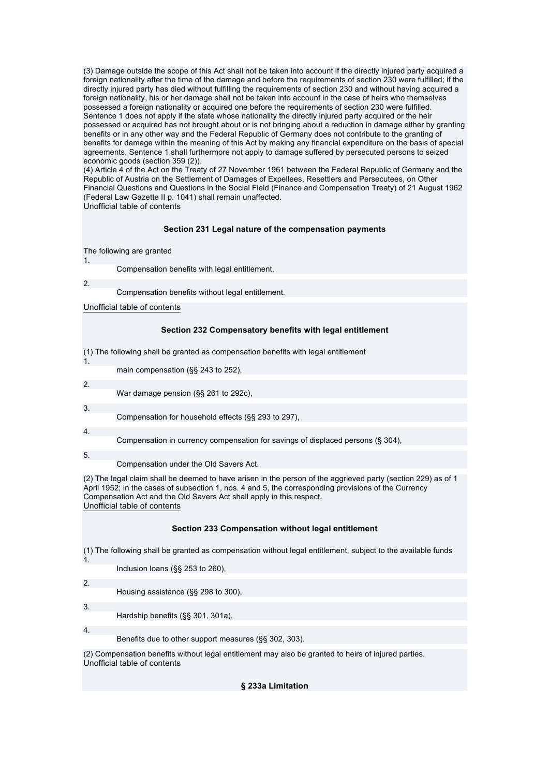(3) Damage outside the scope of this Act shall not be taken into account if the directly injured party acquired a foreign nationality after the time of the damage and before the requirements of section 230 were fulfilled; if the directly injured party has died without fulfilling the requirements of section 230 and without having acquired a foreign nationality, his or her damage shall not be taken into account in the case of heirs who themselves possessed a foreign nationality or acquired one before the requirements of section 230 were fulfilled. Sentence 1 does not apply if the state whose nationality the directly injured party acquired or the heir possessed or acquired has not brought about or is not bringing about a reduction in damage either by granting benefits or in any other way and the Federal Republic of Germany does not contribute to the granting of benefits for damage within the meaning of this Act by making any financial expenditure on the basis of special agreements. Sentence 1 shall furthermore not apply to damage suffered by persecuted persons to seized economic goods (section 359 (2)).

(4) Article 4 of the Act on the Treaty of 27 November 1961 between the Federal Republic of Germany and the Republic of Austria on the Settlement of Damages of Expellees, Resettlers and Persecutees, on Other Financial Questions and Questions in the Social Field (Finance and Compensation Treaty) of 21 August 1962 (Federal Law Gazette II p. 1041) shall remain unaffected. Unofficial table of contents

## **Section 231 Legal nature of the compensation payments**

### The following are granted

1.

2.

Compensation benefits with legal entitlement,

Compensation benefits without legal entitlement.

## Unofficial table of contents

## **Section 232 Compensatory benefits with legal entitlement**

(1) The following shall be granted as compensation benefits with legal entitlement

main compensation (§§ 243 to 252),

2.

1.

War damage pension (§§ 261 to 292c),

3.

Compensation for household effects (§§ 293 to 297),

4.

Compensation in currency compensation for savings of displaced persons (§ 304),

5.

Compensation under the Old Savers Act.

(2) The legal claim shall be deemed to have arisen in the person of the aggrieved party (section 229) as of 1 April 1952; in the cases of subsection 1, nos. 4 and 5, the corresponding provisions of the Currency Compensation Act and the Old Savers Act shall apply in this respect. Unofficial table of contents

## **Section 233 Compensation without legal entitlement**

(1) The following shall be granted as compensation without legal entitlement, subject to the available funds

Inclusion loans (§§ 253 to 260),

2.

3.

1.

Housing assistance (§§ 298 to 300),

Hardship benefits (§§ 301, 301a),

4.

Benefits due to other support measures (§§ 302, 303).

(2) Compensation benefits without legal entitlement may also be granted to heirs of injured parties. Unofficial table of contents

## **§ 233a Limitation**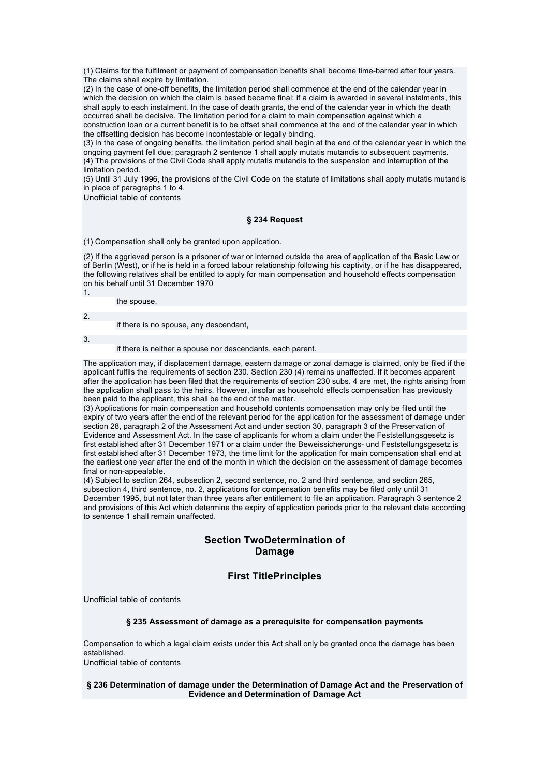(1) Claims for the fulfilment or payment of compensation benefits shall become time-barred after four years. The claims shall expire by limitation.

(2) In the case of one-off benefits, the limitation period shall commence at the end of the calendar year in which the decision on which the claim is based became final; if a claim is awarded in several instalments, this shall apply to each instalment. In the case of death grants, the end of the calendar year in which the death occurred shall be decisive. The limitation period for a claim to main compensation against which a construction loan or a current benefit is to be offset shall commence at the end of the calendar year in which the offsetting decision has become incontestable or legally binding.

(3) In the case of ongoing benefits, the limitation period shall begin at the end of the calendar year in which the ongoing payment fell due; paragraph 2 sentence 1 shall apply mutatis mutandis to subsequent payments. (4) The provisions of the Civil Code shall apply mutatis mutandis to the suspension and interruption of the limitation period.

(5) Until 31 July 1996, the provisions of the Civil Code on the statute of limitations shall apply mutatis mutandis in place of paragraphs 1 to 4.

Unofficial table of contents

## **§ 234 Request**

(1) Compensation shall only be granted upon application.

(2) If the aggrieved person is a prisoner of war or interned outside the area of application of the Basic Law or of Berlin (West), or if he is held in a forced labour relationship following his captivity, or if he has disappeared, the following relatives shall be entitled to apply for main compensation and household effects compensation on his behalf until 31 December 1970 1.

the spouse,

if there is no spouse, any descendant,

3.

2.

if there is neither a spouse nor descendants, each parent.

The application may, if displacement damage, eastern damage or zonal damage is claimed, only be filed if the applicant fulfils the requirements of section 230. Section 230 (4) remains unaffected. If it becomes apparent after the application has been filed that the requirements of section 230 subs. 4 are met, the rights arising from the application shall pass to the heirs. However, insofar as household effects compensation has previously been paid to the applicant, this shall be the end of the matter.

(3) Applications for main compensation and household contents compensation may only be filed until the expiry of two years after the end of the relevant period for the application for the assessment of damage under section 28, paragraph 2 of the Assessment Act and under section 30, paragraph 3 of the Preservation of Evidence and Assessment Act. In the case of applicants for whom a claim under the Feststellungsgesetz is first established after 31 December 1971 or a claim under the Beweissicherungs- und Feststellungsgesetz is first established after 31 December 1973, the time limit for the application for main compensation shall end at the earliest one year after the end of the month in which the decision on the assessment of damage becomes final or non-appealable.

(4) Subject to section 264, subsection 2, second sentence, no. 2 and third sentence, and section 265, subsection 4, third sentence, no. 2, applications for compensation benefits may be filed only until 31 December 1995, but not later than three years after entitlement to file an application. Paragraph 3 sentence 2 and provisions of this Act which determine the expiry of application periods prior to the relevant date according to sentence 1 shall remain unaffected.

# **Section TwoDetermination of Damage**

# **First TitlePrinciples**

Unofficial table of contents

## **§ 235 Assessment of damage as a prerequisite for compensation payments**

Compensation to which a legal claim exists under this Act shall only be granted once the damage has been established.

Unofficial table of contents

## **§ 236 Determination of damage under the Determination of Damage Act and the Preservation of Evidence and Determination of Damage Act**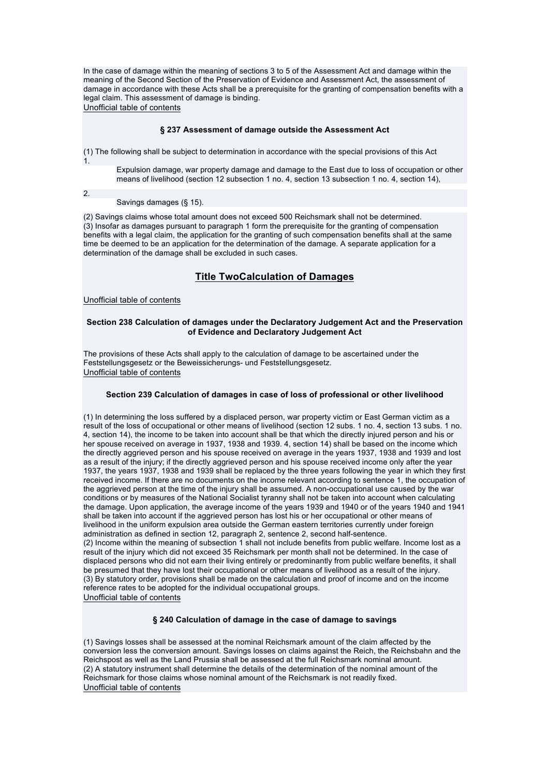In the case of damage within the meaning of sections 3 to 5 of the Assessment Act and damage within the meaning of the Second Section of the Preservation of Evidence and Assessment Act, the assessment of damage in accordance with these Acts shall be a prerequisite for the granting of compensation benefits with a legal claim. This assessment of damage is binding. Unofficial table of contents

### **§ 237 Assessment of damage outside the Assessment Act**

(1) The following shall be subject to determination in accordance with the special provisions of this Act 1.

Expulsion damage, war property damage and damage to the East due to loss of occupation or other means of livelihood (section 12 subsection 1 no. 4, section 13 subsection 1 no. 4, section 14),

## 2.

Savings damages (§ 15).

(2) Savings claims whose total amount does not exceed 500 Reichsmark shall not be determined. (3) Insofar as damages pursuant to paragraph 1 form the prerequisite for the granting of compensation benefits with a legal claim, the application for the granting of such compensation benefits shall at the same time be deemed to be an application for the determination of the damage. A separate application for a determination of the damage shall be excluded in such cases.

## **Title TwoCalculation of Damages**

#### Unofficial table of contents

### **Section 238 Calculation of damages under the Declaratory Judgement Act and the Preservation of Evidence and Declaratory Judgement Act**

The provisions of these Acts shall apply to the calculation of damage to be ascertained under the Feststellungsgesetz or the Beweissicherungs- und Feststellungsgesetz. Unofficial table of contents

### **Section 239 Calculation of damages in case of loss of professional or other livelihood**

(1) In determining the loss suffered by a displaced person, war property victim or East German victim as a result of the loss of occupational or other means of livelihood (section 12 subs. 1 no. 4, section 13 subs. 1 no. 4, section 14), the income to be taken into account shall be that which the directly injured person and his or her spouse received on average in 1937, 1938 and 1939. 4, section 14) shall be based on the income which the directly aggrieved person and his spouse received on average in the years 1937, 1938 and 1939 and lost as a result of the injury; if the directly aggrieved person and his spouse received income only after the year 1937, the years 1937, 1938 and 1939 shall be replaced by the three years following the year in which they first received income. If there are no documents on the income relevant according to sentence 1, the occupation of the aggrieved person at the time of the injury shall be assumed. A non-occupational use caused by the war conditions or by measures of the National Socialist tyranny shall not be taken into account when calculating the damage. Upon application, the average income of the years 1939 and 1940 or of the years 1940 and 1941 shall be taken into account if the aggrieved person has lost his or her occupational or other means of livelihood in the uniform expulsion area outside the German eastern territories currently under foreign administration as defined in section 12, paragraph 2, sentence 2, second half-sentence. (2) Income within the meaning of subsection 1 shall not include benefits from public welfare. Income lost as a result of the injury which did not exceed 35 Reichsmark per month shall not be determined. In the case of displaced persons who did not earn their living entirely or predominantly from public welfare benefits, it shall be presumed that they have lost their occupational or other means of livelihood as a result of the injury. (3) By statutory order, provisions shall be made on the calculation and proof of income and on the income reference rates to be adopted for the individual occupational groups. Unofficial table of contents

## **§ 240 Calculation of damage in the case of damage to savings**

(1) Savings losses shall be assessed at the nominal Reichsmark amount of the claim affected by the conversion less the conversion amount. Savings losses on claims against the Reich, the Reichsbahn and the Reichspost as well as the Land Prussia shall be assessed at the full Reichsmark nominal amount. (2) A statutory instrument shall determine the details of the determination of the nominal amount of the Reichsmark for those claims whose nominal amount of the Reichsmark is not readily fixed. Unofficial table of contents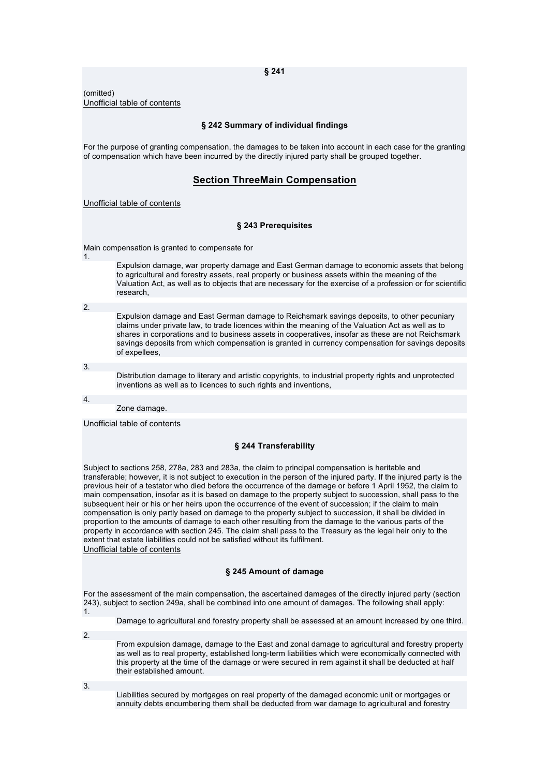(omitted) Unofficial table of contents

### **§ 242 Summary of individual findings**

For the purpose of granting compensation, the damages to be taken into account in each case for the granting of compensation which have been incurred by the directly injured party shall be grouped together.

## **Section ThreeMain Compensation**

#### Unofficial table of contents

### **§ 243 Prerequisites**

Main compensation is granted to compensate for

1.

Expulsion damage, war property damage and East German damage to economic assets that belong to agricultural and forestry assets, real property or business assets within the meaning of the Valuation Act, as well as to objects that are necessary for the exercise of a profession or for scientific research,

2.

Expulsion damage and East German damage to Reichsmark savings deposits, to other pecuniary claims under private law, to trade licences within the meaning of the Valuation Act as well as to shares in corporations and to business assets in cooperatives, insofar as these are not Reichsmark savings deposits from which compensation is granted in currency compensation for savings deposits of expellees,

3.

Distribution damage to literary and artistic copyrights, to industrial property rights and unprotected inventions as well as to licences to such rights and inventions,

4.

Zone damage.

Unofficial table of contents

### **§ 244 Transferability**

Subject to sections 258, 278a, 283 and 283a, the claim to principal compensation is heritable and transferable; however, it is not subject to execution in the person of the injured party. If the injured party is the previous heir of a testator who died before the occurrence of the damage or before 1 April 1952, the claim to main compensation, insofar as it is based on damage to the property subject to succession, shall pass to the subsequent heir or his or her heirs upon the occurrence of the event of succession; if the claim to main compensation is only partly based on damage to the property subject to succession, it shall be divided in proportion to the amounts of damage to each other resulting from the damage to the various parts of the property in accordance with section 245. The claim shall pass to the Treasury as the legal heir only to the extent that estate liabilities could not be satisfied without its fulfilment. Unofficial table of contents

### **§ 245 Amount of damage**

For the assessment of the main compensation, the ascertained damages of the directly injured party (section 243), subject to section 249a, shall be combined into one amount of damages. The following shall apply: 1.

- Damage to agricultural and forestry property shall be assessed at an amount increased by one third.
- $\overline{2}$

From expulsion damage, damage to the East and zonal damage to agricultural and forestry property as well as to real property, established long-term liabilities which were economically connected with this property at the time of the damage or were secured in rem against it shall be deducted at half their established amount.

3.

Liabilities secured by mortgages on real property of the damaged economic unit or mortgages or annuity debts encumbering them shall be deducted from war damage to agricultural and forestry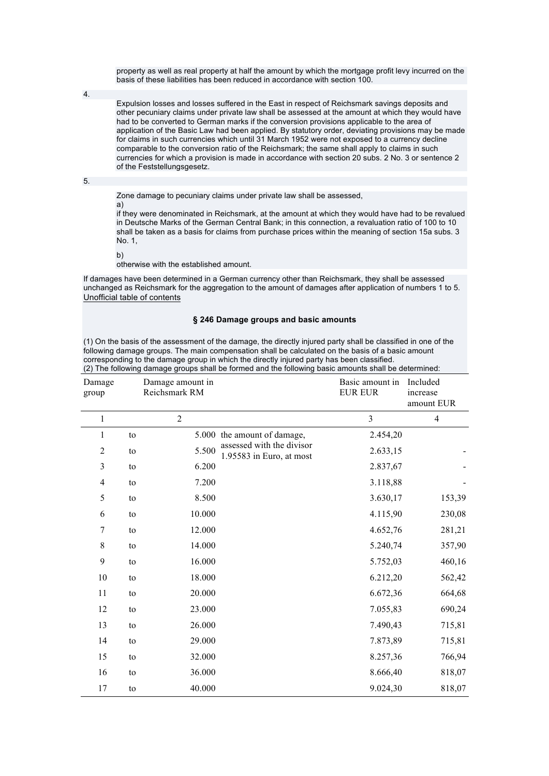property as well as real property at half the amount by which the mortgage profit levy incurred on the basis of these liabilities has been reduced in accordance with section 100.

4.

Expulsion losses and losses suffered in the East in respect of Reichsmark savings deposits and other pecuniary claims under private law shall be assessed at the amount at which they would have had to be converted to German marks if the conversion provisions applicable to the area of application of the Basic Law had been applied. By statutory order, deviating provisions may be made for claims in such currencies which until 31 March 1952 were not exposed to a currency decline comparable to the conversion ratio of the Reichsmark; the same shall apply to claims in such currencies for which a provision is made in accordance with section 20 subs. 2 No. 3 or sentence 2 of the Feststellungsgesetz.

5.

Zone damage to pecuniary claims under private law shall be assessed,

a) if they were denominated in Reichsmark, at the amount at which they would have had to be revalued in Deutsche Marks of the German Central Bank; in this connection, a revaluation ratio of 100 to 10 shall be taken as a basis for claims from purchase prices within the meaning of section 15a subs. 3  $N<sub>0</sub>$  1

b)

otherwise with the established amount.

If damages have been determined in a German currency other than Reichsmark, they shall be assessed unchanged as Reichsmark for the aggregation to the amount of damages after application of numbers 1 to 5. Unofficial table of contents

### **§ 246 Damage groups and basic amounts**

(1) On the basis of the assessment of the damage, the directly injured party shall be classified in one of the following damage groups. The main compensation shall be calculated on the basis of a basic amount corresponding to the damage group in which the directly injured party has been classified. (2) The following damage groups shall be formed and the following basic amounts shall be determined:

| Damage<br>group         |    | Damage amount in<br>Reichsmark RM |                                                       | Basic amount in<br><b>EUR EUR</b> | Included<br>increase<br>amount EUR |
|-------------------------|----|-----------------------------------|-------------------------------------------------------|-----------------------------------|------------------------------------|
| $\mathbf{1}$            |    | $\overline{2}$                    |                                                       | $\overline{3}$                    | $\overline{4}$                     |
| 1                       | to | 5.000                             | the amount of damage,                                 | 2.454,20                          |                                    |
| $\overline{c}$          | to | 5.500                             | assessed with the divisor<br>1.95583 in Euro, at most | 2.633,15                          |                                    |
| $\overline{\mathbf{3}}$ | to | 6.200                             |                                                       | 2.837,67                          |                                    |
| 4                       | to | 7.200                             |                                                       | 3.118,88                          |                                    |
| 5                       | to | 8.500                             |                                                       | 3.630,17                          | 153,39                             |
| 6                       | to | 10.000                            |                                                       | 4.115,90                          | 230,08                             |
| 7                       | to | 12.000                            |                                                       | 4.652,76                          | 281,21                             |
| $\,8$                   | to | 14.000                            |                                                       | 5.240,74                          | 357,90                             |
| 9                       | to | 16.000                            |                                                       | 5.752,03                          | 460,16                             |
| 10                      | to | 18.000                            |                                                       | 6.212,20                          | 562,42                             |
| 11                      | to | 20.000                            |                                                       | 6.672,36                          | 664,68                             |
| 12                      | to | 23.000                            |                                                       | 7.055,83                          | 690,24                             |
| 13                      | to | 26.000                            |                                                       | 7.490,43                          | 715,81                             |
| 14                      | to | 29.000                            |                                                       | 7.873,89                          | 715,81                             |
| 15                      | to | 32.000                            |                                                       | 8.257,36                          | 766,94                             |
| 16                      | to | 36.000                            |                                                       | 8.666,40                          | 818,07                             |
| 17                      | to | 40.000                            |                                                       | 9.024,30                          | 818,07                             |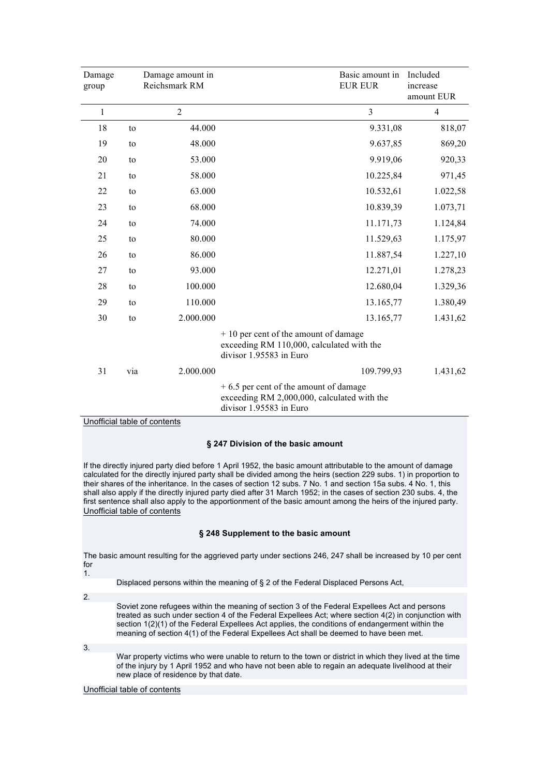| Damage<br>group |     | Damage amount in<br>Reichsmark RM | Basic amount in<br><b>EUR EUR</b>                                                                                 | Included<br>increase<br>amount EUR |
|-----------------|-----|-----------------------------------|-------------------------------------------------------------------------------------------------------------------|------------------------------------|
| $\mathbf{1}$    |     | $\overline{2}$                    | $\overline{3}$                                                                                                    | $\overline{4}$                     |
| 18              | to  | 44.000                            | 9.331,08                                                                                                          | 818,07                             |
| 19              | to  | 48.000                            | 9.637,85                                                                                                          | 869,20                             |
| 20              | to  | 53.000                            | 9.919,06                                                                                                          | 920,33                             |
| 21              | to  | 58.000                            | 10.225,84                                                                                                         | 971,45                             |
| 22              | to  | 63.000                            | 10.532,61                                                                                                         | 1.022,58                           |
| 23              | to  | 68.000                            | 10.839,39                                                                                                         | 1.073,71                           |
| 24              | to  | 74.000                            | 11.171,73                                                                                                         | 1.124,84                           |
| 25              | to  | 80.000                            | 11.529,63                                                                                                         | 1.175,97                           |
| 26              | to  | 86.000                            | 11.887,54                                                                                                         | 1.227,10                           |
| 27              | to  | 93.000                            | 12.271,01                                                                                                         | 1.278,23                           |
| 28              | to  | 100.000                           | 12.680,04                                                                                                         | 1.329,36                           |
| 29              | to  | 110.000                           | 13.165,77                                                                                                         | 1.380,49                           |
| 30              | to  | 2.000.000                         | 13.165,77                                                                                                         | 1.431,62                           |
|                 |     |                                   | + 10 per cent of the amount of damage<br>exceeding RM 110,000, calculated with the<br>divisor 1.95583 in Euro     |                                    |
| 31              | via | 2.000.000                         | 109.799,93                                                                                                        | 1.431,62                           |
|                 |     |                                   | $+6.5$ per cent of the amount of damage<br>exceeding RM 2,000,000, calculated with the<br>divisor 1.95583 in Euro |                                    |

## Unofficial table of contents

## **§ 247 Division of the basic amount**

If the directly injured party died before 1 April 1952, the basic amount attributable to the amount of damage calculated for the directly injured party shall be divided among the heirs (section 229 subs. 1) in proportion to their shares of the inheritance. In the cases of section 12 subs. 7 No. 1 and section 15a subs. 4 No. 1, this shall also apply if the directly injured party died after 31 March 1952; in the cases of section 230 subs. 4, the first sentence shall also apply to the apportionment of the basic amount among the heirs of the injured party. Unofficial table of contents

## **§ 248 Supplement to the basic amount**

The basic amount resulting for the aggrieved party under sections 246, 247 shall be increased by 10 per cent for 1.

Displaced persons within the meaning of § 2 of the Federal Displaced Persons Act,

2.

Soviet zone refugees within the meaning of section 3 of the Federal Expellees Act and persons treated as such under section 4 of the Federal Expellees Act; where section 4(2) in conjunction with section 1(2)(1) of the Federal Expellees Act applies, the conditions of endangerment within the meaning of section 4(1) of the Federal Expellees Act shall be deemed to have been met.

3.

War property victims who were unable to return to the town or district in which they lived at the time of the injury by 1 April 1952 and who have not been able to regain an adequate livelihood at their new place of residence by that date.

Unofficial table of contents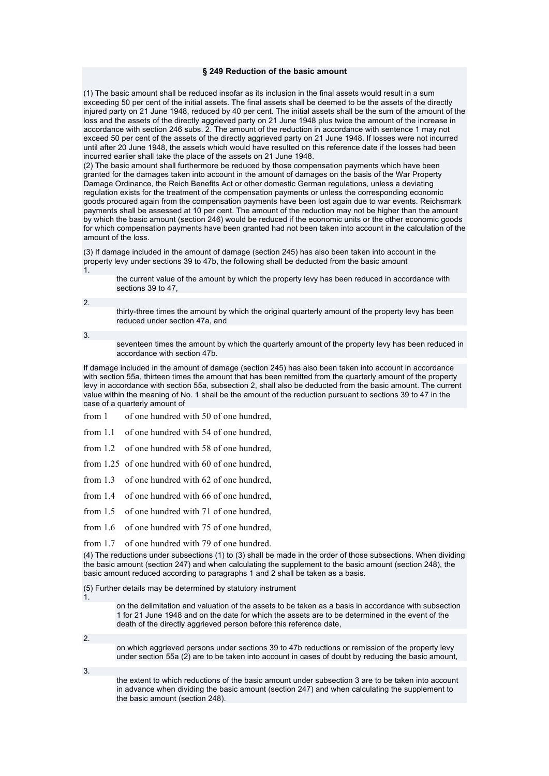#### **§ 249 Reduction of the basic amount**

(1) The basic amount shall be reduced insofar as its inclusion in the final assets would result in a sum exceeding 50 per cent of the initial assets. The final assets shall be deemed to be the assets of the directly injured party on 21 June 1948, reduced by 40 per cent. The initial assets shall be the sum of the amount of the loss and the assets of the directly aggrieved party on 21 June 1948 plus twice the amount of the increase in accordance with section 246 subs. 2. The amount of the reduction in accordance with sentence 1 may not exceed 50 per cent of the assets of the directly aggrieved party on 21 June 1948. If losses were not incurred until after 20 June 1948, the assets which would have resulted on this reference date if the losses had been incurred earlier shall take the place of the assets on 21 June 1948.

(2) The basic amount shall furthermore be reduced by those compensation payments which have been granted for the damages taken into account in the amount of damages on the basis of the War Property Damage Ordinance, the Reich Benefits Act or other domestic German regulations, unless a deviating regulation exists for the treatment of the compensation payments or unless the corresponding economic goods procured again from the compensation payments have been lost again due to war events. Reichsmark payments shall be assessed at 10 per cent. The amount of the reduction may not be higher than the amount by which the basic amount (section 246) would be reduced if the economic units or the other economic goods for which compensation payments have been granted had not been taken into account in the calculation of the amount of the loss.

(3) If damage included in the amount of damage (section 245) has also been taken into account in the property levy under sections 39 to 47b, the following shall be deducted from the basic amount 1.

the current value of the amount by which the property levy has been reduced in accordance with sections 39 to 47,

2.

thirty-three times the amount by which the original quarterly amount of the property levy has been reduced under section 47a, and

3.

seventeen times the amount by which the quarterly amount of the property levy has been reduced in accordance with section 47b.

If damage included in the amount of damage (section 245) has also been taken into account in accordance with section 55a, thirteen times the amount that has been remitted from the quarterly amount of the property levy in accordance with section 55a, subsection 2, shall also be deducted from the basic amount. The current value within the meaning of No. 1 shall be the amount of the reduction pursuant to sections 39 to 47 in the case of a quarterly amount of

from 1 of one hundred with 50 of one hundred,

from 1.1 of one hundred with 54 of one hundred,

from 1.2 of one hundred with 58 of one hundred,

from 1.25 of one hundred with 60 of one hundred,

from 1.3 of one hundred with 62 of one hundred,

from 1.4 of one hundred with 66 of one hundred,

from 1.5 of one hundred with 71 of one hundred,

from 1.6 of one hundred with 75 of one hundred,

from 1.7 of one hundred with 79 of one hundred.

(4) The reductions under subsections (1) to (3) shall be made in the order of those subsections. When dividing the basic amount (section 247) and when calculating the supplement to the basic amount (section 248), the basic amount reduced according to paragraphs 1 and 2 shall be taken as a basis.

(5) Further details may be determined by statutory instrument

1.

on the delimitation and valuation of the assets to be taken as a basis in accordance with subsection 1 for 21 June 1948 and on the date for which the assets are to be determined in the event of the death of the directly aggrieved person before this reference date,

2.

on which aggrieved persons under sections 39 to 47b reductions or remission of the property levy under section 55a (2) are to be taken into account in cases of doubt by reducing the basic amount,

3.

the extent to which reductions of the basic amount under subsection 3 are to be taken into account in advance when dividing the basic amount (section 247) and when calculating the supplement to the basic amount (section 248).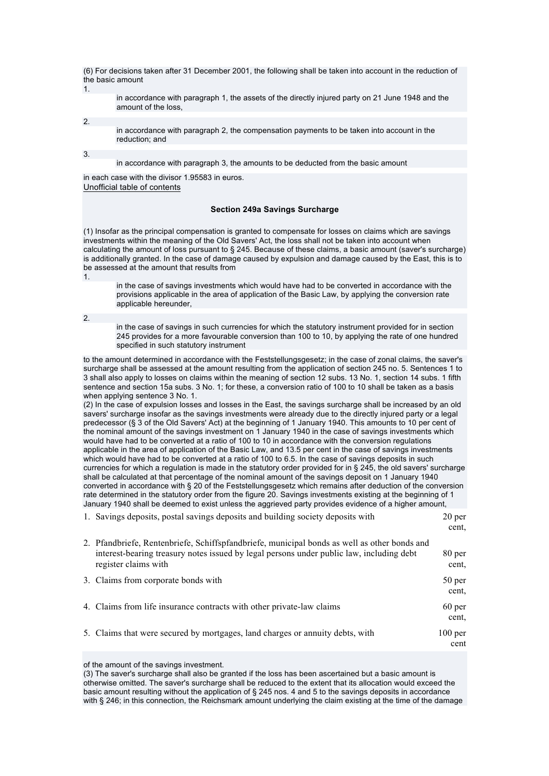(6) For decisions taken after 31 December 2001, the following shall be taken into account in the reduction of the basic amount 1.

in accordance with paragraph 1, the assets of the directly injured party on 21 June 1948 and the amount of the loss,

2.

in accordance with paragraph 2, the compensation payments to be taken into account in the reduction; and

3.

in accordance with paragraph 3, the amounts to be deducted from the basic amount

in each case with the divisor 1.95583 in euros. Unofficial table of contents

### **Section 249a Savings Surcharge**

(1) Insofar as the principal compensation is granted to compensate for losses on claims which are savings investments within the meaning of the Old Savers' Act, the loss shall not be taken into account when calculating the amount of loss pursuant to § 245. Because of these claims, a basic amount (saver's surcharge) is additionally granted. In the case of damage caused by expulsion and damage caused by the East, this is to be assessed at the amount that results from 1.

in the case of savings investments which would have had to be converted in accordance with the provisions applicable in the area of application of the Basic Law, by applying the conversion rate applicable hereunder,

2.

in the case of savings in such currencies for which the statutory instrument provided for in section 245 provides for a more favourable conversion than 100 to 10, by applying the rate of one hundred specified in such statutory instrument

to the amount determined in accordance with the Feststellungsgesetz; in the case of zonal claims, the saver's surcharge shall be assessed at the amount resulting from the application of section 245 no. 5. Sentences 1 to 3 shall also apply to losses on claims within the meaning of section 12 subs. 13 No. 1, section 14 subs. 1 fifth sentence and section 15a subs. 3 No. 1; for these, a conversion ratio of 100 to 10 shall be taken as a basis when applying sentence 3 No. 1.

(2) In the case of expulsion losses and losses in the East, the savings surcharge shall be increased by an old savers' surcharge insofar as the savings investments were already due to the directly injured party or a legal predecessor (§ 3 of the Old Savers' Act) at the beginning of 1 January 1940. This amounts to 10 per cent of the nominal amount of the savings investment on 1 January 1940 in the case of savings investments which would have had to be converted at a ratio of 100 to 10 in accordance with the conversion regulations applicable in the area of application of the Basic Law, and 13.5 per cent in the case of savings investments which would have had to be converted at a ratio of 100 to 6.5. In the case of savings deposits in such currencies for which a regulation is made in the statutory order provided for in § 245, the old savers' surcharge shall be calculated at that percentage of the nominal amount of the savings deposit on 1 January 1940 converted in accordance with § 20 of the Feststellungsgesetz which remains after deduction of the conversion rate determined in the statutory order from the figure 20. Savings investments existing at the beginning of 1 January 1940 shall be deemed to exist unless the aggrieved party provides evidence of a higher amount,

| 1. Savings deposits, postal savings deposits and building society deposits with                                                                                                                                  | 20 <sub>per</sub><br>cent. |
|------------------------------------------------------------------------------------------------------------------------------------------------------------------------------------------------------------------|----------------------------|
| 2. Pfandbriefe, Rentenbriefe, Schiffspfandbriefe, municipal bonds as well as other bonds and<br>interest-bearing treasury notes issued by legal persons under public law, including debt<br>register claims with | 80 per<br>cent.            |
| 3. Claims from corporate bonds with                                                                                                                                                                              | 50 per<br>cent.            |
| 4. Claims from life insurance contracts with other private-law claims                                                                                                                                            | 60 <sub>per</sub><br>cent. |
| 5. Claims that were secured by mortgages, land charges or annuity debts, with                                                                                                                                    | $100$ per<br>cent          |
|                                                                                                                                                                                                                  |                            |

### of the amount of the savings investment.

(3) The saver's surcharge shall also be granted if the loss has been ascertained but a basic amount is otherwise omitted. The saver's surcharge shall be reduced to the extent that its allocation would exceed the basic amount resulting without the application of § 245 nos. 4 and 5 to the savings deposits in accordance with § 246; in this connection, the Reichsmark amount underlying the claim existing at the time of the damage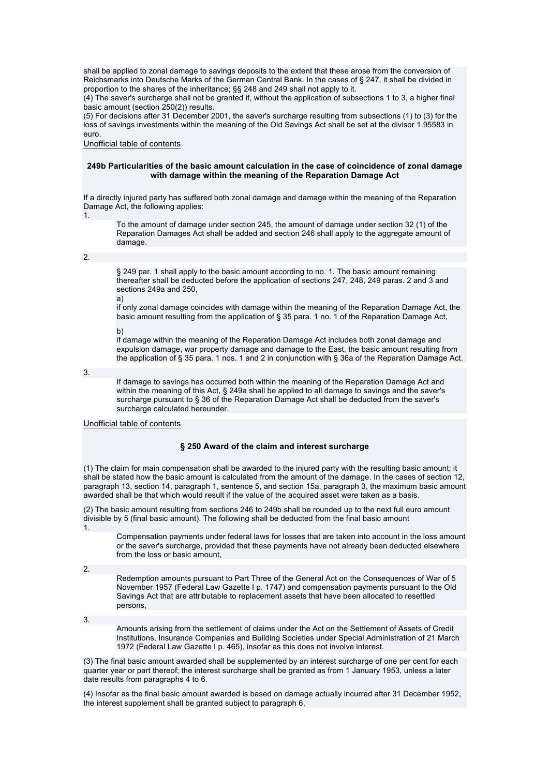shall be applied to zonal damage to savings deposits to the extent that these arose from the conversion of Reichsmarks into Deutsche Marks of the German Central Bank. In the cases of § 247, it shall be divided in proportion to the shares of the inheritance; §§ 248 and 249 shall not apply to it.

(4) The saver's surcharge shall not be granted if, without the application of subsections 1 to 3, a higher final basic amount (section 250(2)) results.

(5) For decisions after 31 December 2001, the saver's surcharge resulting from subsections (1) to (3) for the loss of savings investments within the meaning of the Old Savings Act shall be set at the divisor 1.95583 in euro.

Unofficial table of contents

## **249b Particularities of the basic amount calculation in the case of coincidence of zonal damage with damage within the meaning of the Reparation Damage Act**

If a directly injured party has suffered both zonal damage and damage within the meaning of the Reparation Damage Act, the following applies:

1.

To the amount of damage under section 245, the amount of damage under section 32 (1) of the Reparation Damages Act shall be added and section 246 shall apply to the aggregate amount of damage.

2.

§ 249 par. 1 shall apply to the basic amount according to no. 1. The basic amount remaining thereafter shall be deducted before the application of sections 247, 248, 249 paras. 2 and 3 and sections 249a and 250,

a)

if only zonal damage coincides with damage within the meaning of the Reparation Damage Act, the basic amount resulting from the application of § 35 para. 1 no. 1 of the Reparation Damage Act,

b)

if damage within the meaning of the Reparation Damage Act includes both zonal damage and expulsion damage, war property damage and damage to the East, the basic amount resulting from the application of § 35 para. 1 nos. 1 and 2 in conjunction with § 36a of the Reparation Damage Act.

3.

If damage to savings has occurred both within the meaning of the Reparation Damage Act and within the meaning of this Act, § 249a shall be applied to all damage to savings and the saver's surcharge pursuant to § 36 of the Reparation Damage Act shall be deducted from the saver's surcharge calculated hereunder.

### Unofficial table of contents

### **§ 250 Award of the claim and interest surcharge**

(1) The claim for main compensation shall be awarded to the injured party with the resulting basic amount; it shall be stated how the basic amount is calculated from the amount of the damage. In the cases of section 12, paragraph 13, section 14, paragraph 1, sentence 5, and section 15a, paragraph 3, the maximum basic amount awarded shall be that which would result if the value of the acquired asset were taken as a basis.

(2) The basic amount resulting from sections 246 to 249b shall be rounded up to the next full euro amount divisible by 5 (final basic amount). The following shall be deducted from the final basic amount 1.

Compensation payments under federal laws for losses that are taken into account in the loss amount or the saver's surcharge, provided that these payments have not already been deducted elsewhere from the loss or basic amount,

 $\overline{2}$ 

Redemption amounts pursuant to Part Three of the General Act on the Consequences of War of 5 November 1957 (Federal Law Gazette I p. 1747) and compensation payments pursuant to the Old Savings Act that are attributable to replacement assets that have been allocated to resettled persons,

3.

Amounts arising from the settlement of claims under the Act on the Settlement of Assets of Credit Institutions, Insurance Companies and Building Societies under Special Administration of 21 March 1972 (Federal Law Gazette I p. 465), insofar as this does not involve interest.

(3) The final basic amount awarded shall be supplemented by an interest surcharge of one per cent for each quarter year or part thereof; the interest surcharge shall be granted as from 1 January 1953, unless a later date results from paragraphs 4 to 6.

(4) Insofar as the final basic amount awarded is based on damage actually incurred after 31 December 1952, the interest supplement shall be granted subject to paragraph 6,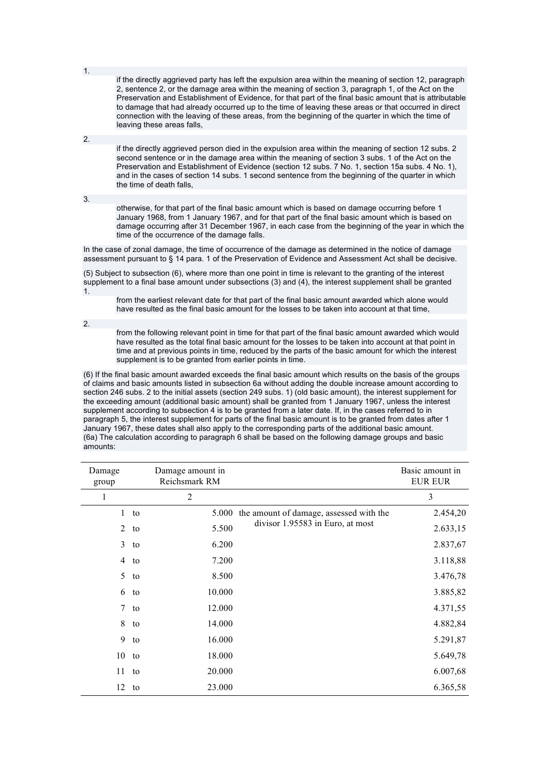if the directly aggrieved party has left the expulsion area within the meaning of section 12, paragraph 2, sentence 2, or the damage area within the meaning of section 3, paragraph 1, of the Act on the Preservation and Establishment of Evidence, for that part of the final basic amount that is attributable to damage that had already occurred up to the time of leaving these areas or that occurred in direct connection with the leaving of these areas, from the beginning of the quarter in which the time of leaving these areas falls,

2.

1.

if the directly aggrieved person died in the expulsion area within the meaning of section 12 subs. 2 second sentence or in the damage area within the meaning of section 3 subs. 1 of the Act on the Preservation and Establishment of Evidence (section 12 subs. 7 No. 1, section 15a subs. 4 No. 1), and in the cases of section 14 subs. 1 second sentence from the beginning of the quarter in which the time of death falls,

3.

otherwise, for that part of the final basic amount which is based on damage occurring before 1 January 1968, from 1 January 1967, and for that part of the final basic amount which is based on damage occurring after 31 December 1967, in each case from the beginning of the year in which the time of the occurrence of the damage falls.

In the case of zonal damage, the time of occurrence of the damage as determined in the notice of damage assessment pursuant to § 14 para. 1 of the Preservation of Evidence and Assessment Act shall be decisive.

(5) Subject to subsection (6), where more than one point in time is relevant to the granting of the interest supplement to a final base amount under subsections (3) and (4), the interest supplement shall be granted 1.

from the earliest relevant date for that part of the final basic amount awarded which alone would have resulted as the final basic amount for the losses to be taken into account at that time,

2.

from the following relevant point in time for that part of the final basic amount awarded which would have resulted as the total final basic amount for the losses to be taken into account at that point in time and at previous points in time, reduced by the parts of the basic amount for which the interest supplement is to be granted from earlier points in time.

(6) If the final basic amount awarded exceeds the final basic amount which results on the basis of the groups of claims and basic amounts listed in subsection 6a without adding the double increase amount according to section 246 subs. 2 to the initial assets (section 249 subs. 1) (old basic amount), the interest supplement for the exceeding amount (additional basic amount) shall be granted from 1 January 1967, unless the interest supplement according to subsection 4 is to be granted from a later date. If, in the cases referred to in paragraph 5, the interest supplement for parts of the final basic amount is to be granted from dates after 1 January 1967, these dates shall also apply to the corresponding parts of the additional basic amount. (6a) The calculation according to paragraph 6 shall be based on the following damage groups and basic amounts:

| Damage<br>group |        | Damage amount in<br>Reichsmark RM |                                         | Basic amount in<br><b>EUR EUR</b> |
|-----------------|--------|-----------------------------------|-----------------------------------------|-----------------------------------|
| 1               |        | $\overline{2}$                    |                                         | 3                                 |
|                 | $1$ to | 5.000                             | the amount of damage, assessed with the | 2.454,20                          |
| $\overline{2}$  | to     | 5.500                             | divisor 1.95583 in Euro, at most        | 2.633,15                          |
| $\mathfrak{Z}$  | to     | 6.200                             |                                         | 2.837,67                          |
| $\overline{4}$  | to     | 7.200                             |                                         | 3.118,88                          |
| 5               | to     | 8.500                             |                                         | 3.476,78                          |
| 6               | to     | 10.000                            |                                         | 3.885,82                          |
|                 | $7$ to | 12.000                            |                                         | 4.371,55                          |
| 8               | to     | 14.000                            |                                         | 4.882,84                          |
| 9               | to     | 16.000                            |                                         | 5.291,87                          |
| $10$ to         |        | 18.000                            |                                         | 5.649,78                          |
| 11              | to     | 20.000                            |                                         | 6.007,68                          |
| $12$ to         |        | 23.000                            |                                         | 6.365,58                          |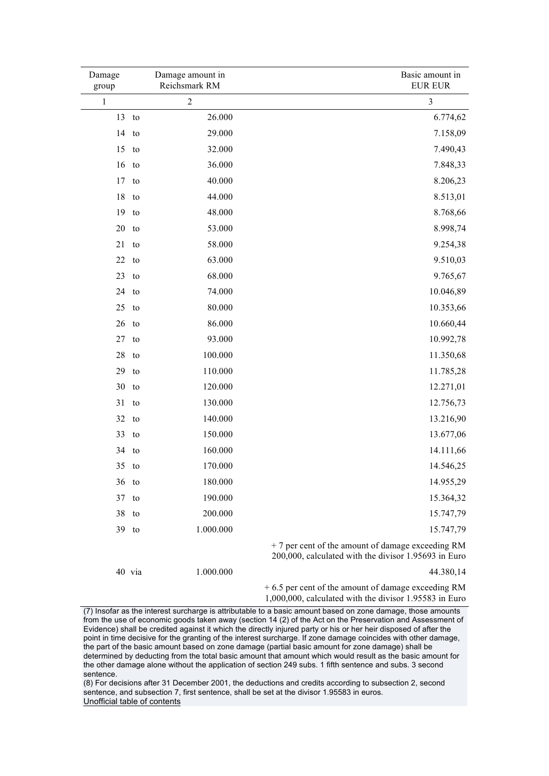| Damage<br>group |    | Damage amount in<br>Reichsmark RM | Basic amount in<br><b>EUR EUR</b>                                                                         |
|-----------------|----|-----------------------------------|-----------------------------------------------------------------------------------------------------------|
| $\mathbf{1}$    |    | $\boldsymbol{2}$                  | $\mathfrak{Z}$                                                                                            |
| 13              | to | 26.000                            | 6.774,62                                                                                                  |
| 14              | to | 29.000                            | 7.158,09                                                                                                  |
| 15              | to | 32.000                            | 7.490,43                                                                                                  |
| 16              | to | 36.000                            | 7.848,33                                                                                                  |
| 17              | to | 40.000                            | 8.206,23                                                                                                  |
| 18              | to | 44.000                            | 8.513,01                                                                                                  |
| 19              | to | 48.000                            | 8.768,66                                                                                                  |
| $20$ to         |    | 53.000                            | 8.998,74                                                                                                  |
| 21              | to | 58.000                            | 9.254,38                                                                                                  |
| 22              | to | 63.000                            | 9.510,03                                                                                                  |
| 23              | to | 68.000                            | 9.765,67                                                                                                  |
| 24              | to | 74.000                            | 10.046,89                                                                                                 |
| 25              | to | 80.000                            | 10.353,66                                                                                                 |
| 26              | to | 86.000                            | 10.660,44                                                                                                 |
| 27              | to | 93.000                            | 10.992,78                                                                                                 |
| 28              | to | 100.000                           | 11.350,68                                                                                                 |
| 29              | to | 110.000                           | 11.785,28                                                                                                 |
| 30              | to | 120.000                           | 12.271,01                                                                                                 |
| 31              | to | 130.000                           | 12.756,73                                                                                                 |
| 32              | to | 140.000                           | 13.216,90                                                                                                 |
| 33              | to | 150.000                           | 13.677,06                                                                                                 |
| 34              | to | 160.000                           | 14.111,66                                                                                                 |
| 35              | to | 170.000                           | 14.546,25                                                                                                 |
| $36$ to         |    | 180.000                           | 14.955,29                                                                                                 |
| 37              | to | 190.000                           | 15.364,32                                                                                                 |
| 38              | to | 200.000                           | 15.747,79                                                                                                 |
| 39 to           |    | 1.000.000                         | 15.747,79                                                                                                 |
|                 |    |                                   | + 7 per cent of the amount of damage exceeding RM<br>200,000, calculated with the divisor 1.95693 in Euro |

40 via 1.000.000 44.380,14

+ 6.5 per cent of the amount of damage exceeding RM 1,000,000, calculated with the divisor 1.95583 in Euro

 $(7)$  Insofar as the interest surcharge is attributable to a basic amount based on zone damage, those amounts from the use of economic goods taken away (section 14 (2) of the Act on the Preservation and Assessment of Evidence) shall be credited against it which the directly injured party or his or her heir disposed of after the point in time decisive for the granting of the interest surcharge. If zone damage coincides with other damage, the part of the basic amount based on zone damage (partial basic amount for zone damage) shall be determined by deducting from the total basic amount that amount which would result as the basic amount for the other damage alone without the application of section 249 subs. 1 fifth sentence and subs. 3 second sentence.

(8) For decisions after 31 December 2001, the deductions and credits according to subsection 2, second sentence, and subsection 7, first sentence, shall be set at the divisor 1.95583 in euros. Unofficial table of contents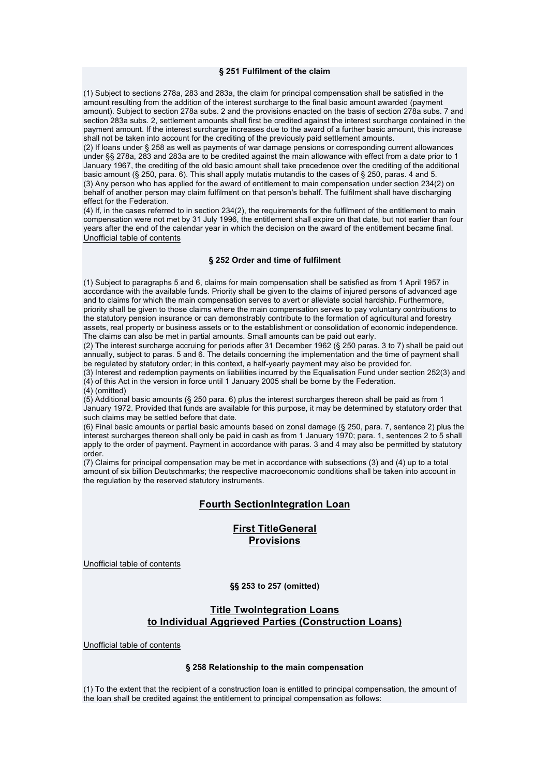#### **§ 251 Fulfilment of the claim**

(1) Subject to sections 278a, 283 and 283a, the claim for principal compensation shall be satisfied in the amount resulting from the addition of the interest surcharge to the final basic amount awarded (payment amount). Subject to section 278a subs. 2 and the provisions enacted on the basis of section 278a subs. 7 and section 283a subs. 2, settlement amounts shall first be credited against the interest surcharge contained in the payment amount. If the interest surcharge increases due to the award of a further basic amount, this increase shall not be taken into account for the crediting of the previously paid settlement amounts.

(2) If loans under § 258 as well as payments of war damage pensions or corresponding current allowances under §§ 278a, 283 and 283a are to be credited against the main allowance with effect from a date prior to 1 January 1967, the crediting of the old basic amount shall take precedence over the crediting of the additional basic amount (§ 250, para. 6). This shall apply mutatis mutandis to the cases of § 250, paras. 4 and 5. (3) Any person who has applied for the award of entitlement to main compensation under section 234(2) on behalf of another person may claim fulfilment on that person's behalf. The fulfilment shall have discharging effect for the Federation.

(4) If, in the cases referred to in section 234(2), the requirements for the fulfilment of the entitlement to main compensation were not met by 31 July 1996, the entitlement shall expire on that date, but not earlier than four years after the end of the calendar year in which the decision on the award of the entitlement became final. Unofficial table of contents

#### **§ 252 Order and time of fulfilment**

(1) Subject to paragraphs 5 and 6, claims for main compensation shall be satisfied as from 1 April 1957 in accordance with the available funds. Priority shall be given to the claims of injured persons of advanced age and to claims for which the main compensation serves to avert or alleviate social hardship. Furthermore, priority shall be given to those claims where the main compensation serves to pay voluntary contributions to the statutory pension insurance or can demonstrably contribute to the formation of agricultural and forestry assets, real property or business assets or to the establishment or consolidation of economic independence. The claims can also be met in partial amounts. Small amounts can be paid out early.

(2) The interest surcharge accruing for periods after 31 December 1962 (§ 250 paras. 3 to 7) shall be paid out annually, subject to paras. 5 and 6. The details concerning the implementation and the time of payment shall be regulated by statutory order; in this context, a half-yearly payment may also be provided for.

(3) Interest and redemption payments on liabilities incurred by the Equalisation Fund under section 252(3) and (4) of this Act in the version in force until 1 January 2005 shall be borne by the Federation.

(4) (omitted)

(5) Additional basic amounts (§ 250 para. 6) plus the interest surcharges thereon shall be paid as from 1 January 1972. Provided that funds are available for this purpose, it may be determined by statutory order that such claims may be settled before that date.

(6) Final basic amounts or partial basic amounts based on zonal damage (§ 250, para. 7, sentence 2) plus the interest surcharges thereon shall only be paid in cash as from 1 January 1970; para. 1, sentences 2 to 5 shall apply to the order of payment. Payment in accordance with paras. 3 and 4 may also be permitted by statutory order.

(7) Claims for principal compensation may be met in accordance with subsections (3) and (4) up to a total amount of six billion Deutschmarks; the respective macroeconomic conditions shall be taken into account in the regulation by the reserved statutory instruments.

## **Fourth SectionIntegration Loan**

# **First TitleGeneral Provisions**

Unofficial table of contents

### **§§ 253 to 257 (omitted)**

# **Title TwoIntegration Loans to Individual Aggrieved Parties (Construction Loans)**

Unofficial table of contents

### **§ 258 Relationship to the main compensation**

(1) To the extent that the recipient of a construction loan is entitled to principal compensation, the amount of the loan shall be credited against the entitlement to principal compensation as follows: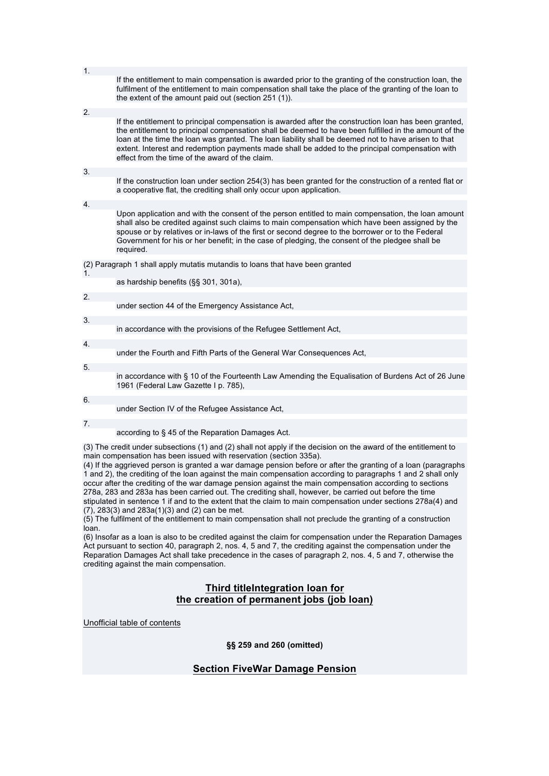| 1. | If the entitlement to main compensation is awarded prior to the granting of the construction loan, the                                                                                                                                                                                                                                                                                                                                                                       |
|----|------------------------------------------------------------------------------------------------------------------------------------------------------------------------------------------------------------------------------------------------------------------------------------------------------------------------------------------------------------------------------------------------------------------------------------------------------------------------------|
|    | fulfilment of the entitlement to main compensation shall take the place of the granting of the loan to<br>the extent of the amount paid out (section 251 (1)).                                                                                                                                                                                                                                                                                                               |
| 2. |                                                                                                                                                                                                                                                                                                                                                                                                                                                                              |
|    | If the entitlement to principal compensation is awarded after the construction loan has been granted,<br>the entitlement to principal compensation shall be deemed to have been fulfilled in the amount of the<br>loan at the time the loan was granted. The loan liability shall be deemed not to have arisen to that<br>extent. Interest and redemption payments made shall be added to the principal compensation with<br>effect from the time of the award of the claim. |
| 3. |                                                                                                                                                                                                                                                                                                                                                                                                                                                                              |
|    | If the construction loan under section 254(3) has been granted for the construction of a rented flat or<br>a cooperative flat, the crediting shall only occur upon application.                                                                                                                                                                                                                                                                                              |
| 4. |                                                                                                                                                                                                                                                                                                                                                                                                                                                                              |
|    | Upon application and with the consent of the person entitled to main compensation, the loan amount<br>shall also be credited against such claims to main compensation which have been assigned by the<br>spouse or by relatives or in-laws of the first or second degree to the borrower or to the Federal<br>Government for his or her benefit; in the case of pledging, the consent of the pledgee shall be<br>required.                                                   |
|    | (2) Paragraph 1 shall apply mutatis mutandis to loans that have been granted                                                                                                                                                                                                                                                                                                                                                                                                 |
| 1. | as hardship benefits (§§ 301, 301a),                                                                                                                                                                                                                                                                                                                                                                                                                                         |
|    |                                                                                                                                                                                                                                                                                                                                                                                                                                                                              |
| 2. | under section 44 of the Emergency Assistance Act,                                                                                                                                                                                                                                                                                                                                                                                                                            |
| 3. |                                                                                                                                                                                                                                                                                                                                                                                                                                                                              |
|    | in accordance with the provisions of the Refugee Settlement Act,                                                                                                                                                                                                                                                                                                                                                                                                             |
| 4. |                                                                                                                                                                                                                                                                                                                                                                                                                                                                              |
|    | under the Fourth and Fifth Parts of the General War Consequences Act,                                                                                                                                                                                                                                                                                                                                                                                                        |
| 5. |                                                                                                                                                                                                                                                                                                                                                                                                                                                                              |
|    | in accordance with § 10 of the Fourteenth Law Amending the Equalisation of Burdens Act of 26 June<br>1961 (Federal Law Gazette I p. 785).                                                                                                                                                                                                                                                                                                                                    |
| 6. |                                                                                                                                                                                                                                                                                                                                                                                                                                                                              |
|    | under Section IV of the Refugee Assistance Act,                                                                                                                                                                                                                                                                                                                                                                                                                              |
| 7. |                                                                                                                                                                                                                                                                                                                                                                                                                                                                              |
|    | according to § 45 of the Reparation Damages Act.                                                                                                                                                                                                                                                                                                                                                                                                                             |
|    | (3) The credit under subsections (1) and (2) shall not apply if the decision on the award of the entitlement to<br>main compensation has been issued with reservation (section 335a).<br>$(4)$ If the continued person is graphed a wer demage pension before at effect the graphing of a leap (personal)                                                                                                                                                                    |

(4) If the aggrieved person is granted a war damage pension before or after the granting of a loan (paragraphs 1 and 2), the crediting of the loan against the main compensation according to paragraphs 1 and 2 shall only occur after the crediting of the war damage pension against the main compensation according to sections 278a, 283 and 283a has been carried out. The crediting shall, however, be carried out before the time stipulated in sentence 1 if and to the extent that the claim to main compensation under sections 278a(4) and (7), 283(3) and 283a(1)(3) and (2) can be met.

(5) The fulfilment of the entitlement to main compensation shall not preclude the granting of a construction loan.

(6) Insofar as a loan is also to be credited against the claim for compensation under the Reparation Damages Act pursuant to section 40, paragraph 2, nos. 4, 5 and 7, the crediting against the compensation under the Reparation Damages Act shall take precedence in the cases of paragraph 2, nos. 4, 5 and 7, otherwise the crediting against the main compensation.

# **Third titleIntegration loan for the creation of permanent jobs (job loan)**

Unofficial table of contents

**§§ 259 and 260 (omitted)**

# **Section FiveWar Damage Pension**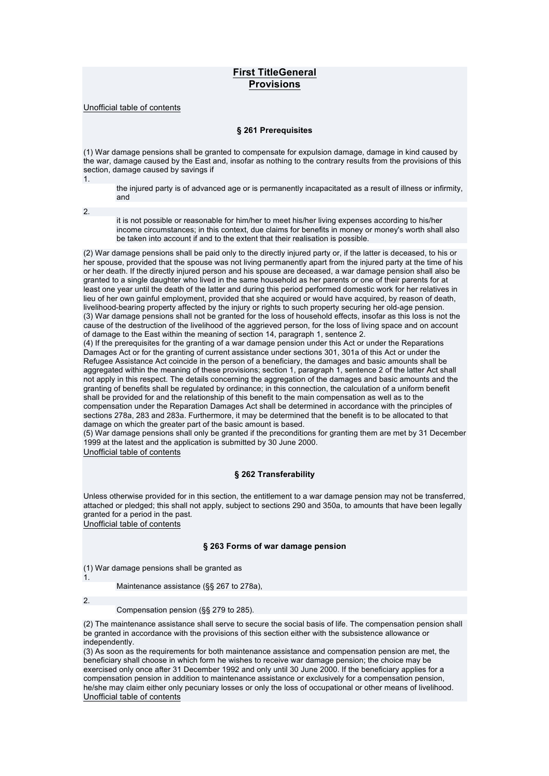# **First TitleGeneral Provisions**

Unofficial table of contents

### **§ 261 Prerequisites**

(1) War damage pensions shall be granted to compensate for expulsion damage, damage in kind caused by the war, damage caused by the East and, insofar as nothing to the contrary results from the provisions of this section, damage caused by savings if 1.

the injured party is of advanced age or is permanently incapacitated as a result of illness or infirmity, and

2.

it is not possible or reasonable for him/her to meet his/her living expenses according to his/her income circumstances; in this context, due claims for benefits in money or money's worth shall also be taken into account if and to the extent that their realisation is possible.

(2) War damage pensions shall be paid only to the directly injured party or, if the latter is deceased, to his or her spouse, provided that the spouse was not living permanently apart from the injured party at the time of his or her death. If the directly injured person and his spouse are deceased, a war damage pension shall also be granted to a single daughter who lived in the same household as her parents or one of their parents for at least one year until the death of the latter and during this period performed domestic work for her relatives in lieu of her own gainful employment, provided that she acquired or would have acquired, by reason of death, livelihood-bearing property affected by the injury or rights to such property securing her old-age pension. (3) War damage pensions shall not be granted for the loss of household effects, insofar as this loss is not the cause of the destruction of the livelihood of the aggrieved person, for the loss of living space and on account of damage to the East within the meaning of section 14, paragraph 1, sentence 2.

(4) If the prerequisites for the granting of a war damage pension under this Act or under the Reparations Damages Act or for the granting of current assistance under sections 301, 301a of this Act or under the Refugee Assistance Act coincide in the person of a beneficiary, the damages and basic amounts shall be aggregated within the meaning of these provisions; section 1, paragraph 1, sentence 2 of the latter Act shall not apply in this respect. The details concerning the aggregation of the damages and basic amounts and the granting of benefits shall be regulated by ordinance; in this connection, the calculation of a uniform benefit shall be provided for and the relationship of this benefit to the main compensation as well as to the compensation under the Reparation Damages Act shall be determined in accordance with the principles of sections 278a, 283 and 283a. Furthermore, it may be determined that the benefit is to be allocated to that damage on which the greater part of the basic amount is based.

(5) War damage pensions shall only be granted if the preconditions for granting them are met by 31 December 1999 at the latest and the application is submitted by 30 June 2000.

Unofficial table of contents

## **§ 262 Transferability**

Unless otherwise provided for in this section, the entitlement to a war damage pension may not be transferred, attached or pledged; this shall not apply, subject to sections 290 and 350a, to amounts that have been legally granted for a period in the past. Unofficial table of contents

## **§ 263 Forms of war damage pension**

(1) War damage pensions shall be granted as

Maintenance assistance (§§ 267 to 278a),

2.

1.

Compensation pension (§§ 279 to 285).

(2) The maintenance assistance shall serve to secure the social basis of life. The compensation pension shall be granted in accordance with the provisions of this section either with the subsistence allowance or independently.

(3) As soon as the requirements for both maintenance assistance and compensation pension are met, the beneficiary shall choose in which form he wishes to receive war damage pension; the choice may be exercised only once after 31 December 1992 and only until 30 June 2000. If the beneficiary applies for a compensation pension in addition to maintenance assistance or exclusively for a compensation pension, he/she may claim either only pecuniary losses or only the loss of occupational or other means of livelihood. Unofficial table of contents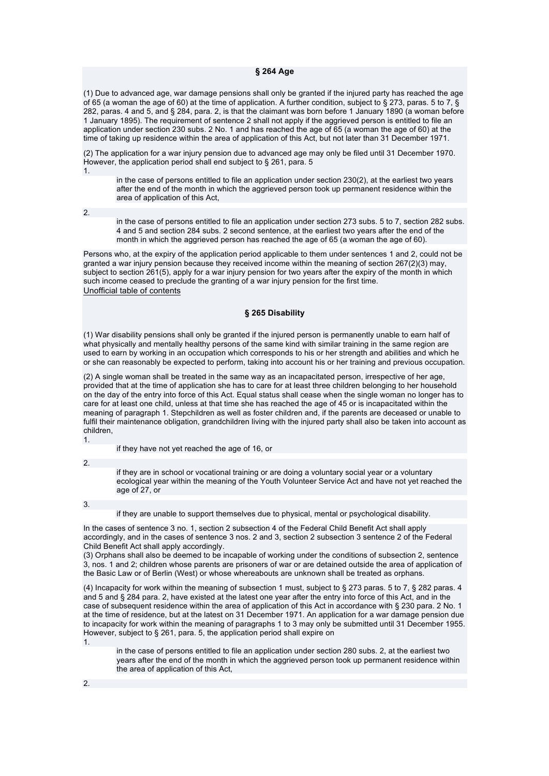#### **§ 264 Age**

(1) Due to advanced age, war damage pensions shall only be granted if the injured party has reached the age of 65 (a woman the age of 60) at the time of application. A further condition, subject to § 273, paras. 5 to 7, § 282, paras. 4 and 5, and § 284, para. 2, is that the claimant was born before 1 January 1890 (a woman before 1 January 1895). The requirement of sentence 2 shall not apply if the aggrieved person is entitled to file an application under section 230 subs. 2 No. 1 and has reached the age of 65 (a woman the age of 60) at the time of taking up residence within the area of application of this Act, but not later than 31 December 1971.

(2) The application for a war injury pension due to advanced age may only be filed until 31 December 1970. However, the application period shall end subject to § 261, para. 5 1.

in the case of persons entitled to file an application under section 230(2), at the earliest two years after the end of the month in which the aggrieved person took up permanent residence within the area of application of this Act,

2.

in the case of persons entitled to file an application under section 273 subs. 5 to 7, section 282 subs. 4 and 5 and section 284 subs. 2 second sentence, at the earliest two years after the end of the month in which the aggrieved person has reached the age of 65 (a woman the age of 60).

Persons who, at the expiry of the application period applicable to them under sentences 1 and 2, could not be granted a war injury pension because they received income within the meaning of section 267(2)(3) may, subject to section 261(5), apply for a war injury pension for two years after the expiry of the month in which such income ceased to preclude the granting of a war injury pension for the first time. Unofficial table of contents

### **§ 265 Disability**

(1) War disability pensions shall only be granted if the injured person is permanently unable to earn half of what physically and mentally healthy persons of the same kind with similar training in the same region are used to earn by working in an occupation which corresponds to his or her strength and abilities and which he or she can reasonably be expected to perform, taking into account his or her training and previous occupation.

(2) A single woman shall be treated in the same way as an incapacitated person, irrespective of her age, provided that at the time of application she has to care for at least three children belonging to her household on the day of the entry into force of this Act. Equal status shall cease when the single woman no longer has to care for at least one child, unless at that time she has reached the age of 45 or is incapacitated within the meaning of paragraph 1. Stepchildren as well as foster children and, if the parents are deceased or unable to fulfil their maintenance obligation, grandchildren living with the injured party shall also be taken into account as children, 1.

if they have not yet reached the age of 16, or

2.

if they are in school or vocational training or are doing a voluntary social year or a voluntary ecological year within the meaning of the Youth Volunteer Service Act and have not yet reached the age of 27, or

3.

if they are unable to support themselves due to physical, mental or psychological disability.

In the cases of sentence 3 no. 1, section 2 subsection 4 of the Federal Child Benefit Act shall apply accordingly, and in the cases of sentence 3 nos. 2 and 3, section 2 subsection 3 sentence 2 of the Federal Child Benefit Act shall apply accordingly.

(3) Orphans shall also be deemed to be incapable of working under the conditions of subsection 2, sentence 3, nos. 1 and 2; children whose parents are prisoners of war or are detained outside the area of application of the Basic Law or of Berlin (West) or whose whereabouts are unknown shall be treated as orphans.

(4) Incapacity for work within the meaning of subsection 1 must, subject to § 273 paras. 5 to 7, § 282 paras. 4 and 5 and § 284 para. 2, have existed at the latest one year after the entry into force of this Act, and in the case of subsequent residence within the area of application of this Act in accordance with § 230 para. 2 No. 1 at the time of residence, but at the latest on 31 December 1971. An application for a war damage pension due to incapacity for work within the meaning of paragraphs 1 to 3 may only be submitted until 31 December 1955. However, subject to § 261, para. 5, the application period shall expire on

1.

in the case of persons entitled to file an application under section 280 subs. 2, at the earliest two years after the end of the month in which the aggrieved person took up permanent residence within the area of application of this Act,

2.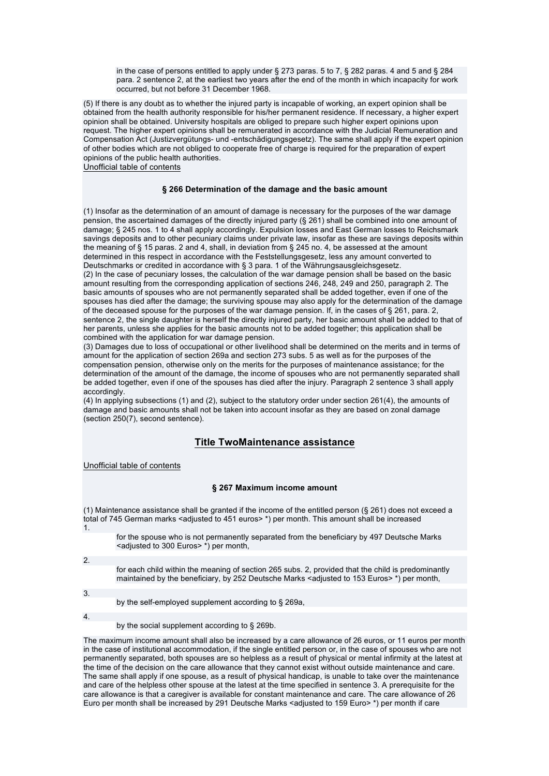in the case of persons entitled to apply under § 273 paras. 5 to 7, § 282 paras. 4 and 5 and § 284 para. 2 sentence 2, at the earliest two years after the end of the month in which incapacity for work occurred, but not before 31 December 1968.

(5) If there is any doubt as to whether the injured party is incapable of working, an expert opinion shall be obtained from the health authority responsible for his/her permanent residence. If necessary, a higher expert opinion shall be obtained. University hospitals are obliged to prepare such higher expert opinions upon request. The higher expert opinions shall be remunerated in accordance with the Judicial Remuneration and Compensation Act (Justizvergütungs- und -entschädigungsgesetz). The same shall apply if the expert opinion of other bodies which are not obliged to cooperate free of charge is required for the preparation of expert opinions of the public health authorities.

Unofficial table of contents

### **§ 266 Determination of the damage and the basic amount**

(1) Insofar as the determination of an amount of damage is necessary for the purposes of the war damage pension, the ascertained damages of the directly injured party (§ 261) shall be combined into one amount of damage; § 245 nos. 1 to 4 shall apply accordingly. Expulsion losses and East German losses to Reichsmark savings deposits and to other pecuniary claims under private law, insofar as these are savings deposits within the meaning of § 15 paras. 2 and 4, shall, in deviation from § 245 no. 4, be assessed at the amount determined in this respect in accordance with the Feststellungsgesetz, less any amount converted to Deutschmarks or credited in accordance with § 3 para. 1 of the Währungsausgleichsgesetz. (2) In the case of pecuniary losses, the calculation of the war damage pension shall be based on the basic amount resulting from the corresponding application of sections 246, 248, 249 and 250, paragraph 2. The basic amounts of spouses who are not permanently separated shall be added together, even if one of the spouses has died after the damage; the surviving spouse may also apply for the determination of the damage of the deceased spouse for the purposes of the war damage pension. If, in the cases of § 261, para. 2, sentence 2, the single daughter is herself the directly injured party, her basic amount shall be added to that of her parents, unless she applies for the basic amounts not to be added together; this application shall be combined with the application for war damage pension.

(3) Damages due to loss of occupational or other livelihood shall be determined on the merits and in terms of amount for the application of section 269a and section 273 subs. 5 as well as for the purposes of the compensation pension, otherwise only on the merits for the purposes of maintenance assistance; for the determination of the amount of the damage, the income of spouses who are not permanently separated shall be added together, even if one of the spouses has died after the injury. Paragraph 2 sentence 3 shall apply accordingly.

(4) In applying subsections (1) and (2), subject to the statutory order under section 261(4), the amounts of damage and basic amounts shall not be taken into account insofar as they are based on zonal damage (section 250(7), second sentence).

## **Title TwoMaintenance assistance**

Unofficial table of contents

### **§ 267 Maximum income amount**

(1) Maintenance assistance shall be granted if the income of the entitled person (§ 261) does not exceed a total of 745 German marks <adjusted to 451 euros> \*) per month. This amount shall be increased 1.

| for the spouse who is not permanently separated from the beneficiary by 497 Deutsche Marks |
|--------------------------------------------------------------------------------------------|
| <adjusted 300="" euros="" to=""> *) per month,</adjusted>                                  |

2.

for each child within the meaning of section 265 subs. 2, provided that the child is predominantly maintained by the beneficiary, by 252 Deutsche Marks <adjusted to 153 Euros> \*) per month,

3.

by the self-employed supplement according to § 269a,

4.

by the social supplement according to § 269b.

The maximum income amount shall also be increased by a care allowance of 26 euros, or 11 euros per month in the case of institutional accommodation, if the single entitled person or, in the case of spouses who are not permanently separated, both spouses are so helpless as a result of physical or mental infirmity at the latest at the time of the decision on the care allowance that they cannot exist without outside maintenance and care. The same shall apply if one spouse, as a result of physical handicap, is unable to take over the maintenance and care of the helpless other spouse at the latest at the time specified in sentence 3. A prerequisite for the care allowance is that a caregiver is available for constant maintenance and care. The care allowance of 26 Euro per month shall be increased by 291 Deutsche Marks <adjusted to 159 Euro> \*) per month if care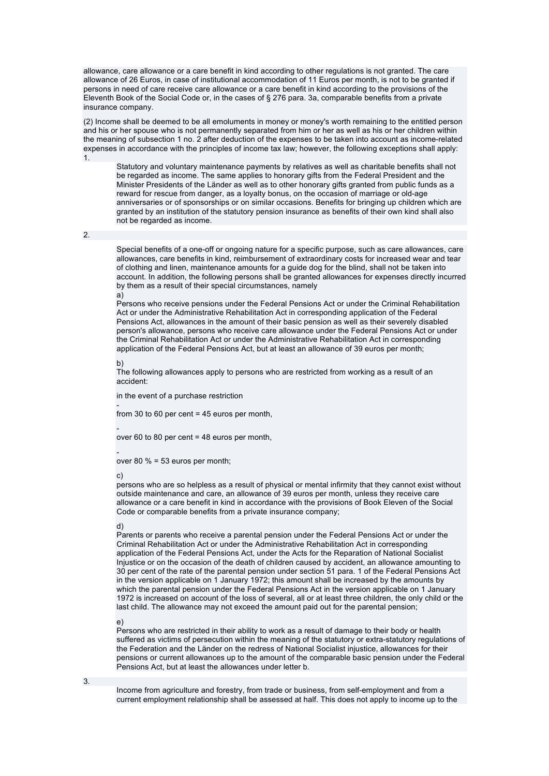allowance, care allowance or a care benefit in kind according to other regulations is not granted. The care allowance of 26 Euros, in case of institutional accommodation of 11 Euros per month, is not to be granted if persons in need of care receive care allowance or a care benefit in kind according to the provisions of the Eleventh Book of the Social Code or, in the cases of § 276 para. 3a, comparable benefits from a private insurance company.

(2) Income shall be deemed to be all emoluments in money or money's worth remaining to the entitled person and his or her spouse who is not permanently separated from him or her as well as his or her children within the meaning of subsection 1 no. 2 after deduction of the expenses to be taken into account as income-related expenses in accordance with the principles of income tax law; however, the following exceptions shall apply: 1.

Statutory and voluntary maintenance payments by relatives as well as charitable benefits shall not be regarded as income. The same applies to honorary gifts from the Federal President and the Minister Presidents of the Länder as well as to other honorary gifts granted from public funds as a reward for rescue from danger, as a loyalty bonus, on the occasion of marriage or old-age anniversaries or of sponsorships or on similar occasions. Benefits for bringing up children which are granted by an institution of the statutory pension insurance as benefits of their own kind shall also not be regarded as income.

2.

Special benefits of a one-off or ongoing nature for a specific purpose, such as care allowances, care allowances, care benefits in kind, reimbursement of extraordinary costs for increased wear and tear of clothing and linen, maintenance amounts for a guide dog for the blind, shall not be taken into account. In addition, the following persons shall be granted allowances for expenses directly incurred by them as a result of their special circumstances, namely a)

Persons who receive pensions under the Federal Pensions Act or under the Criminal Rehabilitation Act or under the Administrative Rehabilitation Act in corresponding application of the Federal Pensions Act, allowances in the amount of their basic pension as well as their severely disabled person's allowance, persons who receive care allowance under the Federal Pensions Act or under the Criminal Rehabilitation Act or under the Administrative Rehabilitation Act in corresponding application of the Federal Pensions Act, but at least an allowance of 39 euros per month;

#### b)

The following allowances apply to persons who are restricted from working as a result of an accident:

in the event of a purchase restriction

from 30 to 60 per cent = 45 euros per month,

-

-

-

over 60 to 80 per cent = 48 euros per month,

over 80 % = 53 euros per month;

#### c)

persons who are so helpless as a result of physical or mental infirmity that they cannot exist without outside maintenance and care, an allowance of 39 euros per month, unless they receive care allowance or a care benefit in kind in accordance with the provisions of Book Eleven of the Social Code or comparable benefits from a private insurance company;

#### d)

Parents or parents who receive a parental pension under the Federal Pensions Act or under the Criminal Rehabilitation Act or under the Administrative Rehabilitation Act in corresponding application of the Federal Pensions Act, under the Acts for the Reparation of National Socialist Injustice or on the occasion of the death of children caused by accident, an allowance amounting to 30 per cent of the rate of the parental pension under section 51 para. 1 of the Federal Pensions Act in the version applicable on 1 January 1972; this amount shall be increased by the amounts by which the parental pension under the Federal Pensions Act in the version applicable on 1 January 1972 is increased on account of the loss of several, all or at least three children, the only child or the last child. The allowance may not exceed the amount paid out for the parental pension;

#### e)

Persons who are restricted in their ability to work as a result of damage to their body or health suffered as victims of persecution within the meaning of the statutory or extra-statutory regulations of the Federation and the Länder on the redress of National Socialist injustice, allowances for their pensions or current allowances up to the amount of the comparable basic pension under the Federal Pensions Act, but at least the allowances under letter b.

3.

Income from agriculture and forestry, from trade or business, from self-employment and from a current employment relationship shall be assessed at half. This does not apply to income up to the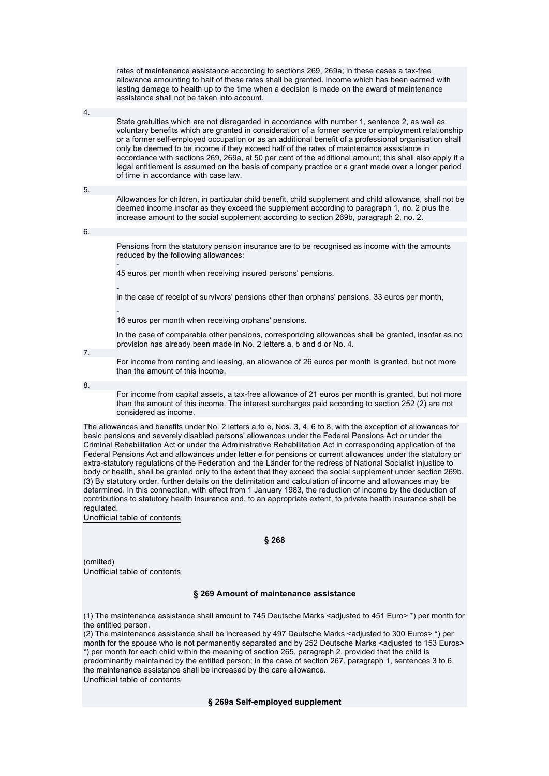rates of maintenance assistance according to sections 269, 269a; in these cases a tax-free allowance amounting to half of these rates shall be granted. Income which has been earned with lasting damage to health up to the time when a decision is made on the award of maintenance assistance shall not be taken into account.

4.

State gratuities which are not disregarded in accordance with number 1, sentence 2, as well as voluntary benefits which are granted in consideration of a former service or employment relationship or a former self-employed occupation or as an additional benefit of a professional organisation shall only be deemed to be income if they exceed half of the rates of maintenance assistance in accordance with sections 269, 269a, at 50 per cent of the additional amount; this shall also apply if a legal entitlement is assumed on the basis of company practice or a grant made over a longer period of time in accordance with case law.

5.

Allowances for children, in particular child benefit, child supplement and child allowance, shall not be deemed income insofar as they exceed the supplement according to paragraph 1, no. 2 plus the increase amount to the social supplement according to section 269b, paragraph 2, no. 2.

6.

Pensions from the statutory pension insurance are to be recognised as income with the amounts reduced by the following allowances:

- 45 euros per month when receiving insured persons' pensions,

 in the case of receipt of survivors' pensions other than orphans' pensions, 33 euros per month,

- 16 euros per month when receiving orphans' pensions.

In the case of comparable other pensions, corresponding allowances shall be granted, insofar as no provision has already been made in No. 2 letters a, b and d or No. 4.

For income from renting and leasing, an allowance of 26 euros per month is granted, but not more than the amount of this income.

8.

7.

For income from capital assets, a tax-free allowance of 21 euros per month is granted, but not more than the amount of this income. The interest surcharges paid according to section 252 (2) are not considered as income.

The allowances and benefits under No. 2 letters a to e, Nos. 3, 4, 6 to 8, with the exception of allowances for basic pensions and severely disabled persons' allowances under the Federal Pensions Act or under the Criminal Rehabilitation Act or under the Administrative Rehabilitation Act in corresponding application of the Federal Pensions Act and allowances under letter e for pensions or current allowances under the statutory or extra-statutory regulations of the Federation and the Länder for the redress of National Socialist injustice to body or health, shall be granted only to the extent that they exceed the social supplement under section 269b. (3) By statutory order, further details on the delimitation and calculation of income and allowances may be determined. In this connection, with effect from 1 January 1983, the reduction of income by the deduction of contributions to statutory health insurance and, to an appropriate extent, to private health insurance shall be regulated.

Unofficial table of contents

**§ 268** 

(omitted) Unofficial table of contents

## **§ 269 Amount of maintenance assistance**

(1) The maintenance assistance shall amount to 745 Deutsche Marks <adjusted to 451 Euro> \*) per month for the entitled person.

(2) The maintenance assistance shall be increased by 497 Deutsche Marks <adjusted to 300 Euros> \*) per month for the spouse who is not permanently separated and by 252 Deutsche Marks <adjusted to 153 Euros> \*) per month for each child within the meaning of section 265, paragraph 2, provided that the child is predominantly maintained by the entitled person; in the case of section 267, paragraph 1, sentences 3 to 6, the maintenance assistance shall be increased by the care allowance. Unofficial table of contents

## **§ 269a Self-employed supplement**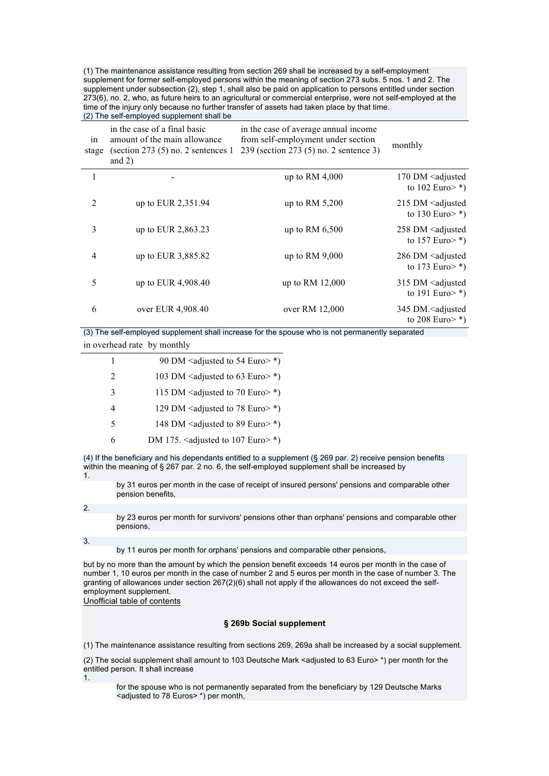(1) The maintenance assistance resulting from section 269 shall be increased by a self-employment supplement for former self-employed persons within the meaning of section 273 subs. 5 nos. 1 and 2. The supplement under subsection (2), step 1, shall also be paid on application to persons entitled under section 273(6), no. 2, who, as future heirs to an agricultural or commercial enterprise, were not self-employed at the time of the injury only because no further transfer of assets had taken place by that time. (2) The self-employed supplement shall be

| in<br>stage | in the case of a final basic<br>amount of the main allowance<br>(section 273 $(5)$ no. 2 sentences 1<br>and $2)$ | in the case of average annual income<br>from self-employment under section<br>239 (section 273 (5) no. 2 sentence 3) | monthly                                                                    |
|-------------|------------------------------------------------------------------------------------------------------------------|----------------------------------------------------------------------------------------------------------------------|----------------------------------------------------------------------------|
| 1           |                                                                                                                  | up to RM $4,000$                                                                                                     | 170 DM <adjusted<br>to 102 Euro <math>\ast</math>)</adjusted<br>           |
| 2           | up to EUR 2,351.94                                                                                               | up to RM $5,200$                                                                                                     | 215 DM <adjusted<br>to 130 Euro <math>\geq</math> *)</adjusted<br>         |
| 3           | up to EUR 2,863.23                                                                                               | up to RM $6,500$                                                                                                     | 258 DM <adjusted<br>to 157 Euro <math>\ast</math>)</adjusted<br>           |
| 4           | up to EUR 3,885.82                                                                                               | up to RM 9,000                                                                                                       | 286 DM <adjusted<br>to 173 Euro <math>\ast</math>)</adjusted<br>           |
| 5           | up to EUR 4,908.40                                                                                               | up to RM 12,000                                                                                                      | 315 DM <adjusted<br>to 191 Euro <math>\ast</math>)</adjusted<br>           |
| 6           | over EUR 4,908.40                                                                                                | over RM 12,000                                                                                                       | 345 DM. <adjusted<br>to 208 Euro <math>\rightarrow</math> *)</adjusted<br> |

(3) The self-employed supplement shall increase for the spouse who is not permanently separated in overhead rate by monthly

| 1                           | 90 DM <adjusted 54="" euro="" to="">*)</adjusted>                |
|-----------------------------|------------------------------------------------------------------|
| $\mathcal{D}_{\mathcal{L}}$ | 103 DM <adjusted 63="" euro="" to="">*)</adjusted>               |
| 3                           | 115 DM <adjusted 70="" euro="" to="">*)</adjusted>               |
| 4                           | 129 DM <adjusted 78="" euro="" to="">*)</adjusted>               |
| 5                           | 148 DM <adjusted 89="" euro="" to="">*)</adjusted>               |
| 6                           | DM 175. <adjusted 107="" <math="" euro="" to="">\ast)</adjusted> |

(4) If the beneficiary and his dependants entitled to a supplement (§ 269 par. 2) receive pension benefits within the meaning of § 267 par. 2 no. 6, the self-employed supplement shall be increased by 1.

by 31 euros per month in the case of receipt of insured persons' pensions and comparable other pension benefits,

2.

by 23 euros per month for survivors' pensions other than orphans' pensions and comparable other pensions,

3.

by 11 euros per month for orphans' pensions and comparable other pensions,

but by no more than the amount by which the pension benefit exceeds 14 euros per month in the case of number 1, 10 euros per month in the case of number 2 and 5 euros per month in the case of number 3. The granting of allowances under section 267(2)(6) shall not apply if the allowances do not exceed the selfemployment supplement.

Unofficial table of contents

## **§ 269b Social supplement**

(1) The maintenance assistance resulting from sections 269, 269a shall be increased by a social supplement.

(2) The social supplement shall amount to 103 Deutsche Mark <adjusted to 63 Euro> \*) per month for the entitled person. It shall increase

1.

for the spouse who is not permanently separated from the beneficiary by 129 Deutsche Marks <adjusted to 78 Euros> \*) per month,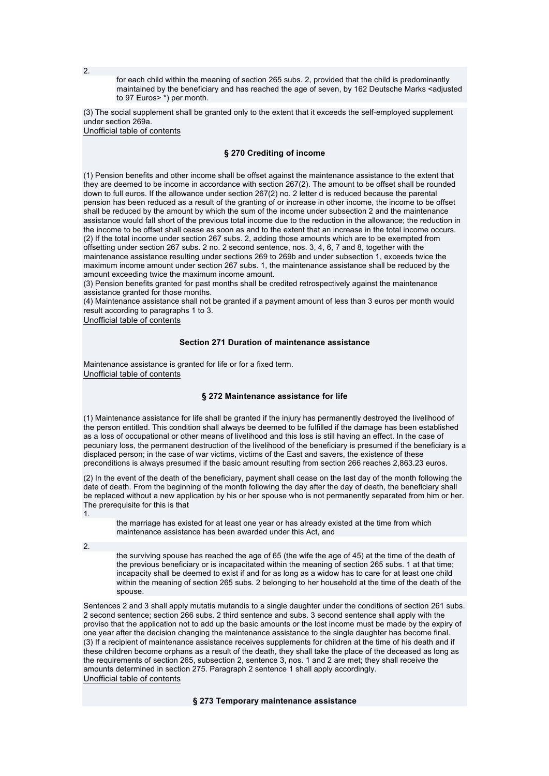for each child within the meaning of section 265 subs. 2, provided that the child is predominantly maintained by the beneficiary and has reached the age of seven, by 162 Deutsche Marks <adjusted to 97 Euros> \*) per month.

(3) The social supplement shall be granted only to the extent that it exceeds the self-employed supplement under section 269a.

Unofficial table of contents

### **§ 270 Crediting of income**

(1) Pension benefits and other income shall be offset against the maintenance assistance to the extent that they are deemed to be income in accordance with section 267(2). The amount to be offset shall be rounded down to full euros. If the allowance under section 267(2) no. 2 letter d is reduced because the parental pension has been reduced as a result of the granting of or increase in other income, the income to be offset shall be reduced by the amount by which the sum of the income under subsection 2 and the maintenance assistance would fall short of the previous total income due to the reduction in the allowance; the reduction in the income to be offset shall cease as soon as and to the extent that an increase in the total income occurs. (2) If the total income under section 267 subs. 2, adding those amounts which are to be exempted from offsetting under section 267 subs. 2 no. 2 second sentence, nos. 3, 4, 6, 7 and 8, together with the maintenance assistance resulting under sections 269 to 269b and under subsection 1, exceeds twice the maximum income amount under section 267 subs. 1, the maintenance assistance shall be reduced by the amount exceeding twice the maximum income amount.

(3) Pension benefits granted for past months shall be credited retrospectively against the maintenance assistance granted for those months.

(4) Maintenance assistance shall not be granted if a payment amount of less than 3 euros per month would result according to paragraphs 1 to 3.

Unofficial table of contents

## **Section 271 Duration of maintenance assistance**

Maintenance assistance is granted for life or for a fixed term. Unofficial table of contents

### **§ 272 Maintenance assistance for life**

(1) Maintenance assistance for life shall be granted if the injury has permanently destroyed the livelihood of the person entitled. This condition shall always be deemed to be fulfilled if the damage has been established as a loss of occupational or other means of livelihood and this loss is still having an effect. In the case of pecuniary loss, the permanent destruction of the livelihood of the beneficiary is presumed if the beneficiary is a displaced person; in the case of war victims, victims of the East and savers, the existence of these preconditions is always presumed if the basic amount resulting from section 266 reaches 2,863.23 euros.

(2) In the event of the death of the beneficiary, payment shall cease on the last day of the month following the date of death. From the beginning of the month following the day after the day of death, the beneficiary shall be replaced without a new application by his or her spouse who is not permanently separated from him or her. The prerequisite for this is that

1.

the marriage has existed for at least one year or has already existed at the time from which maintenance assistance has been awarded under this Act, and

2.

the surviving spouse has reached the age of 65 (the wife the age of 45) at the time of the death of the previous beneficiary or is incapacitated within the meaning of section 265 subs. 1 at that time; incapacity shall be deemed to exist if and for as long as a widow has to care for at least one child within the meaning of section 265 subs. 2 belonging to her household at the time of the death of the spouse.

Sentences 2 and 3 shall apply mutatis mutandis to a single daughter under the conditions of section 261 subs. 2 second sentence; section 266 subs. 2 third sentence and subs. 3 second sentence shall apply with the proviso that the application not to add up the basic amounts or the lost income must be made by the expiry of one year after the decision changing the maintenance assistance to the single daughter has become final. (3) If a recipient of maintenance assistance receives supplements for children at the time of his death and if these children become orphans as a result of the death, they shall take the place of the deceased as long as the requirements of section 265, subsection 2, sentence 3, nos. 1 and 2 are met; they shall receive the amounts determined in section 275. Paragraph 2 sentence 1 shall apply accordingly. Unofficial table of contents

### **§ 273 Temporary maintenance assistance**

2.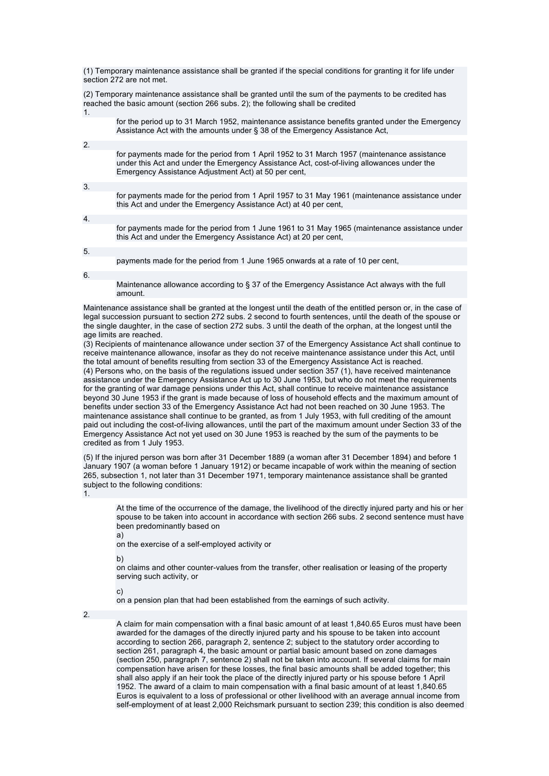(1) Temporary maintenance assistance shall be granted if the special conditions for granting it for life under section 272 are not met.

(2) Temporary maintenance assistance shall be granted until the sum of the payments to be credited has reached the basic amount (section 266 subs. 2); the following shall be credited 1.

|                  | for the period up to 31 March 1952, maintenance assistance benefits granted under the Emergency<br>Assistance Act with the amounts under § 38 of the Emergency Assistance Act.                                                                    |
|------------------|---------------------------------------------------------------------------------------------------------------------------------------------------------------------------------------------------------------------------------------------------|
|                  |                                                                                                                                                                                                                                                   |
| 2.               |                                                                                                                                                                                                                                                   |
|                  | for payments made for the period from 1 April 1952 to 31 March 1957 (maintenance assistance<br>under this Act and under the Emergency Assistance Act, cost-of-living allowances under the<br>Emergency Assistance Adjustment Act) at 50 per cent. |
|                  |                                                                                                                                                                                                                                                   |
| 3.               |                                                                                                                                                                                                                                                   |
|                  | for payments made for the period from 1 April 1957 to 31 May 1961 (maintenance assistance under<br>this Act and under the Emergency Assistance Act) at 40 per cent.                                                                               |
|                  |                                                                                                                                                                                                                                                   |
| $\overline{4}$ . |                                                                                                                                                                                                                                                   |
|                  | for payments made for the period from 1 June 1961 to 31 May 1965 (maintenance assistance under<br>this Act and under the Emergency Assistance Act) at 20 per cent.                                                                                |
|                  |                                                                                                                                                                                                                                                   |
| 5.               |                                                                                                                                                                                                                                                   |
|                  | payments made for the period from 1 June 1965 onwards at a rate of 10 per cent.                                                                                                                                                                   |
|                  |                                                                                                                                                                                                                                                   |
| 6.               |                                                                                                                                                                                                                                                   |

Maintenance allowance according to § 37 of the Emergency Assistance Act always with the full amount.

Maintenance assistance shall be granted at the longest until the death of the entitled person or, in the case of legal succession pursuant to section 272 subs. 2 second to fourth sentences, until the death of the spouse or the single daughter, in the case of section 272 subs. 3 until the death of the orphan, at the longest until the age limits are reached.

(3) Recipients of maintenance allowance under section 37 of the Emergency Assistance Act shall continue to receive maintenance allowance, insofar as they do not receive maintenance assistance under this Act, until the total amount of benefits resulting from section 33 of the Emergency Assistance Act is reached. (4) Persons who, on the basis of the regulations issued under section 357 (1), have received maintenance assistance under the Emergency Assistance Act up to 30 June 1953, but who do not meet the requirements for the granting of war damage pensions under this Act, shall continue to receive maintenance assistance beyond 30 June 1953 if the grant is made because of loss of household effects and the maximum amount of benefits under section 33 of the Emergency Assistance Act had not been reached on 30 June 1953. The maintenance assistance shall continue to be granted, as from 1 July 1953, with full crediting of the amount paid out including the cost-of-living allowances, until the part of the maximum amount under Section 33 of the Emergency Assistance Act not yet used on 30 June 1953 is reached by the sum of the payments to be credited as from 1 July 1953.

(5) If the injured person was born after 31 December 1889 (a woman after 31 December 1894) and before 1 January 1907 (a woman before 1 January 1912) or became incapable of work within the meaning of section 265, subsection 1, not later than 31 December 1971, temporary maintenance assistance shall be granted subject to the following conditions:

1.

At the time of the occurrence of the damage, the livelihood of the directly injured party and his or her spouse to be taken into account in accordance with section 266 subs. 2 second sentence must have been predominantly based on a)

on the exercise of a self-employed activity or

b)

on claims and other counter-values from the transfer, other realisation or leasing of the property serving such activity, or

c)

on a pension plan that had been established from the earnings of such activity.

2.

A claim for main compensation with a final basic amount of at least 1,840.65 Euros must have been awarded for the damages of the directly injured party and his spouse to be taken into account according to section 266, paragraph 2, sentence 2; subject to the statutory order according to section 261, paragraph 4, the basic amount or partial basic amount based on zone damages (section 250, paragraph 7, sentence 2) shall not be taken into account. If several claims for main compensation have arisen for these losses, the final basic amounts shall be added together; this shall also apply if an heir took the place of the directly injured party or his spouse before 1 April 1952. The award of a claim to main compensation with a final basic amount of at least 1,840.65 Euros is equivalent to a loss of professional or other livelihood with an average annual income from self-employment of at least 2,000 Reichsmark pursuant to section 239; this condition is also deemed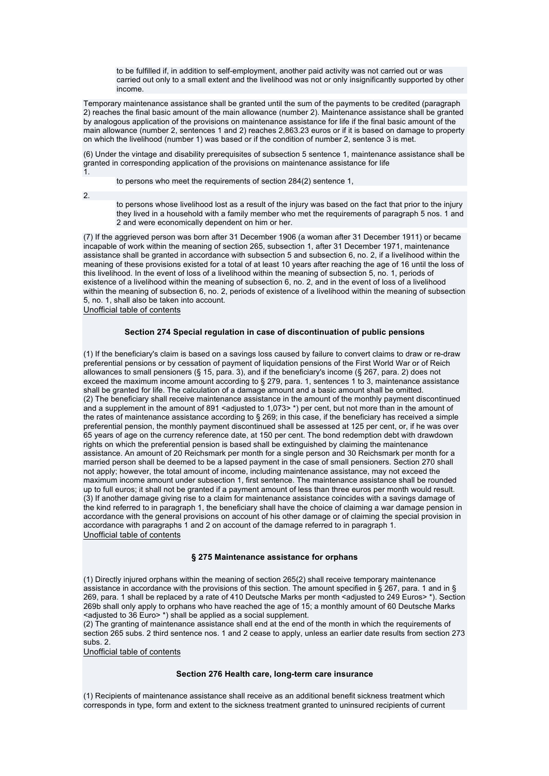to be fulfilled if, in addition to self-employment, another paid activity was not carried out or was carried out only to a small extent and the livelihood was not or only insignificantly supported by other income.

Temporary maintenance assistance shall be granted until the sum of the payments to be credited (paragraph 2) reaches the final basic amount of the main allowance (number 2). Maintenance assistance shall be granted by analogous application of the provisions on maintenance assistance for life if the final basic amount of the main allowance (number 2, sentences 1 and 2) reaches 2,863.23 euros or if it is based on damage to property on which the livelihood (number 1) was based or if the condition of number 2, sentence 3 is met.

(6) Under the vintage and disability prerequisites of subsection 5 sentence 1, maintenance assistance shall be granted in corresponding application of the provisions on maintenance assistance for life 1.

to persons who meet the requirements of section 284(2) sentence 1,

2.

to persons whose livelihood lost as a result of the injury was based on the fact that prior to the injury they lived in a household with a family member who met the requirements of paragraph 5 nos. 1 and 2 and were economically dependent on him or her.

(7) If the aggrieved person was born after 31 December 1906 (a woman after 31 December 1911) or became incapable of work within the meaning of section 265, subsection 1, after 31 December 1971, maintenance assistance shall be granted in accordance with subsection 5 and subsection 6, no. 2, if a livelihood within the meaning of these provisions existed for a total of at least 10 years after reaching the age of 16 until the loss of this livelihood. In the event of loss of a livelihood within the meaning of subsection 5, no. 1, periods of existence of a livelihood within the meaning of subsection 6, no. 2, and in the event of loss of a livelihood within the meaning of subsection 6, no. 2, periods of existence of a livelihood within the meaning of subsection 5, no. 1, shall also be taken into account. Unofficial table of contents

## **Section 274 Special regulation in case of discontinuation of public pensions**

(1) If the beneficiary's claim is based on a savings loss caused by failure to convert claims to draw or re-draw preferential pensions or by cessation of payment of liquidation pensions of the First World War or of Reich allowances to small pensioners (§ 15, para. 3), and if the beneficiary's income (§ 267, para. 2) does not exceed the maximum income amount according to § 279, para. 1, sentences 1 to 3, maintenance assistance shall be granted for life. The calculation of a damage amount and a basic amount shall be omitted. (2) The beneficiary shall receive maintenance assistance in the amount of the monthly payment discontinued and a supplement in the amount of 891 <adjusted to 1,073>\*) per cent, but not more than in the amount of the rates of maintenance assistance according to § 269; in this case, if the beneficiary has received a simple preferential pension, the monthly payment discontinued shall be assessed at 125 per cent, or, if he was over 65 years of age on the currency reference date, at 150 per cent. The bond redemption debt with drawdown rights on which the preferential pension is based shall be extinguished by claiming the maintenance assistance. An amount of 20 Reichsmark per month for a single person and 30 Reichsmark per month for a married person shall be deemed to be a lapsed payment in the case of small pensioners. Section 270 shall not apply; however, the total amount of income, including maintenance assistance, may not exceed the maximum income amount under subsection 1, first sentence. The maintenance assistance shall be rounded up to full euros; it shall not be granted if a payment amount of less than three euros per month would result. (3) If another damage giving rise to a claim for maintenance assistance coincides with a savings damage of the kind referred to in paragraph 1, the beneficiary shall have the choice of claiming a war damage pension in accordance with the general provisions on account of his other damage or of claiming the special provision in accordance with paragraphs 1 and 2 on account of the damage referred to in paragraph 1. Unofficial table of contents

### **§ 275 Maintenance assistance for orphans**

(1) Directly injured orphans within the meaning of section 265(2) shall receive temporary maintenance assistance in accordance with the provisions of this section. The amount specified in § 267, para. 1 and in § 269, para. 1 shall be replaced by a rate of 410 Deutsche Marks per month <adjusted to 249 Euros>\*). Section 269b shall only apply to orphans who have reached the age of 15; a monthly amount of 60 Deutsche Marks <adjusted to 36 Euro> \*) shall be applied as a social supplement.

(2) The granting of maintenance assistance shall end at the end of the month in which the requirements of section 265 subs. 2 third sentence nos. 1 and 2 cease to apply, unless an earlier date results from section 273 subs. 2.

Unofficial table of contents

#### **Section 276 Health care, long-term care insurance**

(1) Recipients of maintenance assistance shall receive as an additional benefit sickness treatment which corresponds in type, form and extent to the sickness treatment granted to uninsured recipients of current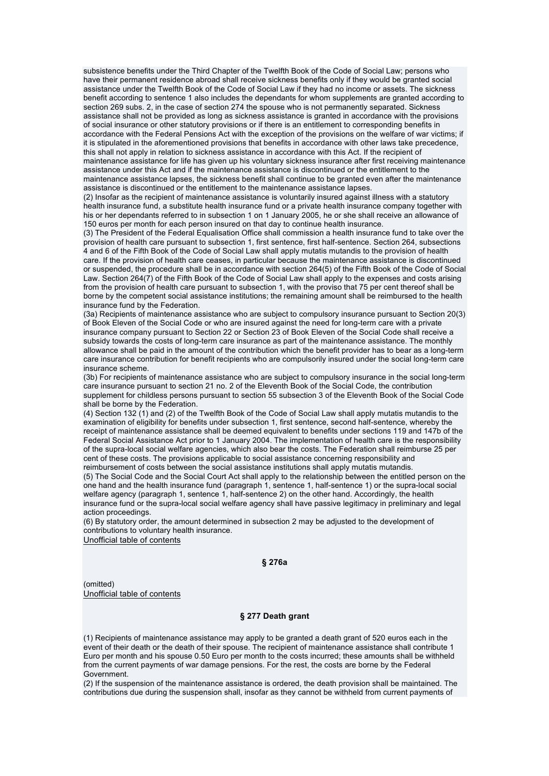subsistence benefits under the Third Chapter of the Twelfth Book of the Code of Social Law; persons who have their permanent residence abroad shall receive sickness benefits only if they would be granted social assistance under the Twelfth Book of the Code of Social Law if they had no income or assets. The sickness benefit according to sentence 1 also includes the dependants for whom supplements are granted according to section 269 subs. 2, in the case of section 274 the spouse who is not permanently separated. Sickness assistance shall not be provided as long as sickness assistance is granted in accordance with the provisions of social insurance or other statutory provisions or if there is an entitlement to corresponding benefits in accordance with the Federal Pensions Act with the exception of the provisions on the welfare of war victims; if it is stipulated in the aforementioned provisions that benefits in accordance with other laws take precedence, this shall not apply in relation to sickness assistance in accordance with this Act. If the recipient of maintenance assistance for life has given up his voluntary sickness insurance after first receiving maintenance assistance under this Act and if the maintenance assistance is discontinued or the entitlement to the maintenance assistance lapses, the sickness benefit shall continue to be granted even after the maintenance assistance is discontinued or the entitlement to the maintenance assistance lapses.

(2) Insofar as the recipient of maintenance assistance is voluntarily insured against illness with a statutory health insurance fund, a substitute health insurance fund or a private health insurance company together with his or her dependants referred to in subsection 1 on 1 January 2005, he or she shall receive an allowance of 150 euros per month for each person insured on that day to continue health insurance.

(3) The President of the Federal Equalisation Office shall commission a health insurance fund to take over the provision of health care pursuant to subsection 1, first sentence, first half-sentence. Section 264, subsections 4 and 6 of the Fifth Book of the Code of Social Law shall apply mutatis mutandis to the provision of health care. If the provision of health care ceases, in particular because the maintenance assistance is discontinued or suspended, the procedure shall be in accordance with section 264(5) of the Fifth Book of the Code of Social Law. Section 264(7) of the Fifth Book of the Code of Social Law shall apply to the expenses and costs arising from the provision of health care pursuant to subsection 1, with the proviso that 75 per cent thereof shall be borne by the competent social assistance institutions; the remaining amount shall be reimbursed to the health insurance fund by the Federation.

(3a) Recipients of maintenance assistance who are subject to compulsory insurance pursuant to Section 20(3) of Book Eleven of the Social Code or who are insured against the need for long-term care with a private insurance company pursuant to Section 22 or Section 23 of Book Eleven of the Social Code shall receive a subsidy towards the costs of long-term care insurance as part of the maintenance assistance. The monthly allowance shall be paid in the amount of the contribution which the benefit provider has to bear as a long-term care insurance contribution for benefit recipients who are compulsorily insured under the social long-term care insurance scheme.

(3b) For recipients of maintenance assistance who are subject to compulsory insurance in the social long-term care insurance pursuant to section 21 no. 2 of the Eleventh Book of the Social Code, the contribution supplement for childless persons pursuant to section 55 subsection 3 of the Eleventh Book of the Social Code shall be borne by the Federation.

(4) Section 132 (1) and (2) of the Twelfth Book of the Code of Social Law shall apply mutatis mutandis to the examination of eligibility for benefits under subsection 1, first sentence, second half-sentence, whereby the receipt of maintenance assistance shall be deemed equivalent to benefits under sections 119 and 147b of the Federal Social Assistance Act prior to 1 January 2004. The implementation of health care is the responsibility of the supra-local social welfare agencies, which also bear the costs. The Federation shall reimburse 25 per cent of these costs. The provisions applicable to social assistance concerning responsibility and

reimbursement of costs between the social assistance institutions shall apply mutatis mutandis. (5) The Social Code and the Social Court Act shall apply to the relationship between the entitled person on the one hand and the health insurance fund (paragraph 1, sentence 1, half-sentence 1) or the supra-local social welfare agency (paragraph 1, sentence 1, half-sentence 2) on the other hand. Accordingly, the health insurance fund or the supra-local social welfare agency shall have passive legitimacy in preliminary and legal action proceedings.

(6) By statutory order, the amount determined in subsection 2 may be adjusted to the development of contributions to voluntary health insurance.

Unofficial table of contents

### **§ 276a**

(omitted) Unofficial table of contents

### **§ 277 Death grant**

(1) Recipients of maintenance assistance may apply to be granted a death grant of 520 euros each in the event of their death or the death of their spouse. The recipient of maintenance assistance shall contribute 1 Euro per month and his spouse 0.50 Euro per month to the costs incurred; these amounts shall be withheld from the current payments of war damage pensions. For the rest, the costs are borne by the Federal Government.

(2) If the suspension of the maintenance assistance is ordered, the death provision shall be maintained. The contributions due during the suspension shall, insofar as they cannot be withheld from current payments of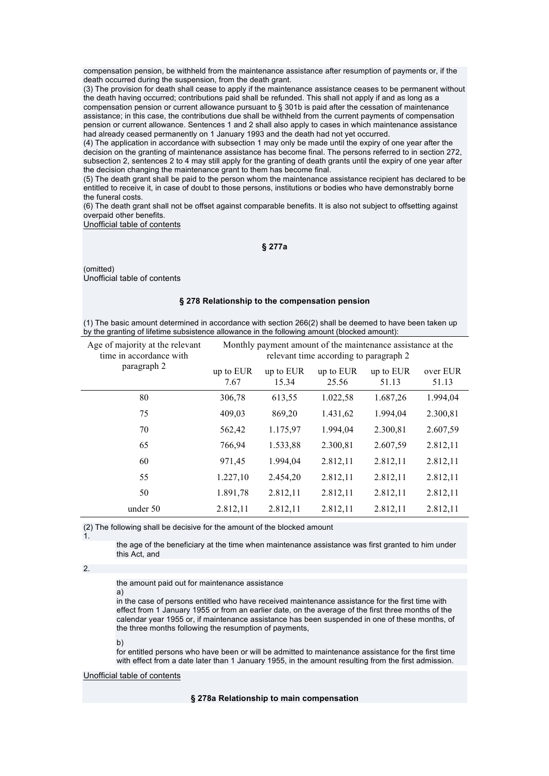compensation pension, be withheld from the maintenance assistance after resumption of payments or, if the death occurred during the suspension, from the death grant.

(3) The provision for death shall cease to apply if the maintenance assistance ceases to be permanent without the death having occurred; contributions paid shall be refunded. This shall not apply if and as long as a compensation pension or current allowance pursuant to § 301b is paid after the cessation of maintenance assistance; in this case, the contributions due shall be withheld from the current payments of compensation pension or current allowance. Sentences 1 and 2 shall also apply to cases in which maintenance assistance had already ceased permanently on 1 January 1993 and the death had not yet occurred.

(4) The application in accordance with subsection 1 may only be made until the expiry of one year after the decision on the granting of maintenance assistance has become final. The persons referred to in section 272, subsection 2, sentences 2 to 4 may still apply for the granting of death grants until the expiry of one year after the decision changing the maintenance grant to them has become final.

(5) The death grant shall be paid to the person whom the maintenance assistance recipient has declared to be entitled to receive it, in case of doubt to those persons, institutions or bodies who have demonstrably borne the funeral costs.

(6) The death grant shall not be offset against comparable benefits. It is also not subject to offsetting against overpaid other benefits.

Unofficial table of contents

**§ 277a** 

(omitted) Unofficial table of contents

### **§ 278 Relationship to the compensation pension**

(1) The basic amount determined in accordance with section 266(2) shall be deemed to have been taken up by the granting of lifetime subsistence allowance in the following amount (blocked amount):

| Age of majority at the relevant<br>time in accordance with | Monthly payment amount of the maintenance assistance at the<br>relevant time according to paragraph 2 |                    |                    |                    |                   |
|------------------------------------------------------------|-------------------------------------------------------------------------------------------------------|--------------------|--------------------|--------------------|-------------------|
| paragraph 2                                                | up to EUR<br>7.67                                                                                     | up to EUR<br>15.34 | up to EUR<br>25.56 | up to EUR<br>51.13 | over EUR<br>51.13 |
| 80                                                         | 306,78                                                                                                | 613,55             | 1.022,58           | 1.687,26           | 1.994,04          |
| 75                                                         | 409,03                                                                                                | 869,20             | 1.431,62           | 1.994,04           | 2.300,81          |
| 70                                                         | 562,42                                                                                                | 1.175,97           | 1.994,04           | 2.300,81           | 2.607,59          |
| 65                                                         | 766,94                                                                                                | 1.533,88           | 2.300,81           | 2.607,59           | 2.812,11          |
| 60                                                         | 971,45                                                                                                | 1.994,04           | 2.812,11           | 2.812,11           | 2.812,11          |
| 55                                                         | 1.227,10                                                                                              | 2.454,20           | 2.812,11           | 2.812,11           | 2.812,11          |
| 50                                                         | 1.891,78                                                                                              | 2.812,11           | 2.812,11           | 2.812,11           | 2.812,11          |
| under 50                                                   | 2.812,11                                                                                              | 2.812,11           | 2.812,11           | 2.812,11           | 2.812,11          |

(2) The following shall be decisive for the amount of the blocked amount

1.

the age of the beneficiary at the time when maintenance assistance was first granted to him under this Act, and

## 2.

the amount paid out for maintenance assistance

in the case of persons entitled who have received maintenance assistance for the first time with effect from 1 January 1955 or from an earlier date, on the average of the first three months of the calendar year 1955 or, if maintenance assistance has been suspended in one of these months, of the three months following the resumption of payments,

#### b)

a)

for entitled persons who have been or will be admitted to maintenance assistance for the first time with effect from a date later than 1 January 1955, in the amount resulting from the first admission.

### Unofficial table of contents

### **§ 278a Relationship to main compensation**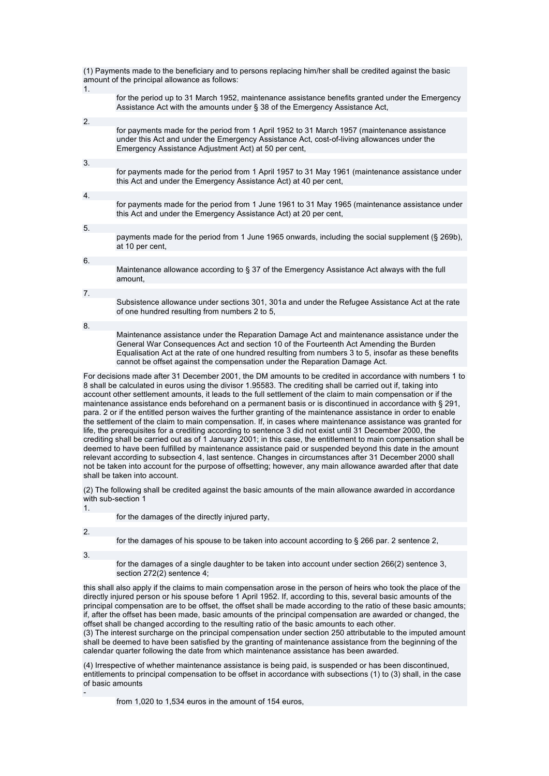| 1. | (1) Payments made to the beneficiary and to persons replacing him/her shall be credited against the basic<br>amount of the principal allowance as follows:                                                                                                                                                                                                                 |
|----|----------------------------------------------------------------------------------------------------------------------------------------------------------------------------------------------------------------------------------------------------------------------------------------------------------------------------------------------------------------------------|
|    | for the period up to 31 March 1952, maintenance assistance benefits granted under the Emergency<br>Assistance Act with the amounts under § 38 of the Emergency Assistance Act.                                                                                                                                                                                             |
| 2. |                                                                                                                                                                                                                                                                                                                                                                            |
|    | for payments made for the period from 1 April 1952 to 31 March 1957 (maintenance assistance<br>under this Act and under the Emergency Assistance Act, cost-of-living allowances under the<br>Emergency Assistance Adjustment Act) at 50 per cent,                                                                                                                          |
| 3. |                                                                                                                                                                                                                                                                                                                                                                            |
|    | for payments made for the period from 1 April 1957 to 31 May 1961 (maintenance assistance under<br>this Act and under the Emergency Assistance Act) at 40 per cent,                                                                                                                                                                                                        |
| 4. |                                                                                                                                                                                                                                                                                                                                                                            |
|    | for payments made for the period from 1 June 1961 to 31 May 1965 (maintenance assistance under<br>this Act and under the Emergency Assistance Act) at 20 per cent,                                                                                                                                                                                                         |
| 5. |                                                                                                                                                                                                                                                                                                                                                                            |
|    | payments made for the period from 1 June 1965 onwards, including the social supplement (§ 269b),<br>at 10 per cent.                                                                                                                                                                                                                                                        |
| 6. |                                                                                                                                                                                                                                                                                                                                                                            |
|    | Maintenance allowance according to § 37 of the Emergency Assistance Act always with the full<br>amount.                                                                                                                                                                                                                                                                    |
| 7. |                                                                                                                                                                                                                                                                                                                                                                            |
|    | Subsistence allowance under sections 301, 301a and under the Refugee Assistance Act at the rate<br>of one hundred resulting from numbers 2 to 5,                                                                                                                                                                                                                           |
| 8. |                                                                                                                                                                                                                                                                                                                                                                            |
|    | Maintenance assistance under the Reparation Damage Act and maintenance assistance under the<br>General War Consequences Act and section 10 of the Fourteenth Act Amending the Burden<br>Equalisation Act at the rate of one hundred resulting from numbers 3 to 5, insofar as these benefits<br>cannot be offset against the compensation under the Reparation Damage Act. |
|    |                                                                                                                                                                                                                                                                                                                                                                            |

For decisions made after 31 December 2001, the DM amounts to be credited in accordance with numbers 1 to 8 shall be calculated in euros using the divisor 1.95583. The crediting shall be carried out if, taking into account other settlement amounts, it leads to the full settlement of the claim to main compensation or if the maintenance assistance ends beforehand on a permanent basis or is discontinued in accordance with § 291, para. 2 or if the entitled person waives the further granting of the maintenance assistance in order to enable the settlement of the claim to main compensation. If, in cases where maintenance assistance was granted for life, the prerequisites for a crediting according to sentence 3 did not exist until 31 December 2000, the crediting shall be carried out as of 1 January 2001; in this case, the entitlement to main compensation shall be deemed to have been fulfilled by maintenance assistance paid or suspended beyond this date in the amount relevant according to subsection 4, last sentence. Changes in circumstances after 31 December 2000 shall not be taken into account for the purpose of offsetting; however, any main allowance awarded after that date shall be taken into account.

(2) The following shall be credited against the basic amounts of the main allowance awarded in accordance with sub-section 1

1.

for the damages of the directly injured party,

2.

for the damages of his spouse to be taken into account according to § 266 par. 2 sentence 2,

3.

-

for the damages of a single daughter to be taken into account under section 266(2) sentence 3, section 272(2) sentence 4;

this shall also apply if the claims to main compensation arose in the person of heirs who took the place of the directly injured person or his spouse before 1 April 1952. If, according to this, several basic amounts of the principal compensation are to be offset, the offset shall be made according to the ratio of these basic amounts; if, after the offset has been made, basic amounts of the principal compensation are awarded or changed, the offset shall be changed according to the resulting ratio of the basic amounts to each other.

(3) The interest surcharge on the principal compensation under section 250 attributable to the imputed amount shall be deemed to have been satisfied by the granting of maintenance assistance from the beginning of the calendar quarter following the date from which maintenance assistance has been awarded.

(4) Irrespective of whether maintenance assistance is being paid, is suspended or has been discontinued, entitlements to principal compensation to be offset in accordance with subsections (1) to (3) shall, in the case of basic amounts

from 1,020 to 1,534 euros in the amount of 154 euros,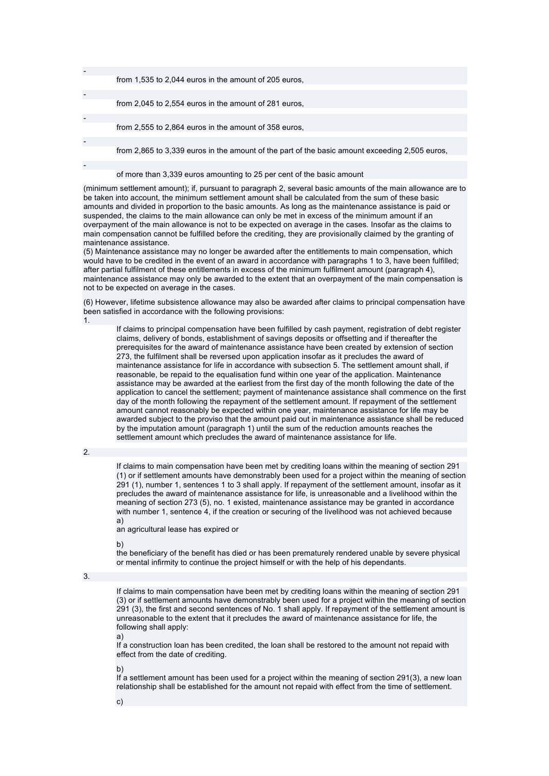| from 1,535 to 2,044 euros in the amount of 205 euros.                                          |
|------------------------------------------------------------------------------------------------|
|                                                                                                |
|                                                                                                |
| from 2,045 to 2,554 euros in the amount of 281 euros.                                          |
|                                                                                                |
| from 2,555 to 2,864 euros in the amount of 358 euros.                                          |
|                                                                                                |
|                                                                                                |
| from 2,865 to 3,339 euros in the amount of the part of the basic amount exceeding 2,505 euros, |
|                                                                                                |
|                                                                                                |
| of more than 3,339 euros amounting to 25 per cent of the basic amount                          |

(minimum settlement amount); if, pursuant to paragraph 2, several basic amounts of the main allowance are to be taken into account, the minimum settlement amount shall be calculated from the sum of these basic amounts and divided in proportion to the basic amounts. As long as the maintenance assistance is paid or suspended, the claims to the main allowance can only be met in excess of the minimum amount if an overpayment of the main allowance is not to be expected on average in the cases. Insofar as the claims to main compensation cannot be fulfilled before the crediting, they are provisionally claimed by the granting of maintenance assistance.

(5) Maintenance assistance may no longer be awarded after the entitlements to main compensation, which would have to be credited in the event of an award in accordance with paragraphs 1 to 3, have been fulfilled; after partial fulfilment of these entitlements in excess of the minimum fulfilment amount (paragraph 4), maintenance assistance may only be awarded to the extent that an overpayment of the main compensation is not to be expected on average in the cases.

(6) However, lifetime subsistence allowance may also be awarded after claims to principal compensation have been satisfied in accordance with the following provisions:

1.

If claims to principal compensation have been fulfilled by cash payment, registration of debt register claims, delivery of bonds, establishment of savings deposits or offsetting and if thereafter the prerequisites for the award of maintenance assistance have been created by extension of section 273, the fulfilment shall be reversed upon application insofar as it precludes the award of maintenance assistance for life in accordance with subsection 5. The settlement amount shall, if reasonable, be repaid to the equalisation fund within one year of the application. Maintenance assistance may be awarded at the earliest from the first day of the month following the date of the application to cancel the settlement; payment of maintenance assistance shall commence on the first day of the month following the repayment of the settlement amount. If repayment of the settlement amount cannot reasonably be expected within one year, maintenance assistance for life may be awarded subject to the proviso that the amount paid out in maintenance assistance shall be reduced by the imputation amount (paragraph 1) until the sum of the reduction amounts reaches the settlement amount which precludes the award of maintenance assistance for life.

2.

If claims to main compensation have been met by crediting loans within the meaning of section 291 (1) or if settlement amounts have demonstrably been used for a project within the meaning of section 291 (1), number 1, sentences 1 to 3 shall apply. If repayment of the settlement amount, insofar as it precludes the award of maintenance assistance for life, is unreasonable and a livelihood within the meaning of section 273 (5), no. 1 existed, maintenance assistance may be granted in accordance with number 1, sentence 4, if the creation or securing of the livelihood was not achieved because a)

an agricultural lease has expired or

b)

the beneficiary of the benefit has died or has been prematurely rendered unable by severe physical or mental infirmity to continue the project himself or with the help of his dependants.

3.

If claims to main compensation have been met by crediting loans within the meaning of section 291 (3) or if settlement amounts have demonstrably been used for a project within the meaning of section 291 (3), the first and second sentences of No. 1 shall apply. If repayment of the settlement amount is unreasonable to the extent that it precludes the award of maintenance assistance for life, the following shall apply:

a)

If a construction loan has been credited, the loan shall be restored to the amount not repaid with effect from the date of crediting.

b)

If a settlement amount has been used for a project within the meaning of section 291(3), a new loan relationship shall be established for the amount not repaid with effect from the time of settlement.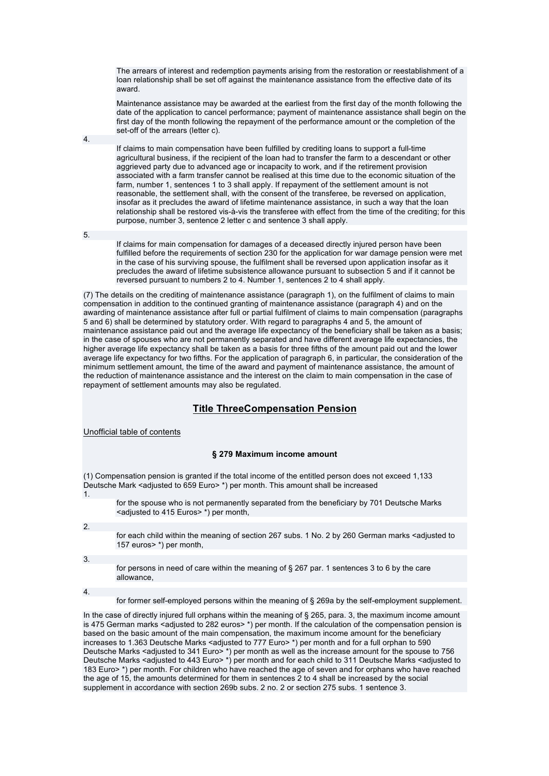The arrears of interest and redemption payments arising from the restoration or reestablishment of a loan relationship shall be set off against the maintenance assistance from the effective date of its award.

Maintenance assistance may be awarded at the earliest from the first day of the month following the date of the application to cancel performance; payment of maintenance assistance shall begin on the first day of the month following the repayment of the performance amount or the completion of the set-off of the arrears (letter c).

If claims to main compensation have been fulfilled by crediting loans to support a full-time agricultural business, if the recipient of the loan had to transfer the farm to a descendant or other aggrieved party due to advanced age or incapacity to work, and if the retirement provision associated with a farm transfer cannot be realised at this time due to the economic situation of the farm, number 1, sentences 1 to 3 shall apply. If repayment of the settlement amount is not reasonable, the settlement shall, with the consent of the transferee, be reversed on application, insofar as it precludes the award of lifetime maintenance assistance, in such a way that the loan relationship shall be restored vis-à-vis the transferee with effect from the time of the crediting; for this purpose, number 3, sentence 2 letter c and sentence 3 shall apply.

5.

4.

If claims for main compensation for damages of a deceased directly injured person have been fulfilled before the requirements of section 230 for the application for war damage pension were met in the case of his surviving spouse, the fulfilment shall be reversed upon application insofar as it precludes the award of lifetime subsistence allowance pursuant to subsection 5 and if it cannot be reversed pursuant to numbers 2 to 4. Number 1, sentences 2 to 4 shall apply.

(7) The details on the crediting of maintenance assistance (paragraph 1), on the fulfilment of claims to main compensation in addition to the continued granting of maintenance assistance (paragraph 4) and on the awarding of maintenance assistance after full or partial fulfilment of claims to main compensation (paragraphs 5 and 6) shall be determined by statutory order. With regard to paragraphs 4 and 5, the amount of maintenance assistance paid out and the average life expectancy of the beneficiary shall be taken as a basis; in the case of spouses who are not permanently separated and have different average life expectancies, the higher average life expectancy shall be taken as a basis for three fifths of the amount paid out and the lower average life expectancy for two fifths. For the application of paragraph 6, in particular, the consideration of the minimum settlement amount, the time of the award and payment of maintenance assistance, the amount of the reduction of maintenance assistance and the interest on the claim to main compensation in the case of repayment of settlement amounts may also be regulated.

# **Title ThreeCompensation Pension**

Unofficial table of contents

## **§ 279 Maximum income amount**

(1) Compensation pension is granted if the total income of the entitled person does not exceed 1,133 Deutsche Mark <adjusted to 659 Euro> \*) per month. This amount shall be increased 1.

for the spouse who is not permanently separated from the beneficiary by 701 Deutsche Marks <adjusted to 415 Euros> \*) per month.

2.

for each child within the meaning of section 267 subs. 1 No. 2 by 260 German marks <adjusted to 157 euros> \*) per month,

3.

for persons in need of care within the meaning of § 267 par. 1 sentences 3 to 6 by the care allowance,

4.

for former self-employed persons within the meaning of § 269a by the self-employment supplement.

In the case of directly injured full orphans within the meaning of § 265, para. 3, the maximum income amount is 475 German marks <adjusted to 282 euros> \*) per month. If the calculation of the compensation pension is based on the basic amount of the main compensation, the maximum income amount for the beneficiary increases to 1.363 Deutsche Marks <adjusted to 777 Euro>\*) per month and for a full orphan to 590 Deutsche Marks <adjusted to 341 Euro> \*) per month as well as the increase amount for the spouse to 756 Deutsche Marks <adjusted to 443 Euro> \*) per month and for each child to 311 Deutsche Marks <adjusted to 183 Euro> \*) per month. For children who have reached the age of seven and for orphans who have reached the age of 15, the amounts determined for them in sentences 2 to 4 shall be increased by the social supplement in accordance with section 269b subs. 2 no. 2 or section 275 subs. 1 sentence 3.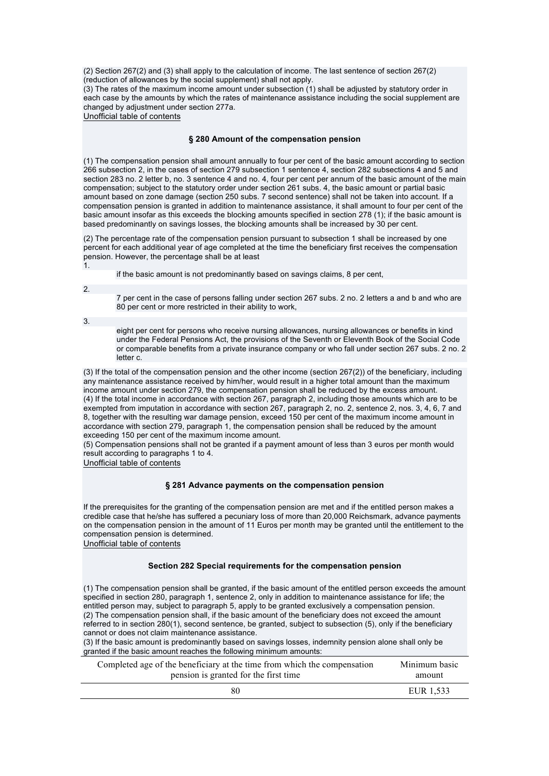(2) Section 267(2) and (3) shall apply to the calculation of income. The last sentence of section 267(2) (reduction of allowances by the social supplement) shall not apply.

(3) The rates of the maximum income amount under subsection (1) shall be adjusted by statutory order in each case by the amounts by which the rates of maintenance assistance including the social supplement are changed by adjustment under section 277a.

Unofficial table of contents

### **§ 280 Amount of the compensation pension**

(1) The compensation pension shall amount annually to four per cent of the basic amount according to section 266 subsection 2, in the cases of section 279 subsection 1 sentence 4, section 282 subsections 4 and 5 and section 283 no. 2 letter b, no. 3 sentence 4 and no. 4, four per cent per annum of the basic amount of the main compensation; subject to the statutory order under section 261 subs. 4, the basic amount or partial basic amount based on zone damage (section 250 subs. 7 second sentence) shall not be taken into account. If a compensation pension is granted in addition to maintenance assistance, it shall amount to four per cent of the basic amount insofar as this exceeds the blocking amounts specified in section 278 (1); if the basic amount is based predominantly on savings losses, the blocking amounts shall be increased by 30 per cent.

(2) The percentage rate of the compensation pension pursuant to subsection 1 shall be increased by one percent for each additional year of age completed at the time the beneficiary first receives the compensation pension. However, the percentage shall be at least 1.

if the basic amount is not predominantly based on savings claims, 8 per cent,

2.

7 per cent in the case of persons falling under section 267 subs. 2 no. 2 letters a and b and who are 80 per cent or more restricted in their ability to work,

3.

eight per cent for persons who receive nursing allowances, nursing allowances or benefits in kind under the Federal Pensions Act, the provisions of the Seventh or Eleventh Book of the Social Code or comparable benefits from a private insurance company or who fall under section 267 subs. 2 no. 2 letter c.

(3) If the total of the compensation pension and the other income (section 267(2)) of the beneficiary, including any maintenance assistance received by him/her, would result in a higher total amount than the maximum income amount under section 279, the compensation pension shall be reduced by the excess amount. (4) If the total income in accordance with section 267, paragraph 2, including those amounts which are to be exempted from imputation in accordance with section 267, paragraph 2, no. 2, sentence 2, nos. 3, 4, 6, 7 and 8, together with the resulting war damage pension, exceed 150 per cent of the maximum income amount in accordance with section 279, paragraph 1, the compensation pension shall be reduced by the amount exceeding 150 per cent of the maximum income amount.

(5) Compensation pensions shall not be granted if a payment amount of less than 3 euros per month would result according to paragraphs 1 to 4.

Unofficial table of contents

## **§ 281 Advance payments on the compensation pension**

If the prerequisites for the granting of the compensation pension are met and if the entitled person makes a credible case that he/she has suffered a pecuniary loss of more than 20,000 Reichsmark, advance payments on the compensation pension in the amount of 11 Euros per month may be granted until the entitlement to the compensation pension is determined. Unofficial table of contents

## **Section 282 Special requirements for the compensation pension**

(1) The compensation pension shall be granted, if the basic amount of the entitled person exceeds the amount specified in section 280, paragraph 1, sentence 2, only in addition to maintenance assistance for life; the entitled person may, subject to paragraph 5, apply to be granted exclusively a compensation pension. (2) The compensation pension shall, if the basic amount of the beneficiary does not exceed the amount referred to in section 280(1), second sentence, be granted, subject to subsection (5), only if the beneficiary cannot or does not claim maintenance assistance.

(3) If the basic amount is predominantly based on savings losses, indemnity pension alone shall only be granted if the basic amount reaches the following minimum amounts:

| Completed age of the beneficiary at the time from which the compensation | Minimum basic |
|--------------------------------------------------------------------------|---------------|
| pension is granted for the first time                                    | amount        |
| 80                                                                       | EUR 1.533     |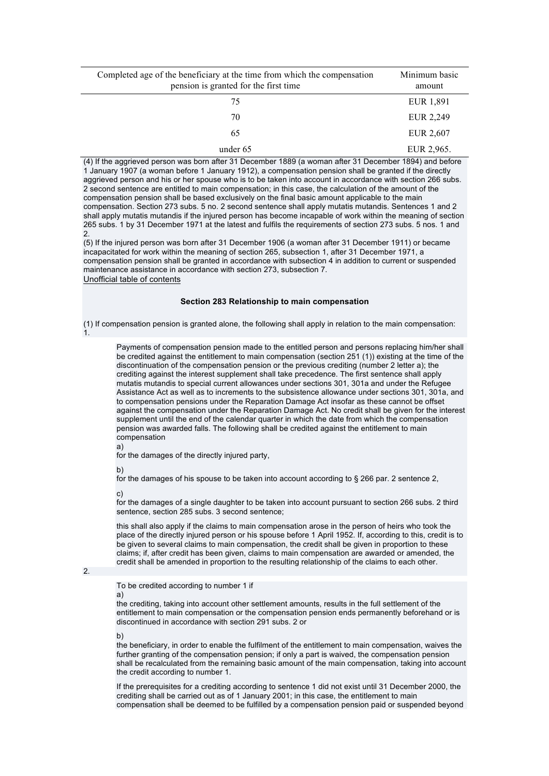| Completed age of the beneficiary at the time from which the compensation<br>pension is granted for the first time | Minimum basic<br>amount |
|-------------------------------------------------------------------------------------------------------------------|-------------------------|
| 75                                                                                                                | EUR 1,891               |
| 70                                                                                                                | EUR 2,249               |
| 65                                                                                                                | EUR 2,607               |
| under 65                                                                                                          | EUR 2,965.              |

(4) If the aggrieved person was born after 31 December 1889 (a woman after 31 December 1894) and before 1 January 1907 (a woman before 1 January 1912), a compensation pension shall be granted if the directly aggrieved person and his or her spouse who is to be taken into account in accordance with section 266 subs. 2 second sentence are entitled to main compensation; in this case, the calculation of the amount of the compensation pension shall be based exclusively on the final basic amount applicable to the main compensation. Section 273 subs. 5 no. 2 second sentence shall apply mutatis mutandis. Sentences 1 and 2 shall apply mutatis mutandis if the injured person has become incapable of work within the meaning of section 265 subs. 1 by 31 December 1971 at the latest and fulfils the requirements of section 273 subs. 5 nos. 1 and 2.

(5) If the injured person was born after 31 December 1906 (a woman after 31 December 1911) or became incapacitated for work within the meaning of section 265, subsection 1, after 31 December 1971, a compensation pension shall be granted in accordance with subsection 4 in addition to current or suspended maintenance assistance in accordance with section 273, subsection 7. Unofficial table of contents

### **Section 283 Relationship to main compensation**

(1) If compensation pension is granted alone, the following shall apply in relation to the main compensation: 1.

Payments of compensation pension made to the entitled person and persons replacing him/her shall be credited against the entitlement to main compensation (section 251 (1)) existing at the time of the discontinuation of the compensation pension or the previous crediting (number 2 letter a); the crediting against the interest supplement shall take precedence. The first sentence shall apply mutatis mutandis to special current allowances under sections 301, 301a and under the Refugee Assistance Act as well as to increments to the subsistence allowance under sections 301, 301a, and to compensation pensions under the Reparation Damage Act insofar as these cannot be offset against the compensation under the Reparation Damage Act. No credit shall be given for the interest supplement until the end of the calendar quarter in which the date from which the compensation pension was awarded falls. The following shall be credited against the entitlement to main compensation

a)

for the damages of the directly injured party,

b)

for the damages of his spouse to be taken into account according to § 266 par. 2 sentence 2,

c)

for the damages of a single daughter to be taken into account pursuant to section 266 subs. 2 third sentence, section 285 subs. 3 second sentence;

this shall also apply if the claims to main compensation arose in the person of heirs who took the place of the directly injured person or his spouse before 1 April 1952. If, according to this, credit is to be given to several claims to main compensation, the credit shall be given in proportion to these claims; if, after credit has been given, claims to main compensation are awarded or amended, the credit shall be amended in proportion to the resulting relationship of the claims to each other.

## 2.

To be credited according to number 1 if a)

the crediting, taking into account other settlement amounts, results in the full settlement of the entitlement to main compensation or the compensation pension ends permanently beforehand or is discontinued in accordance with section 291 subs. 2 or

b)

the beneficiary, in order to enable the fulfilment of the entitlement to main compensation, waives the further granting of the compensation pension; if only a part is waived, the compensation pension shall be recalculated from the remaining basic amount of the main compensation, taking into account the credit according to number 1.

If the prerequisites for a crediting according to sentence 1 did not exist until 31 December 2000, the crediting shall be carried out as of 1 January 2001; in this case, the entitlement to main compensation shall be deemed to be fulfilled by a compensation pension paid or suspended beyond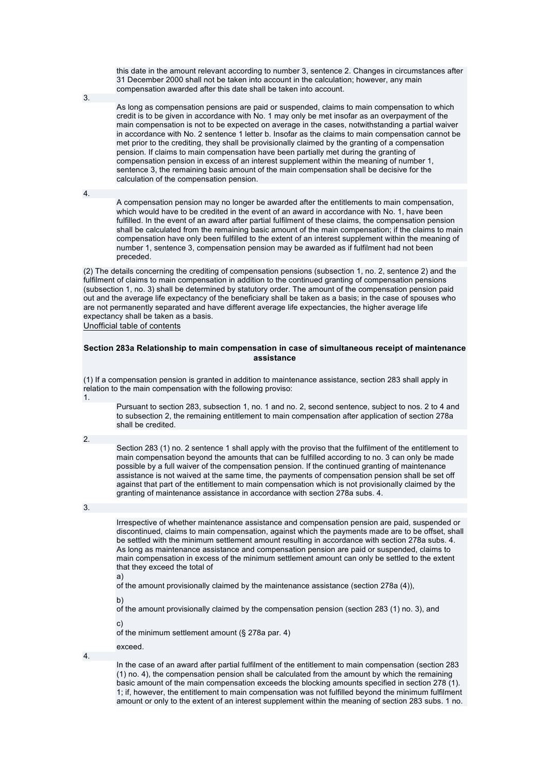this date in the amount relevant according to number 3, sentence 2. Changes in circumstances after 31 December 2000 shall not be taken into account in the calculation; however, any main compensation awarded after this date shall be taken into account.

3.

As long as compensation pensions are paid or suspended, claims to main compensation to which credit is to be given in accordance with No. 1 may only be met insofar as an overpayment of the main compensation is not to be expected on average in the cases, notwithstanding a partial waiver in accordance with No. 2 sentence 1 letter b. Insofar as the claims to main compensation cannot be met prior to the crediting, they shall be provisionally claimed by the granting of a compensation pension. If claims to main compensation have been partially met during the granting of compensation pension in excess of an interest supplement within the meaning of number 1, sentence 3, the remaining basic amount of the main compensation shall be decisive for the calculation of the compensation pension.

4.

A compensation pension may no longer be awarded after the entitlements to main compensation, which would have to be credited in the event of an award in accordance with No. 1, have been fulfilled. In the event of an award after partial fulfilment of these claims, the compensation pension shall be calculated from the remaining basic amount of the main compensation; if the claims to main compensation have only been fulfilled to the extent of an interest supplement within the meaning of number 1, sentence 3, compensation pension may be awarded as if fulfilment had not been preceded.

(2) The details concerning the crediting of compensation pensions (subsection 1, no. 2, sentence 2) and the fulfilment of claims to main compensation in addition to the continued granting of compensation pensions (subsection 1, no. 3) shall be determined by statutory order. The amount of the compensation pension paid out and the average life expectancy of the beneficiary shall be taken as a basis; in the case of spouses who are not permanently separated and have different average life expectancies, the higher average life expectancy shall be taken as a basis.

Unofficial table of contents

### **Section 283a Relationship to main compensation in case of simultaneous receipt of maintenance assistance**

(1) If a compensation pension is granted in addition to maintenance assistance, section 283 shall apply in relation to the main compensation with the following proviso: 1.

Pursuant to section 283, subsection 1, no. 1 and no. 2, second sentence, subject to nos. 2 to 4 and to subsection 2, the remaining entitlement to main compensation after application of section 278a shall be credited.

2.

Section 283 (1) no. 2 sentence 1 shall apply with the proviso that the fulfilment of the entitlement to main compensation beyond the amounts that can be fulfilled according to no. 3 can only be made possible by a full waiver of the compensation pension. If the continued granting of maintenance assistance is not waived at the same time, the payments of compensation pension shall be set off against that part of the entitlement to main compensation which is not provisionally claimed by the granting of maintenance assistance in accordance with section 278a subs. 4.

3.

Irrespective of whether maintenance assistance and compensation pension are paid, suspended or discontinued, claims to main compensation, against which the payments made are to be offset, shall be settled with the minimum settlement amount resulting in accordance with section 278a subs. 4. As long as maintenance assistance and compensation pension are paid or suspended, claims to main compensation in excess of the minimum settlement amount can only be settled to the extent that they exceed the total of

a)

of the amount provisionally claimed by the maintenance assistance (section 278a (4)),

b)

of the amount provisionally claimed by the compensation pension (section 283 (1) no. 3), and

c)

of the minimum settlement amount (§ 278a par. 4)

exceed. 4.

> In the case of an award after partial fulfilment of the entitlement to main compensation (section 283 (1) no. 4), the compensation pension shall be calculated from the amount by which the remaining basic amount of the main compensation exceeds the blocking amounts specified in section 278 (1). 1; if, however, the entitlement to main compensation was not fulfilled beyond the minimum fulfilment amount or only to the extent of an interest supplement within the meaning of section 283 subs. 1 no.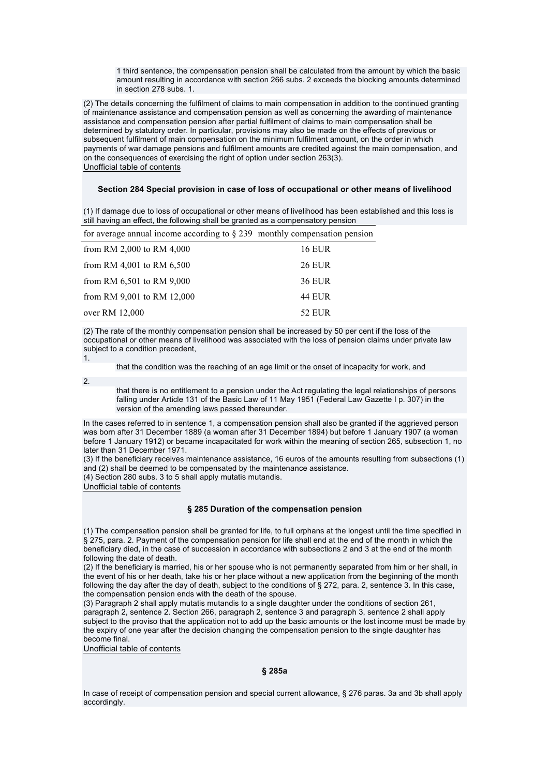1 third sentence, the compensation pension shall be calculated from the amount by which the basic amount resulting in accordance with section 266 subs. 2 exceeds the blocking amounts determined in section 278 subs. 1.

(2) The details concerning the fulfilment of claims to main compensation in addition to the continued granting of maintenance assistance and compensation pension as well as concerning the awarding of maintenance assistance and compensation pension after partial fulfilment of claims to main compensation shall be determined by statutory order. In particular, provisions may also be made on the effects of previous or subsequent fulfilment of main compensation on the minimum fulfilment amount, on the order in which payments of war damage pensions and fulfilment amounts are credited against the main compensation, and on the consequences of exercising the right of option under section 263(3). Unofficial table of contents

### **Section 284 Special provision in case of loss of occupational or other means of livelihood**

(1) If damage due to loss of occupational or other means of livelihood has been established and this loss is still having an effect, the following shall be granted as a compensatory pension

| for average annual income according to $\S 239$ monthly compensation pension |               |
|------------------------------------------------------------------------------|---------------|
| from RM 2,000 to RM 4,000                                                    | <b>16 EUR</b> |
| from RM 4,001 to RM $6,500$                                                  | <b>26 EUR</b> |
| from RM 6,501 to RM 9,000                                                    | <b>36 EUR</b> |
| from RM 9,001 to RM 12,000                                                   | <b>44 EUR</b> |
| over RM 12,000                                                               | <b>52 EUR</b> |

(2) The rate of the monthly compensation pension shall be increased by 50 per cent if the loss of the

occupational or other means of livelihood was associated with the loss of pension claims under private law subject to a condition precedent, 1.

that the condition was the reaching of an age limit or the onset of incapacity for work, and

2.

that there is no entitlement to a pension under the Act regulating the legal relationships of persons falling under Article 131 of the Basic Law of 11 May 1951 (Federal Law Gazette I p. 307) in the version of the amending laws passed thereunder.

In the cases referred to in sentence 1, a compensation pension shall also be granted if the aggrieved person was born after 31 December 1889 (a woman after 31 December 1894) but before 1 January 1907 (a woman before 1 January 1912) or became incapacitated for work within the meaning of section 265, subsection 1, no later than 31 December 1971.

(3) If the beneficiary receives maintenance assistance, 16 euros of the amounts resulting from subsections (1) and (2) shall be deemed to be compensated by the maintenance assistance.

(4) Section 280 subs. 3 to 5 shall apply mutatis mutandis.

Unofficial table of contents

### **§ 285 Duration of the compensation pension**

(1) The compensation pension shall be granted for life, to full orphans at the longest until the time specified in § 275, para. 2. Payment of the compensation pension for life shall end at the end of the month in which the beneficiary died, in the case of succession in accordance with subsections 2 and 3 at the end of the month following the date of death.

(2) If the beneficiary is married, his or her spouse who is not permanently separated from him or her shall, in the event of his or her death, take his or her place without a new application from the beginning of the month following the day after the day of death, subject to the conditions of § 272, para. 2, sentence 3. In this case, the compensation pension ends with the death of the spouse.

(3) Paragraph 2 shall apply mutatis mutandis to a single daughter under the conditions of section 261, paragraph 2, sentence 2. Section 266, paragraph 2, sentence 3 and paragraph 3, sentence 2 shall apply subject to the proviso that the application not to add up the basic amounts or the lost income must be made by the expiry of one year after the decision changing the compensation pension to the single daughter has become final.

Unofficial table of contents

**§ 285a** 

In case of receipt of compensation pension and special current allowance, § 276 paras. 3a and 3b shall apply accordingly.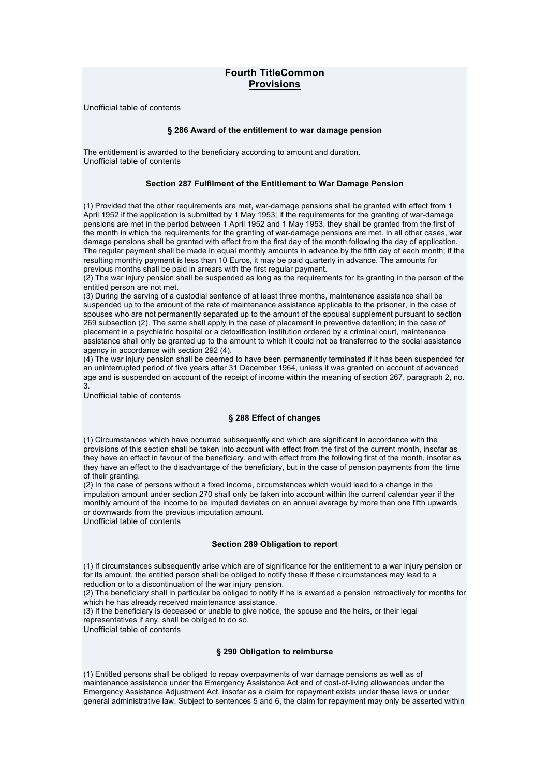# **Fourth TitleCommon Provisions**

Unofficial table of contents

### **§ 286 Award of the entitlement to war damage pension**

The entitlement is awarded to the beneficiary according to amount and duration. Unofficial table of contents

### **Section 287 Fulfilment of the Entitlement to War Damage Pension**

(1) Provided that the other requirements are met, war-damage pensions shall be granted with effect from 1 April 1952 if the application is submitted by 1 May 1953; if the requirements for the granting of war-damage pensions are met in the period between 1 April 1952 and 1 May 1953, they shall be granted from the first of the month in which the requirements for the granting of war-damage pensions are met. In all other cases, war damage pensions shall be granted with effect from the first day of the month following the day of application. The regular payment shall be made in equal monthly amounts in advance by the fifth day of each month; if the resulting monthly payment is less than 10 Euros, it may be paid quarterly in advance. The amounts for previous months shall be paid in arrears with the first regular payment.

(2) The war injury pension shall be suspended as long as the requirements for its granting in the person of the entitled person are not met.

(3) During the serving of a custodial sentence of at least three months, maintenance assistance shall be suspended up to the amount of the rate of maintenance assistance applicable to the prisoner, in the case of spouses who are not permanently separated up to the amount of the spousal supplement pursuant to section 269 subsection (2). The same shall apply in the case of placement in preventive detention; in the case of placement in a psychiatric hospital or a detoxification institution ordered by a criminal court, maintenance assistance shall only be granted up to the amount to which it could not be transferred to the social assistance agency in accordance with section 292 (4).

(4) The war injury pension shall be deemed to have been permanently terminated if it has been suspended for an uninterrupted period of five years after 31 December 1964, unless it was granted on account of advanced age and is suspended on account of the receipt of income within the meaning of section 267, paragraph 2, no. 3.

Unofficial table of contents

### **§ 288 Effect of changes**

(1) Circumstances which have occurred subsequently and which are significant in accordance with the provisions of this section shall be taken into account with effect from the first of the current month, insofar as they have an effect in favour of the beneficiary, and with effect from the following first of the month, insofar as they have an effect to the disadvantage of the beneficiary, but in the case of pension payments from the time of their granting.

(2) In the case of persons without a fixed income, circumstances which would lead to a change in the imputation amount under section 270 shall only be taken into account within the current calendar year if the monthly amount of the income to be imputed deviates on an annual average by more than one fifth upwards or downwards from the previous imputation amount.

Unofficial table of contents

### **Section 289 Obligation to report**

(1) If circumstances subsequently arise which are of significance for the entitlement to a war injury pension or for its amount, the entitled person shall be obliged to notify these if these circumstances may lead to a reduction or to a discontinuation of the war injury pension.

(2) The beneficiary shall in particular be obliged to notify if he is awarded a pension retroactively for months for which he has already received maintenance assistance.

(3) If the beneficiary is deceased or unable to give notice, the spouse and the heirs, or their legal representatives if any, shall be obliged to do so.

Unofficial table of contents

## **§ 290 Obligation to reimburse**

(1) Entitled persons shall be obliged to repay overpayments of war damage pensions as well as of maintenance assistance under the Emergency Assistance Act and of cost-of-living allowances under the Emergency Assistance Adjustment Act, insofar as a claim for repayment exists under these laws or under general administrative law. Subject to sentences 5 and 6, the claim for repayment may only be asserted within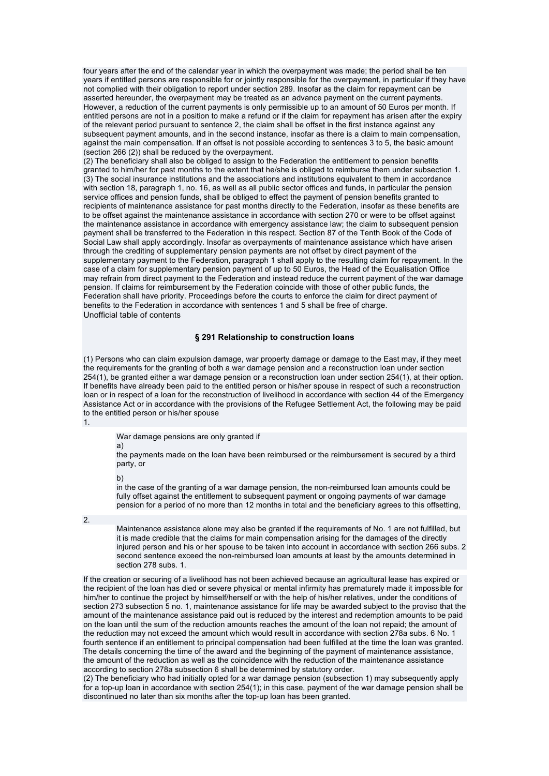four years after the end of the calendar year in which the overpayment was made; the period shall be ten years if entitled persons are responsible for or jointly responsible for the overpayment, in particular if they have not complied with their obligation to report under section 289. Insofar as the claim for repayment can be asserted hereunder, the overpayment may be treated as an advance payment on the current payments. However, a reduction of the current payments is only permissible up to an amount of 50 Euros per month. If entitled persons are not in a position to make a refund or if the claim for repayment has arisen after the expiry of the relevant period pursuant to sentence 2, the claim shall be offset in the first instance against any subsequent payment amounts, and in the second instance, insofar as there is a claim to main compensation, against the main compensation. If an offset is not possible according to sentences 3 to 5, the basic amount (section 266 (2)) shall be reduced by the overpayment.

(2) The beneficiary shall also be obliged to assign to the Federation the entitlement to pension benefits granted to him/her for past months to the extent that he/she is obliged to reimburse them under subsection 1. (3) The social insurance institutions and the associations and institutions equivalent to them in accordance with section 18, paragraph 1, no. 16, as well as all public sector offices and funds, in particular the pension service offices and pension funds, shall be obliged to effect the payment of pension benefits granted to recipients of maintenance assistance for past months directly to the Federation, insofar as these benefits are to be offset against the maintenance assistance in accordance with section 270 or were to be offset against the maintenance assistance in accordance with emergency assistance law; the claim to subsequent pension payment shall be transferred to the Federation in this respect. Section 87 of the Tenth Book of the Code of Social Law shall apply accordingly. Insofar as overpayments of maintenance assistance which have arisen through the crediting of supplementary pension payments are not offset by direct payment of the supplementary payment to the Federation, paragraph 1 shall apply to the resulting claim for repayment. In the case of a claim for supplementary pension payment of up to 50 Euros, the Head of the Equalisation Office may refrain from direct payment to the Federation and instead reduce the current payment of the war damage pension. If claims for reimbursement by the Federation coincide with those of other public funds, the Federation shall have priority. Proceedings before the courts to enforce the claim for direct payment of benefits to the Federation in accordance with sentences 1 and 5 shall be free of charge. Unofficial table of contents

## **§ 291 Relationship to construction loans**

(1) Persons who can claim expulsion damage, war property damage or damage to the East may, if they meet the requirements for the granting of both a war damage pension and a reconstruction loan under section 254(1), be granted either a war damage pension or a reconstruction loan under section 254(1), at their option. If benefits have already been paid to the entitled person or his/her spouse in respect of such a reconstruction loan or in respect of a loan for the reconstruction of livelihood in accordance with section 44 of the Emergency Assistance Act or in accordance with the provisions of the Refugee Settlement Act, the following may be paid to the entitled person or his/her spouse 1.

War damage pensions are only granted if

a)

the payments made on the loan have been reimbursed or the reimbursement is secured by a third party, or

b)

in the case of the granting of a war damage pension, the non-reimbursed loan amounts could be fully offset against the entitlement to subsequent payment or ongoing payments of war damage pension for a period of no more than 12 months in total and the beneficiary agrees to this offsetting,

2.

Maintenance assistance alone may also be granted if the requirements of No. 1 are not fulfilled, but it is made credible that the claims for main compensation arising for the damages of the directly injured person and his or her spouse to be taken into account in accordance with section 266 subs. 2 second sentence exceed the non-reimbursed loan amounts at least by the amounts determined in section 278 subs. 1.

If the creation or securing of a livelihood has not been achieved because an agricultural lease has expired or the recipient of the loan has died or severe physical or mental infirmity has prematurely made it impossible for him/her to continue the project by himself/herself or with the help of his/her relatives, under the conditions of section 273 subsection 5 no. 1, maintenance assistance for life may be awarded subject to the proviso that the amount of the maintenance assistance paid out is reduced by the interest and redemption amounts to be paid on the loan until the sum of the reduction amounts reaches the amount of the loan not repaid; the amount of the reduction may not exceed the amount which would result in accordance with section 278a subs. 6 No. 1 fourth sentence if an entitlement to principal compensation had been fulfilled at the time the loan was granted. The details concerning the time of the award and the beginning of the payment of maintenance assistance, the amount of the reduction as well as the coincidence with the reduction of the maintenance assistance according to section 278a subsection 6 shall be determined by statutory order.

(2) The beneficiary who had initially opted for a war damage pension (subsection 1) may subsequently apply for a top-up loan in accordance with section 254(1); in this case, payment of the war damage pension shall be discontinued no later than six months after the top-up loan has been granted.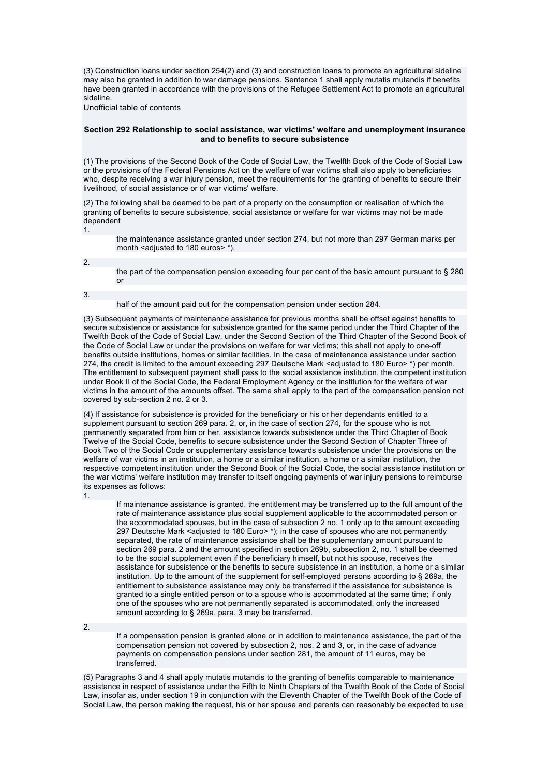(3) Construction loans under section 254(2) and (3) and construction loans to promote an agricultural sideline may also be granted in addition to war damage pensions. Sentence 1 shall apply mutatis mutandis if benefits have been granted in accordance with the provisions of the Refugee Settlement Act to promote an agricultural sideline.

Unofficial table of contents

### **Section 292 Relationship to social assistance, war victims' welfare and unemployment insurance and to benefits to secure subsistence**

(1) The provisions of the Second Book of the Code of Social Law, the Twelfth Book of the Code of Social Law or the provisions of the Federal Pensions Act on the welfare of war victims shall also apply to beneficiaries who, despite receiving a war injury pension, meet the requirements for the granting of benefits to secure their livelihood, of social assistance or of war victims' welfare.

(2) The following shall be deemed to be part of a property on the consumption or realisation of which the granting of benefits to secure subsistence, social assistance or welfare for war victims may not be made dependent

1.

the maintenance assistance granted under section 274, but not more than 297 German marks per month <adjusted to 180 euros> \*),

2.

the part of the compensation pension exceeding four per cent of the basic amount pursuant to § 280 or

3.

#### half of the amount paid out for the compensation pension under section 284.

(3) Subsequent payments of maintenance assistance for previous months shall be offset against benefits to secure subsistence or assistance for subsistence granted for the same period under the Third Chapter of the Twelfth Book of the Code of Social Law, under the Second Section of the Third Chapter of the Second Book of the Code of Social Law or under the provisions on welfare for war victims; this shall not apply to one-off benefits outside institutions, homes or similar facilities. In the case of maintenance assistance under section 274, the credit is limited to the amount exceeding 297 Deutsche Mark <adjusted to 180 Euro>\*) per month. The entitlement to subsequent payment shall pass to the social assistance institution, the competent institution under Book II of the Social Code, the Federal Employment Agency or the institution for the welfare of war victims in the amount of the amounts offset. The same shall apply to the part of the compensation pension not covered by sub-section 2 no. 2 or 3.

(4) If assistance for subsistence is provided for the beneficiary or his or her dependants entitled to a supplement pursuant to section 269 para. 2, or, in the case of section 274, for the spouse who is not permanently separated from him or her, assistance towards subsistence under the Third Chapter of Book Twelve of the Social Code, benefits to secure subsistence under the Second Section of Chapter Three of Book Two of the Social Code or supplementary assistance towards subsistence under the provisions on the welfare of war victims in an institution, a home or a similar institution, a home or a similar institution, the respective competent institution under the Second Book of the Social Code, the social assistance institution or the war victims' welfare institution may transfer to itself ongoing payments of war injury pensions to reimburse its expenses as follows:

1.

If maintenance assistance is granted, the entitlement may be transferred up to the full amount of the rate of maintenance assistance plus social supplement applicable to the accommodated person or the accommodated spouses, but in the case of subsection 2 no. 1 only up to the amount exceeding 297 Deutsche Mark <adjusted to 180 Euro> \*); in the case of spouses who are not permanently separated, the rate of maintenance assistance shall be the supplementary amount pursuant to section 269 para. 2 and the amount specified in section 269b, subsection 2, no. 1 shall be deemed to be the social supplement even if the beneficiary himself, but not his spouse, receives the assistance for subsistence or the benefits to secure subsistence in an institution, a home or a similar institution. Up to the amount of the supplement for self-employed persons according to § 269a, the entitlement to subsistence assistance may only be transferred if the assistance for subsistence is granted to a single entitled person or to a spouse who is accommodated at the same time; if only one of the spouses who are not permanently separated is accommodated, only the increased amount according to § 269a, para. 3 may be transferred.

2.

If a compensation pension is granted alone or in addition to maintenance assistance, the part of the compensation pension not covered by subsection 2, nos. 2 and 3, or, in the case of advance payments on compensation pensions under section 281, the amount of 11 euros, may be transferred.

(5) Paragraphs 3 and 4 shall apply mutatis mutandis to the granting of benefits comparable to maintenance assistance in respect of assistance under the Fifth to Ninth Chapters of the Twelfth Book of the Code of Social Law, insofar as, under section 19 in conjunction with the Eleventh Chapter of the Twelfth Book of the Code of Social Law, the person making the request, his or her spouse and parents can reasonably be expected to use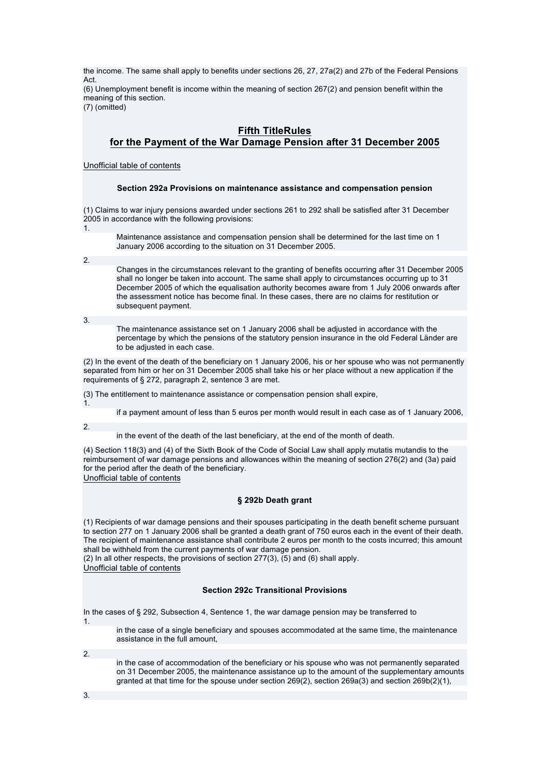the income. The same shall apply to benefits under sections 26, 27, 27a(2) and 27b of the Federal Pensions Act. (6) Unemployment benefit is income within the meaning of section 267(2) and pension benefit within the

meaning of this section. (7) (omitted)

# **Fifth TitleRules**

# **for the Payment of the War Damage Pension after 31 December 2005**

Unofficial table of contents

## **Section 292a Provisions on maintenance assistance and compensation pension**

(1) Claims to war injury pensions awarded under sections 261 to 292 shall be satisfied after 31 December 2005 in accordance with the following provisions:

1.

Maintenance assistance and compensation pension shall be determined for the last time on 1 January 2006 according to the situation on 31 December 2005.

2.

Changes in the circumstances relevant to the granting of benefits occurring after 31 December 2005 shall no longer be taken into account. The same shall apply to circumstances occurring up to 31 December 2005 of which the equalisation authority becomes aware from 1 July 2006 onwards after the assessment notice has become final. In these cases, there are no claims for restitution or subsequent payment.

3.

The maintenance assistance set on 1 January 2006 shall be adjusted in accordance with the percentage by which the pensions of the statutory pension insurance in the old Federal Länder are to be adjusted in each case.

(2) In the event of the death of the beneficiary on 1 January 2006, his or her spouse who was not permanently separated from him or her on 31 December 2005 shall take his or her place without a new application if the requirements of § 272, paragraph 2, sentence 3 are met.

(3) The entitlement to maintenance assistance or compensation pension shall expire,

if a payment amount of less than 5 euros per month would result in each case as of 1 January 2006,

2.

1.

in the event of the death of the last beneficiary, at the end of the month of death.

(4) Section 118(3) and (4) of the Sixth Book of the Code of Social Law shall apply mutatis mutandis to the reimbursement of war damage pensions and allowances within the meaning of section 276(2) and (3a) paid for the period after the death of the beneficiary.

Unofficial table of contents

## **§ 292b Death grant**

(1) Recipients of war damage pensions and their spouses participating in the death benefit scheme pursuant to section 277 on 1 January 2006 shall be granted a death grant of 750 euros each in the event of their death. The recipient of maintenance assistance shall contribute 2 euros per month to the costs incurred; this amount shall be withheld from the current payments of war damage pension.

(2) In all other respects, the provisions of section 277(3), (5) and (6) shall apply. Unofficial table of contents

## **Section 292c Transitional Provisions**

In the cases of § 292, Subsection 4, Sentence 1, the war damage pension may be transferred to

1.

in the case of a single beneficiary and spouses accommodated at the same time, the maintenance assistance in the full amount,

2.

in the case of accommodation of the beneficiary or his spouse who was not permanently separated on 31 December 2005, the maintenance assistance up to the amount of the supplementary amounts granted at that time for the spouse under section 269(2), section 269a(3) and section 269b(2)(1),

3.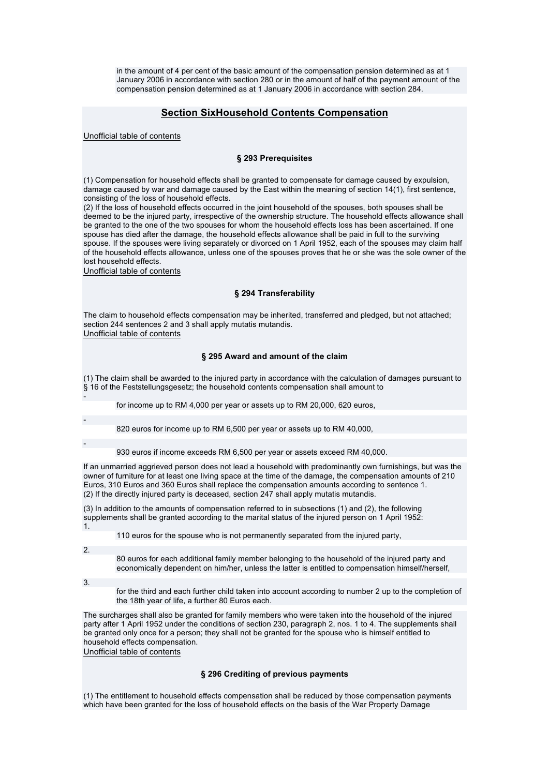in the amount of 4 per cent of the basic amount of the compensation pension determined as at 1 January 2006 in accordance with section 280 or in the amount of half of the payment amount of the compensation pension determined as at 1 January 2006 in accordance with section 284.

## **Section SixHousehold Contents Compensation**

Unofficial table of contents

### **§ 293 Prerequisites**

(1) Compensation for household effects shall be granted to compensate for damage caused by expulsion, damage caused by war and damage caused by the East within the meaning of section 14(1), first sentence, consisting of the loss of household effects.

(2) If the loss of household effects occurred in the joint household of the spouses, both spouses shall be deemed to be the injured party, irrespective of the ownership structure. The household effects allowance shall be granted to the one of the two spouses for whom the household effects loss has been ascertained. If one spouse has died after the damage, the household effects allowance shall be paid in full to the surviving spouse. If the spouses were living separately or divorced on 1 April 1952, each of the spouses may claim half of the household effects allowance, unless one of the spouses proves that he or she was the sole owner of the lost household effects.

Unofficial table of contents

### **§ 294 Transferability**

The claim to household effects compensation may be inherited, transferred and pledged, but not attached; section 244 sentences 2 and 3 shall apply mutatis mutandis. Unofficial table of contents

### **§ 295 Award and amount of the claim**

(1) The claim shall be awarded to the injured party in accordance with the calculation of damages pursuant to § 16 of the Feststellungsgesetz; the household contents compensation shall amount to

for income up to RM 4,000 per year or assets up to RM 20,000, 620 euros,

820 euros for income up to RM 6,500 per year or assets up to RM 40,000,

930 euros if income exceeds RM 6,500 per year or assets exceed RM 40,000.

If an unmarried aggrieved person does not lead a household with predominantly own furnishings, but was the owner of furniture for at least one living space at the time of the damage, the compensation amounts of 210 Euros, 310 Euros and 360 Euros shall replace the compensation amounts according to sentence 1. (2) If the directly injured party is deceased, section 247 shall apply mutatis mutandis.

(3) In addition to the amounts of compensation referred to in subsections (1) and (2), the following supplements shall be granted according to the marital status of the injured person on 1 April 1952: 1.

110 euros for the spouse who is not permanently separated from the injured party,

2.

-

-

-

80 euros for each additional family member belonging to the household of the injured party and economically dependent on him/her, unless the latter is entitled to compensation himself/herself,

3.

for the third and each further child taken into account according to number 2 up to the completion of the 18th year of life, a further 80 Euros each.

The surcharges shall also be granted for family members who were taken into the household of the injured party after 1 April 1952 under the conditions of section 230, paragraph 2, nos. 1 to 4. The supplements shall be granted only once for a person; they shall not be granted for the spouse who is himself entitled to household effects compensation.

Unofficial table of contents

## **§ 296 Crediting of previous payments**

(1) The entitlement to household effects compensation shall be reduced by those compensation payments which have been granted for the loss of household effects on the basis of the War Property Damage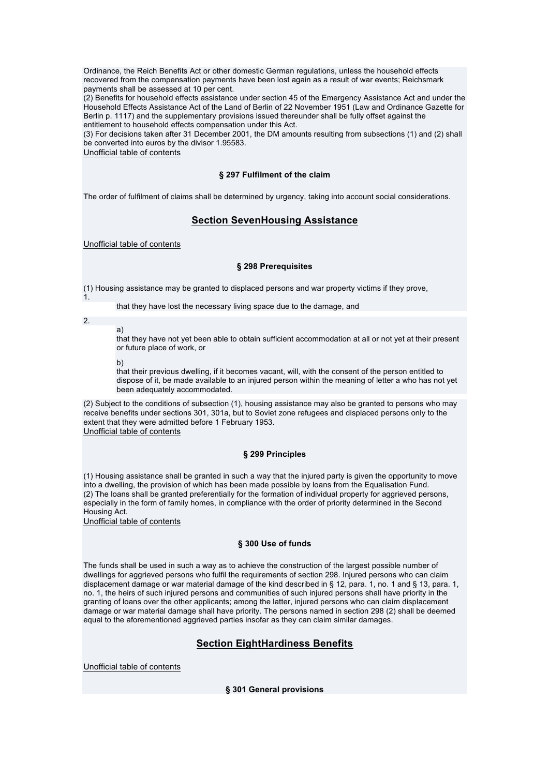Ordinance, the Reich Benefits Act or other domestic German regulations, unless the household effects recovered from the compensation payments have been lost again as a result of war events; Reichsmark payments shall be assessed at 10 per cent.

(2) Benefits for household effects assistance under section 45 of the Emergency Assistance Act and under the Household Effects Assistance Act of the Land of Berlin of 22 November 1951 (Law and Ordinance Gazette for Berlin p. 1117) and the supplementary provisions issued thereunder shall be fully offset against the entitlement to household effects compensation under this Act.

(3) For decisions taken after 31 December 2001, the DM amounts resulting from subsections (1) and (2) shall be converted into euros by the divisor 1.95583.

Unofficial table of contents

## **§ 297 Fulfilment of the claim**

The order of fulfilment of claims shall be determined by urgency, taking into account social considerations.

# **Section SevenHousing Assistance**

Unofficial table of contents

## **§ 298 Prerequisites**

(1) Housing assistance may be granted to displaced persons and war property victims if they prove,

that they have lost the necessary living space due to the damage, and

2.

1.

that they have not yet been able to obtain sufficient accommodation at all or not yet at their present or future place of work, or

b)

a)

that their previous dwelling, if it becomes vacant, will, with the consent of the person entitled to dispose of it, be made available to an injured person within the meaning of letter a who has not yet been adequately accommodated.

(2) Subject to the conditions of subsection (1), housing assistance may also be granted to persons who may receive benefits under sections 301, 301a, but to Soviet zone refugees and displaced persons only to the extent that they were admitted before 1 February 1953. Unofficial table of contents

## **§ 299 Principles**

(1) Housing assistance shall be granted in such a way that the injured party is given the opportunity to move into a dwelling, the provision of which has been made possible by loans from the Equalisation Fund. (2) The loans shall be granted preferentially for the formation of individual property for aggrieved persons, especially in the form of family homes, in compliance with the order of priority determined in the Second Housing Act.

Unofficial table of contents

## **§ 300 Use of funds**

The funds shall be used in such a way as to achieve the construction of the largest possible number of dwellings for aggrieved persons who fulfil the requirements of section 298. Injured persons who can claim displacement damage or war material damage of the kind described in § 12, para. 1, no. 1 and § 13, para. 1, no. 1, the heirs of such injured persons and communities of such injured persons shall have priority in the granting of loans over the other applicants; among the latter, injured persons who can claim displacement damage or war material damage shall have priority. The persons named in section 298 (2) shall be deemed equal to the aforementioned aggrieved parties insofar as they can claim similar damages.

# **Section EightHardiness Benefits**

Unofficial table of contents

**§ 301 General provisions**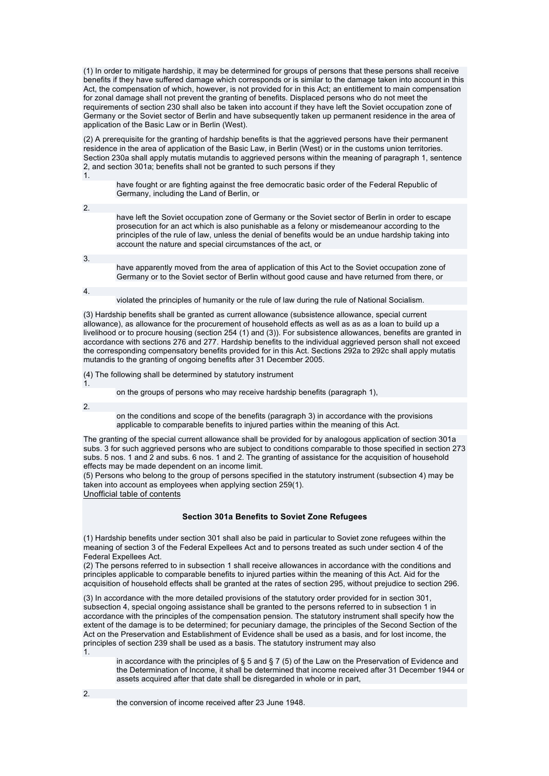(1) In order to mitigate hardship, it may be determined for groups of persons that these persons shall receive benefits if they have suffered damage which corresponds or is similar to the damage taken into account in this Act, the compensation of which, however, is not provided for in this Act; an entitlement to main compensation for zonal damage shall not prevent the granting of benefits. Displaced persons who do not meet the requirements of section 230 shall also be taken into account if they have left the Soviet occupation zone of Germany or the Soviet sector of Berlin and have subsequently taken up permanent residence in the area of application of the Basic Law or in Berlin (West).

(2) A prerequisite for the granting of hardship benefits is that the aggrieved persons have their permanent residence in the area of application of the Basic Law, in Berlin (West) or in the customs union territories. Section 230a shall apply mutatis mutandis to aggrieved persons within the meaning of paragraph 1, sentence 2, and section 301a; benefits shall not be granted to such persons if they 1.

have fought or are fighting against the free democratic basic order of the Federal Republic of Germany, including the Land of Berlin, or

2.

have left the Soviet occupation zone of Germany or the Soviet sector of Berlin in order to escape prosecution for an act which is also punishable as a felony or misdemeanour according to the principles of the rule of law, unless the denial of benefits would be an undue hardship taking into account the nature and special circumstances of the act, or

3.

have apparently moved from the area of application of this Act to the Soviet occupation zone of Germany or to the Soviet sector of Berlin without good cause and have returned from there, or

4.

violated the principles of humanity or the rule of law during the rule of National Socialism.

(3) Hardship benefits shall be granted as current allowance (subsistence allowance, special current allowance), as allowance for the procurement of household effects as well as as as a loan to build up a livelihood or to procure housing (section 254 (1) and (3)). For subsistence allowances, benefits are granted in accordance with sections 276 and 277. Hardship benefits to the individual aggrieved person shall not exceed the corresponding compensatory benefits provided for in this Act. Sections 292a to 292c shall apply mutatis mutandis to the granting of ongoing benefits after 31 December 2005.

(4) The following shall be determined by statutory instrument

1.

on the groups of persons who may receive hardship benefits (paragraph 1),

2.

on the conditions and scope of the benefits (paragraph 3) in accordance with the provisions applicable to comparable benefits to injured parties within the meaning of this Act.

The granting of the special current allowance shall be provided for by analogous application of section 301a subs. 3 for such aggrieved persons who are subject to conditions comparable to those specified in section 273 subs. 5 nos. 1 and 2 and subs. 6 nos. 1 and 2. The granting of assistance for the acquisition of household effects may be made dependent on an income limit.

(5) Persons who belong to the group of persons specified in the statutory instrument (subsection 4) may be taken into account as employees when applying section 259(1).

Unofficial table of contents

## **Section 301a Benefits to Soviet Zone Refugees**

(1) Hardship benefits under section 301 shall also be paid in particular to Soviet zone refugees within the meaning of section 3 of the Federal Expellees Act and to persons treated as such under section 4 of the Federal Expellees Act.

(2) The persons referred to in subsection 1 shall receive allowances in accordance with the conditions and principles applicable to comparable benefits to injured parties within the meaning of this Act. Aid for the acquisition of household effects shall be granted at the rates of section 295, without prejudice to section 296.

(3) In accordance with the more detailed provisions of the statutory order provided for in section 301, subsection 4, special ongoing assistance shall be granted to the persons referred to in subsection 1 in accordance with the principles of the compensation pension. The statutory instrument shall specify how the extent of the damage is to be determined; for pecuniary damage, the principles of the Second Section of the Act on the Preservation and Establishment of Evidence shall be used as a basis, and for lost income, the principles of section 239 shall be used as a basis. The statutory instrument may also 1.

in accordance with the principles of § 5 and § 7 (5) of the Law on the Preservation of Evidence and the Determination of Income, it shall be determined that income received after 31 December 1944 or assets acquired after that date shall be disregarded in whole or in part,

the conversion of income received after 23 June 1948.

2.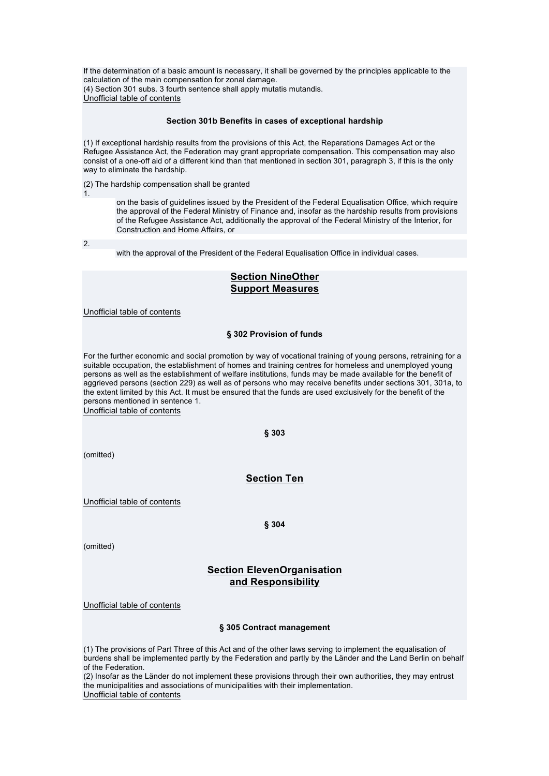If the determination of a basic amount is necessary, it shall be governed by the principles applicable to the calculation of the main compensation for zonal damage. (4) Section 301 subs. 3 fourth sentence shall apply mutatis mutandis. Unofficial table of contents

## **Section 301b Benefits in cases of exceptional hardship**

(1) If exceptional hardship results from the provisions of this Act, the Reparations Damages Act or the Refugee Assistance Act, the Federation may grant appropriate compensation. This compensation may also consist of a one-off aid of a different kind than that mentioned in section 301, paragraph 3, if this is the only way to eliminate the hardship.

(2) The hardship compensation shall be granted

1.

on the basis of guidelines issued by the President of the Federal Equalisation Office, which require the approval of the Federal Ministry of Finance and, insofar as the hardship results from provisions of the Refugee Assistance Act, additionally the approval of the Federal Ministry of the Interior, for Construction and Home Affairs, or

2.

with the approval of the President of the Federal Equalisation Office in individual cases.

# **Section NineOther Support Measures**

Unofficial table of contents

## **§ 302 Provision of funds**

For the further economic and social promotion by way of vocational training of young persons, retraining for a suitable occupation, the establishment of homes and training centres for homeless and unemployed young persons as well as the establishment of welfare institutions, funds may be made available for the benefit of aggrieved persons (section 229) as well as of persons who may receive benefits under sections 301, 301a, to the extent limited by this Act. It must be ensured that the funds are used exclusively for the benefit of the persons mentioned in sentence 1.

Unofficial table of contents

### **§ 303**

(omitted)

## **Section Ten**

Unofficial table of contents

**§ 304** 

(omitted)

## **Section ElevenOrganisation and Responsibility**

Unofficial table of contents

### **§ 305 Contract management**

(1) The provisions of Part Three of this Act and of the other laws serving to implement the equalisation of burdens shall be implemented partly by the Federation and partly by the Länder and the Land Berlin on behalf of the Federation.

(2) Insofar as the Länder do not implement these provisions through their own authorities, they may entrust the municipalities and associations of municipalities with their implementation. Unofficial table of contents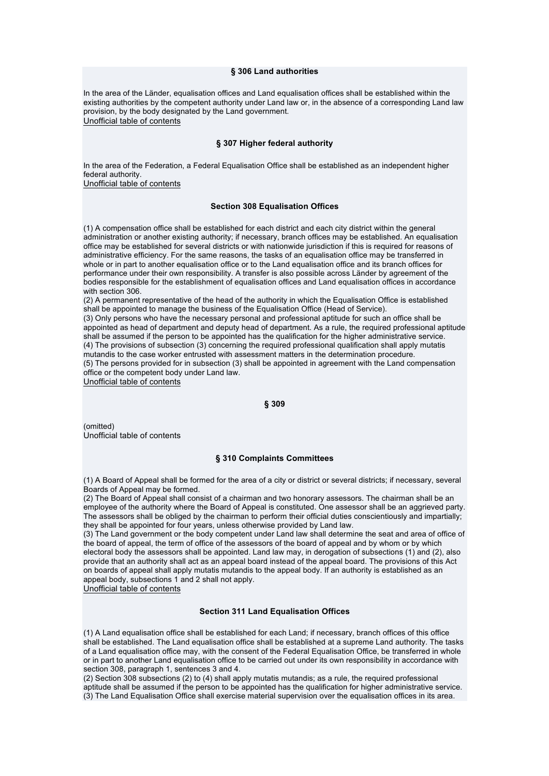#### **§ 306 Land authorities**

In the area of the Länder, equalisation offices and Land equalisation offices shall be established within the existing authorities by the competent authority under Land law or, in the absence of a corresponding Land law provision, by the body designated by the Land government. Unofficial table of contents

## **§ 307 Higher federal authority**

In the area of the Federation, a Federal Equalisation Office shall be established as an independent higher federal authority.

Unofficial table of contents

### **Section 308 Equalisation Offices**

(1) A compensation office shall be established for each district and each city district within the general administration or another existing authority; if necessary, branch offices may be established. An equalisation office may be established for several districts or with nationwide jurisdiction if this is required for reasons of administrative efficiency. For the same reasons, the tasks of an equalisation office may be transferred in whole or in part to another equalisation office or to the Land equalisation office and its branch offices for performance under their own responsibility. A transfer is also possible across Länder by agreement of the bodies responsible for the establishment of equalisation offices and Land equalisation offices in accordance with section 306.

(2) A permanent representative of the head of the authority in which the Equalisation Office is established shall be appointed to manage the business of the Equalisation Office (Head of Service).

(3) Only persons who have the necessary personal and professional aptitude for such an office shall be appointed as head of department and deputy head of department. As a rule, the required professional aptitude shall be assumed if the person to be appointed has the qualification for the higher administrative service. (4) The provisions of subsection (3) concerning the required professional qualification shall apply mutatis mutandis to the case worker entrusted with assessment matters in the determination procedure. (5) The persons provided for in subsection (3) shall be appointed in agreement with the Land compensation office or the competent body under Land law.

Unofficial table of contents

### **§ 309**

(omitted) Unofficial table of contents

### **§ 310 Complaints Committees**

(1) A Board of Appeal shall be formed for the area of a city or district or several districts; if necessary, several Boards of Appeal may be formed.

(2) The Board of Appeal shall consist of a chairman and two honorary assessors. The chairman shall be an employee of the authority where the Board of Appeal is constituted. One assessor shall be an aggrieved party. The assessors shall be obliged by the chairman to perform their official duties conscientiously and impartially; they shall be appointed for four years, unless otherwise provided by Land law.

(3) The Land government or the body competent under Land law shall determine the seat and area of office of the board of appeal, the term of office of the assessors of the board of appeal and by whom or by which electoral body the assessors shall be appointed. Land law may, in derogation of subsections (1) and (2), also provide that an authority shall act as an appeal board instead of the appeal board. The provisions of this Act on boards of appeal shall apply mutatis mutandis to the appeal body. If an authority is established as an appeal body, subsections 1 and 2 shall not apply.

Unofficial table of contents

## **Section 311 Land Equalisation Offices**

(1) A Land equalisation office shall be established for each Land; if necessary, branch offices of this office shall be established. The Land equalisation office shall be established at a supreme Land authority. The tasks of a Land equalisation office may, with the consent of the Federal Equalisation Office, be transferred in whole or in part to another Land equalisation office to be carried out under its own responsibility in accordance with section 308, paragraph 1, sentences 3 and 4.

(2) Section 308 subsections (2) to (4) shall apply mutatis mutandis; as a rule, the required professional aptitude shall be assumed if the person to be appointed has the qualification for higher administrative service. (3) The Land Equalisation Office shall exercise material supervision over the equalisation offices in its area.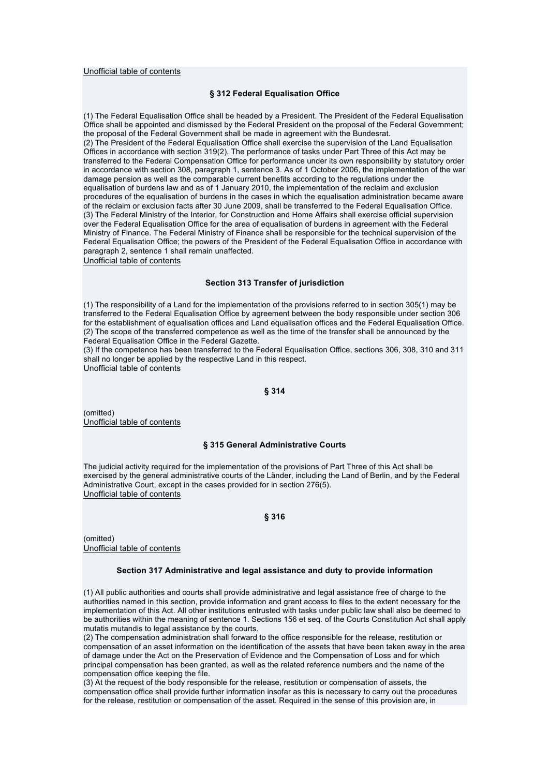### Unofficial table of contents

### **§ 312 Federal Equalisation Office**

(1) The Federal Equalisation Office shall be headed by a President. The President of the Federal Equalisation Office shall be appointed and dismissed by the Federal President on the proposal of the Federal Government; the proposal of the Federal Government shall be made in agreement with the Bundesrat. (2) The President of the Federal Equalisation Office shall exercise the supervision of the Land Equalisation Offices in accordance with section 319(2). The performance of tasks under Part Three of this Act may be transferred to the Federal Compensation Office for performance under its own responsibility by statutory order in accordance with section 308, paragraph 1, sentence 3. As of 1 October 2006, the implementation of the war damage pension as well as the comparable current benefits according to the regulations under the equalisation of burdens law and as of 1 January 2010, the implementation of the reclaim and exclusion procedures of the equalisation of burdens in the cases in which the equalisation administration became aware of the reclaim or exclusion facts after 30 June 2009, shall be transferred to the Federal Equalisation Office. (3) The Federal Ministry of the Interior, for Construction and Home Affairs shall exercise official supervision over the Federal Equalisation Office for the area of equalisation of burdens in agreement with the Federal Ministry of Finance. The Federal Ministry of Finance shall be responsible for the technical supervision of the Federal Equalisation Office; the powers of the President of the Federal Equalisation Office in accordance with paragraph 2, sentence 1 shall remain unaffected.

Unofficial table of contents

#### **Section 313 Transfer of jurisdiction**

(1) The responsibility of a Land for the implementation of the provisions referred to in section 305(1) may be transferred to the Federal Equalisation Office by agreement between the body responsible under section 306 for the establishment of equalisation offices and Land equalisation offices and the Federal Equalisation Office. (2) The scope of the transferred competence as well as the time of the transfer shall be announced by the Federal Equalisation Office in the Federal Gazette.

(3) If the competence has been transferred to the Federal Equalisation Office, sections 306, 308, 310 and 311 shall no longer be applied by the respective Land in this respect.

Unofficial table of contents

### **§ 314**

(omitted) Unofficial table of contents

### **§ 315 General Administrative Courts**

The judicial activity required for the implementation of the provisions of Part Three of this Act shall be exercised by the general administrative courts of the Länder, including the Land of Berlin, and by the Federal Administrative Court, except in the cases provided for in section 276(5). Unofficial table of contents

#### **§ 316**

(omitted) Unofficial table of contents

### **Section 317 Administrative and legal assistance and duty to provide information**

(1) All public authorities and courts shall provide administrative and legal assistance free of charge to the authorities named in this section, provide information and grant access to files to the extent necessary for the implementation of this Act. All other institutions entrusted with tasks under public law shall also be deemed to be authorities within the meaning of sentence 1. Sections 156 et seq. of the Courts Constitution Act shall apply mutatis mutandis to legal assistance by the courts.

(2) The compensation administration shall forward to the office responsible for the release, restitution or compensation of an asset information on the identification of the assets that have been taken away in the area of damage under the Act on the Preservation of Evidence and the Compensation of Loss and for which principal compensation has been granted, as well as the related reference numbers and the name of the compensation office keeping the file.

(3) At the request of the body responsible for the release, restitution or compensation of assets, the compensation office shall provide further information insofar as this is necessary to carry out the procedures for the release, restitution or compensation of the asset. Required in the sense of this provision are, in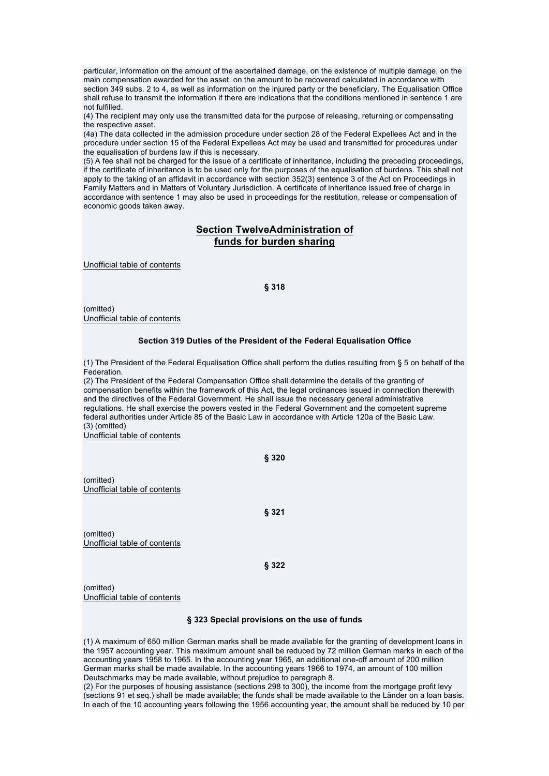particular, information on the amount of the ascertained damage, on the existence of multiple damage, on the main compensation awarded for the asset, on the amount to be recovered calculated in accordance with section 349 subs. 2 to 4, as well as information on the injured party or the beneficiary. The Equalisation Office shall refuse to transmit the information if there are indications that the conditions mentioned in sentence 1 are not fulfilled.

(4) The recipient may only use the transmitted data for the purpose of releasing, returning or compensating the respective asset.

(4a) The data collected in the admission procedure under section 28 of the Federal Expellees Act and in the procedure under section 15 of the Federal Expellees Act may be used and transmitted for procedures under the equalisation of burdens law if this is necessary.

(5) A fee shall not be charged for the issue of a certificate of inheritance, including the preceding proceedings, if the certificate of inheritance is to be used only for the purposes of the equalisation of burdens. This shall not apply to the taking of an affidavit in accordance with section 352(3) sentence 3 of the Act on Proceedings in Family Matters and in Matters of Voluntary Jurisdiction. A certificate of inheritance issued free of charge in accordance with sentence 1 may also be used in proceedings for the restitution, release or compensation of economic goods taken away.

# **Section TwelveAdministration of funds for burden sharing**

Unofficial table of contents

## **§ 318**

(omitted) Unofficial table of contents

### **Section 319 Duties of the President of the Federal Equalisation Office**

(1) The President of the Federal Equalisation Office shall perform the duties resulting from § 5 on behalf of the **Federation** 

(2) The President of the Federal Compensation Office shall determine the details of the granting of compensation benefits within the framework of this Act, the legal ordinances issued in connection therewith and the directives of the Federal Government. He shall issue the necessary general administrative regulations. He shall exercise the powers vested in the Federal Government and the competent supreme federal authorities under Article 85 of the Basic Law in accordance with Article 120a of the Basic Law. (3) (omitted)

Unofficial table of contents

**§ 320** 

(omitted) Unofficial table of contents

**§ 321** 

(omitted) Unofficial table of contents

**§ 322** 

(omitted) Unofficial table of contents

### **§ 323 Special provisions on the use of funds**

(1) A maximum of 650 million German marks shall be made available for the granting of development loans in the 1957 accounting year. This maximum amount shall be reduced by 72 million German marks in each of the accounting years 1958 to 1965. In the accounting year 1965, an additional one-off amount of 200 million German marks shall be made available. In the accounting years 1966 to 1974, an amount of 100 million Deutschmarks may be made available, without prejudice to paragraph 8.

(2) For the purposes of housing assistance (sections 298 to 300), the income from the mortgage profit levy (sections 91 et seq.) shall be made available; the funds shall be made available to the Länder on a loan basis. In each of the 10 accounting years following the 1956 accounting year, the amount shall be reduced by 10 per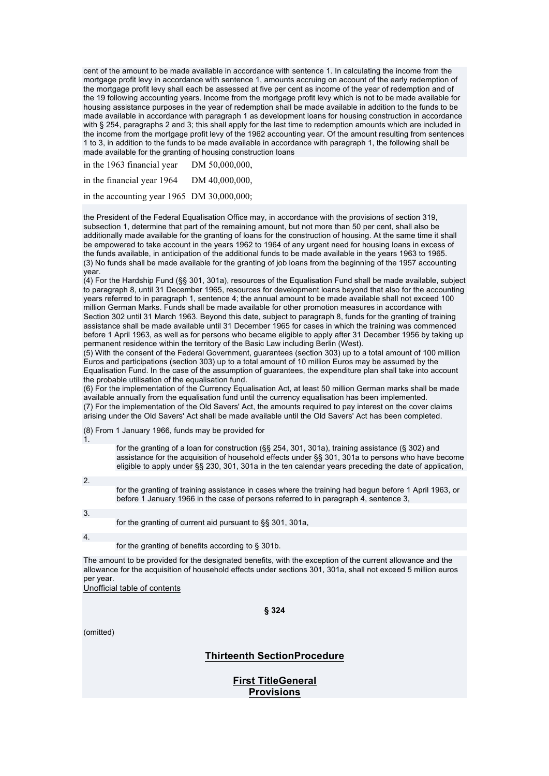cent of the amount to be made available in accordance with sentence 1. In calculating the income from the mortgage profit levy in accordance with sentence 1, amounts accruing on account of the early redemption of the mortgage profit levy shall each be assessed at five per cent as income of the year of redemption and of the 19 following accounting years. Income from the mortgage profit levy which is not to be made available for housing assistance purposes in the year of redemption shall be made available in addition to the funds to be made available in accordance with paragraph 1 as development loans for housing construction in accordance with § 254, paragraphs 2 and 3; this shall apply for the last time to redemption amounts which are included in the income from the mortgage profit levy of the 1962 accounting year. Of the amount resulting from sentences 1 to 3, in addition to the funds to be made available in accordance with paragraph 1, the following shall be made available for the granting of housing construction loans

in the 1963 financial year DM 50,000,000, in the financial year 1964 DM 40,000,000,

in the accounting year 1965 DM 30,000,000;

the President of the Federal Equalisation Office may, in accordance with the provisions of section 319, subsection 1, determine that part of the remaining amount, but not more than 50 per cent, shall also be additionally made available for the granting of loans for the construction of housing. At the same time it shall be empowered to take account in the years 1962 to 1964 of any urgent need for housing loans in excess of the funds available, in anticipation of the additional funds to be made available in the years 1963 to 1965. (3) No funds shall be made available for the granting of job loans from the beginning of the 1957 accounting year.

(4) For the Hardship Fund (§§ 301, 301a), resources of the Equalisation Fund shall be made available, subject to paragraph 8, until 31 December 1965, resources for development loans beyond that also for the accounting years referred to in paragraph 1, sentence 4; the annual amount to be made available shall not exceed 100 million German Marks. Funds shall be made available for other promotion measures in accordance with Section 302 until 31 March 1963. Beyond this date, subject to paragraph 8, funds for the granting of training assistance shall be made available until 31 December 1965 for cases in which the training was commenced before 1 April 1963, as well as for persons who became eligible to apply after 31 December 1956 by taking up permanent residence within the territory of the Basic Law including Berlin (West).

(5) With the consent of the Federal Government, guarantees (section 303) up to a total amount of 100 million Euros and participations (section 303) up to a total amount of 10 million Euros may be assumed by the Equalisation Fund. In the case of the assumption of guarantees, the expenditure plan shall take into account the probable utilisation of the equalisation fund.

(6) For the implementation of the Currency Equalisation Act, at least 50 million German marks shall be made available annually from the equalisation fund until the currency equalisation has been implemented. (7) For the implementation of the Old Savers' Act, the amounts required to pay interest on the cover claims arising under the Old Savers' Act shall be made available until the Old Savers' Act has been completed.

(8) From 1 January 1966, funds may be provided for 1.

for the granting of a loan for construction (§§ 254, 301, 301a), training assistance (§ 302) and assistance for the acquisition of household effects under §§ 301, 301a to persons who have become eligible to apply under §§ 230, 301, 301a in the ten calendar years preceding the date of application,

2.

for the granting of training assistance in cases where the training had begun before 1 April 1963, or before 1 January 1966 in the case of persons referred to in paragraph 4, sentence 3,

3.

for the granting of current aid pursuant to §§ 301, 301a,

4.

for the granting of benefits according to § 301b.

The amount to be provided for the designated benefits, with the exception of the current allowance and the allowance for the acquisition of household effects under sections 301, 301a, shall not exceed 5 million euros per year.

Unofficial table of contents

**§ 324** 

(omitted)

# **Thirteenth SectionProcedure**

**First TitleGeneral Provisions**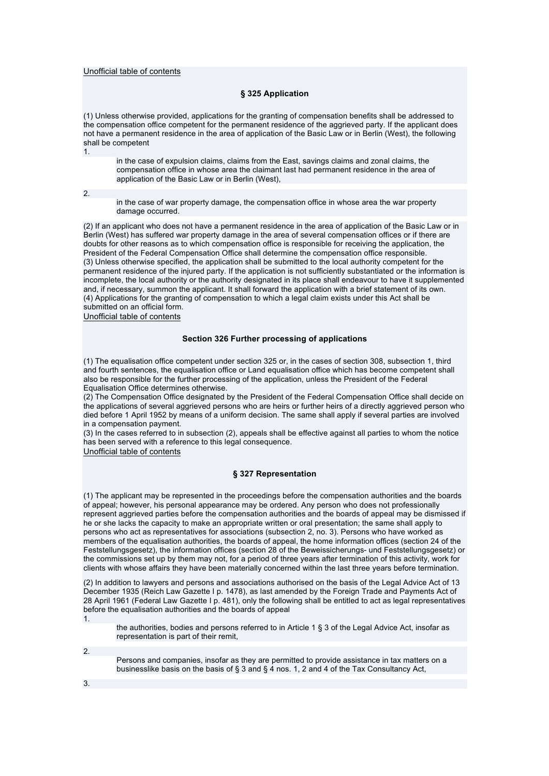### Unofficial table of contents

## **§ 325 Application**

(1) Unless otherwise provided, applications for the granting of compensation benefits shall be addressed to the compensation office competent for the permanent residence of the aggrieved party. If the applicant does not have a permanent residence in the area of application of the Basic Law or in Berlin (West), the following shall be competent 1.

in the case of expulsion claims, claims from the East, savings claims and zonal claims, the compensation office in whose area the claimant last had permanent residence in the area of application of the Basic Law or in Berlin (West),

2.

in the case of war property damage, the compensation office in whose area the war property damage occurred.

(2) If an applicant who does not have a permanent residence in the area of application of the Basic Law or in Berlin (West) has suffered war property damage in the area of several compensation offices or if there are doubts for other reasons as to which compensation office is responsible for receiving the application, the President of the Federal Compensation Office shall determine the compensation office responsible. (3) Unless otherwise specified, the application shall be submitted to the local authority competent for the permanent residence of the injured party. If the application is not sufficiently substantiated or the information is incomplete, the local authority or the authority designated in its place shall endeavour to have it supplemented and, if necessary, summon the applicant. It shall forward the application with a brief statement of its own. (4) Applications for the granting of compensation to which a legal claim exists under this Act shall be submitted on an official form.

Unofficial table of contents

### **Section 326 Further processing of applications**

(1) The equalisation office competent under section 325 or, in the cases of section 308, subsection 1, third and fourth sentences, the equalisation office or Land equalisation office which has become competent shall also be responsible for the further processing of the application, unless the President of the Federal Equalisation Office determines otherwise.

(2) The Compensation Office designated by the President of the Federal Compensation Office shall decide on the applications of several aggrieved persons who are heirs or further heirs of a directly aggrieved person who died before 1 April 1952 by means of a uniform decision. The same shall apply if several parties are involved in a compensation payment.

(3) In the cases referred to in subsection (2), appeals shall be effective against all parties to whom the notice has been served with a reference to this legal consequence.

Unofficial table of contents

### **§ 327 Representation**

(1) The applicant may be represented in the proceedings before the compensation authorities and the boards of appeal; however, his personal appearance may be ordered. Any person who does not professionally represent aggrieved parties before the compensation authorities and the boards of appeal may be dismissed if he or she lacks the capacity to make an appropriate written or oral presentation; the same shall apply to persons who act as representatives for associations (subsection 2, no. 3). Persons who have worked as members of the equalisation authorities, the boards of appeal, the home information offices (section 24 of the Feststellungsgesetz), the information offices (section 28 of the Beweissicherungs- und Feststellungsgesetz) or the commissions set up by them may not, for a period of three years after termination of this activity, work for clients with whose affairs they have been materially concerned within the last three years before termination.

(2) In addition to lawyers and persons and associations authorised on the basis of the Legal Advice Act of 13 December 1935 (Reich Law Gazette I p. 1478), as last amended by the Foreign Trade and Payments Act of 28 April 1961 (Federal Law Gazette I p. 481), only the following shall be entitled to act as legal representatives before the equalisation authorities and the boards of appeal 1.

the authorities, bodies and persons referred to in Article 1 § 3 of the Legal Advice Act, insofar as representation is part of their remit,

2.

Persons and companies, insofar as they are permitted to provide assistance in tax matters on a businesslike basis on the basis of § 3 and § 4 nos. 1, 2 and 4 of the Tax Consultancy Act,

3.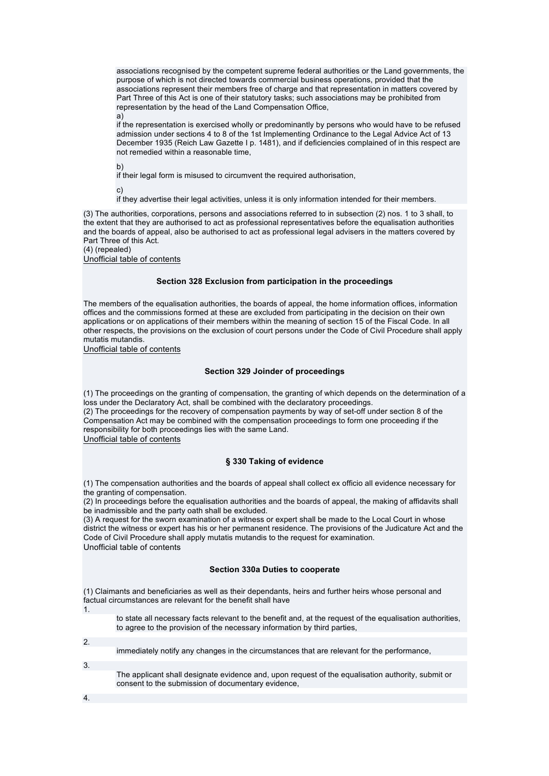associations recognised by the competent supreme federal authorities or the Land governments, the purpose of which is not directed towards commercial business operations, provided that the associations represent their members free of charge and that representation in matters covered by Part Three of this Act is one of their statutory tasks; such associations may be prohibited from representation by the head of the Land Compensation Office, a)

if the representation is exercised wholly or predominantly by persons who would have to be refused admission under sections 4 to 8 of the 1st Implementing Ordinance to the Legal Advice Act of 13 December 1935 (Reich Law Gazette I p. 1481), and if deficiencies complained of in this respect are not remedied within a reasonable time,

b)

if their legal form is misused to circumvent the required authorisation,

c)

if they advertise their legal activities, unless it is only information intended for their members.

(3) The authorities, corporations, persons and associations referred to in subsection (2) nos. 1 to 3 shall, to the extent that they are authorised to act as professional representatives before the equalisation authorities and the boards of appeal, also be authorised to act as professional legal advisers in the matters covered by Part Three of this Act.

(4) (repealed)

Unofficial table of contents

### **Section 328 Exclusion from participation in the proceedings**

The members of the equalisation authorities, the boards of appeal, the home information offices, information offices and the commissions formed at these are excluded from participating in the decision on their own applications or on applications of their members within the meaning of section 15 of the Fiscal Code. In all other respects, the provisions on the exclusion of court persons under the Code of Civil Procedure shall apply mutatis mutandis.

Unofficial table of contents

### **Section 329 Joinder of proceedings**

(1) The proceedings on the granting of compensation, the granting of which depends on the determination of a loss under the Declaratory Act, shall be combined with the declaratory proceedings.

(2) The proceedings for the recovery of compensation payments by way of set-off under section 8 of the Compensation Act may be combined with the compensation proceedings to form one proceeding if the responsibility for both proceedings lies with the same Land. Unofficial table of contents

## **§ 330 Taking of evidence**

(1) The compensation authorities and the boards of appeal shall collect ex officio all evidence necessary for the granting of compensation.

(2) In proceedings before the equalisation authorities and the boards of appeal, the making of affidavits shall be inadmissible and the party oath shall be excluded.

(3) A request for the sworn examination of a witness or expert shall be made to the Local Court in whose district the witness or expert has his or her permanent residence. The provisions of the Judicature Act and the Code of Civil Procedure shall apply mutatis mutandis to the request for examination. Unofficial table of contents

### **Section 330a Duties to cooperate**

(1) Claimants and beneficiaries as well as their dependants, heirs and further heirs whose personal and factual circumstances are relevant for the benefit shall have

1.

to state all necessary facts relevant to the benefit and, at the request of the equalisation authorities, to agree to the provision of the necessary information by third parties,

2.

immediately notify any changes in the circumstances that are relevant for the performance,

3.

The applicant shall designate evidence and, upon request of the equalisation authority, submit or consent to the submission of documentary evidence,

4.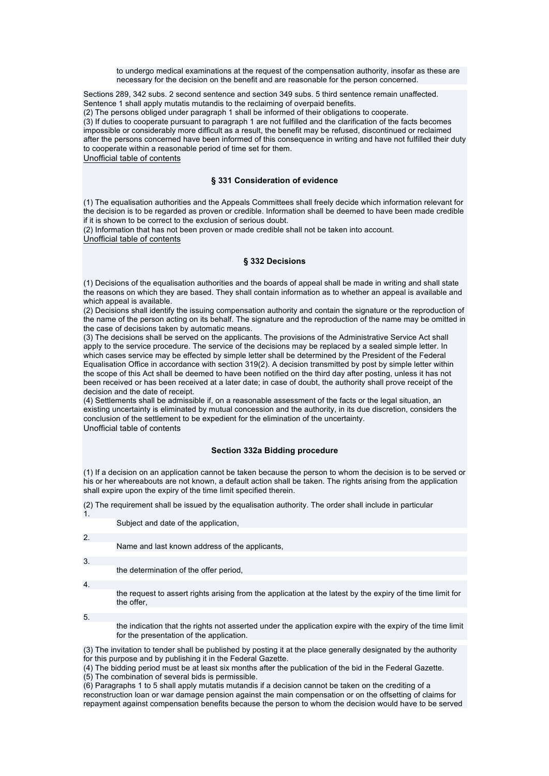to undergo medical examinations at the request of the compensation authority, insofar as these are necessary for the decision on the benefit and are reasonable for the person concerned.

Sections 289, 342 subs. 2 second sentence and section 349 subs. 5 third sentence remain unaffected. Sentence 1 shall apply mutatis mutandis to the reclaiming of overpaid benefits.

(2) The persons obliged under paragraph 1 shall be informed of their obligations to cooperate.

(3) If duties to cooperate pursuant to paragraph 1 are not fulfilled and the clarification of the facts becomes impossible or considerably more difficult as a result, the benefit may be refused, discontinued or reclaimed after the persons concerned have been informed of this consequence in writing and have not fulfilled their duty to cooperate within a reasonable period of time set for them.

Unofficial table of contents

### **§ 331 Consideration of evidence**

(1) The equalisation authorities and the Appeals Committees shall freely decide which information relevant for the decision is to be regarded as proven or credible. Information shall be deemed to have been made credible if it is shown to be correct to the exclusion of serious doubt.

(2) Information that has not been proven or made credible shall not be taken into account. Unofficial table of contents

## **§ 332 Decisions**

(1) Decisions of the equalisation authorities and the boards of appeal shall be made in writing and shall state the reasons on which they are based. They shall contain information as to whether an appeal is available and which appeal is available.

(2) Decisions shall identify the issuing compensation authority and contain the signature or the reproduction of the name of the person acting on its behalf. The signature and the reproduction of the name may be omitted in the case of decisions taken by automatic means.

(3) The decisions shall be served on the applicants. The provisions of the Administrative Service Act shall apply to the service procedure. The service of the decisions may be replaced by a sealed simple letter. In which cases service may be effected by simple letter shall be determined by the President of the Federal Equalisation Office in accordance with section 319(2). A decision transmitted by post by simple letter within the scope of this Act shall be deemed to have been notified on the third day after posting, unless it has not been received or has been received at a later date; in case of doubt, the authority shall prove receipt of the decision and the date of receipt.

(4) Settlements shall be admissible if, on a reasonable assessment of the facts or the legal situation, an existing uncertainty is eliminated by mutual concession and the authority, in its due discretion, considers the conclusion of the settlement to be expedient for the elimination of the uncertainty. Unofficial table of contents

## **Section 332a Bidding procedure**

(1) If a decision on an application cannot be taken because the person to whom the decision is to be served or his or her whereabouts are not known, a default action shall be taken. The rights arising from the application shall expire upon the expiry of the time limit specified therein.

(2) The requirement shall be issued by the equalisation authority. The order shall include in particular

| $\mathbf{1}$ .   |                                                                                                                           |
|------------------|---------------------------------------------------------------------------------------------------------------------------|
|                  | Subject and date of the application.                                                                                      |
|                  |                                                                                                                           |
| 2.               |                                                                                                                           |
|                  | Name and last known address of the applicants,                                                                            |
|                  |                                                                                                                           |
| 3.               |                                                                                                                           |
|                  | the determination of the offer period,                                                                                    |
|                  |                                                                                                                           |
| $\overline{4}$ . |                                                                                                                           |
|                  | the request to assert rights arising from the application at the latest by the expiry of the time limit for<br>the offer. |
|                  |                                                                                                                           |
| 5.               |                                                                                                                           |

the indication that the rights not asserted under the application expire with the expiry of the time limit for the presentation of the application.

(3) The invitation to tender shall be published by posting it at the place generally designated by the authority for this purpose and by publishing it in the Federal Gazette.

(4) The bidding period must be at least six months after the publication of the bid in the Federal Gazette.

(5) The combination of several bids is permissible.

(6) Paragraphs 1 to 5 shall apply mutatis mutandis if a decision cannot be taken on the crediting of a reconstruction loan or war damage pension against the main compensation or on the offsetting of claims for

repayment against compensation benefits because the person to whom the decision would have to be served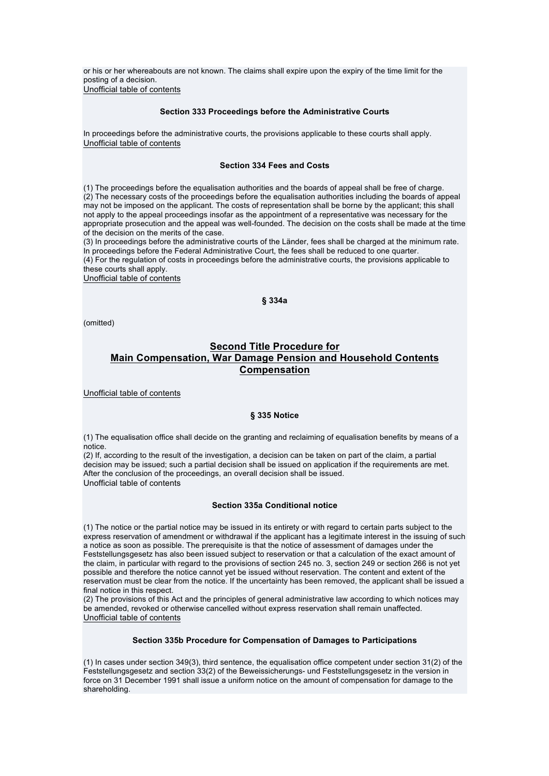or his or her whereabouts are not known. The claims shall expire upon the expiry of the time limit for the posting of a decision. Unofficial table of contents

## **Section 333 Proceedings before the Administrative Courts**

In proceedings before the administrative courts, the provisions applicable to these courts shall apply. Unofficial table of contents

## **Section 334 Fees and Costs**

(1) The proceedings before the equalisation authorities and the boards of appeal shall be free of charge. (2) The necessary costs of the proceedings before the equalisation authorities including the boards of appeal may not be imposed on the applicant. The costs of representation shall be borne by the applicant; this shall not apply to the appeal proceedings insofar as the appointment of a representative was necessary for the appropriate prosecution and the appeal was well-founded. The decision on the costs shall be made at the time of the decision on the merits of the case.

(3) In proceedings before the administrative courts of the Länder, fees shall be charged at the minimum rate. In proceedings before the Federal Administrative Court, the fees shall be reduced to one quarter. (4) For the regulation of costs in proceedings before the administrative courts, the provisions applicable to these courts shall apply.

Unofficial table of contents

## **§ 334a**

(omitted)

# **Second Title Procedure for Main Compensation, War Damage Pension and Household Contents Compensation**

Unofficial table of contents

### **§ 335 Notice**

(1) The equalisation office shall decide on the granting and reclaiming of equalisation benefits by means of a notice.

(2) If, according to the result of the investigation, a decision can be taken on part of the claim, a partial decision may be issued; such a partial decision shall be issued on application if the requirements are met. After the conclusion of the proceedings, an overall decision shall be issued. Unofficial table of contents

### **Section 335a Conditional notice**

(1) The notice or the partial notice may be issued in its entirety or with regard to certain parts subject to the express reservation of amendment or withdrawal if the applicant has a legitimate interest in the issuing of such a notice as soon as possible. The prerequisite is that the notice of assessment of damages under the Feststellungsgesetz has also been issued subject to reservation or that a calculation of the exact amount of the claim, in particular with regard to the provisions of section 245 no. 3, section 249 or section 266 is not yet possible and therefore the notice cannot yet be issued without reservation. The content and extent of the reservation must be clear from the notice. If the uncertainty has been removed, the applicant shall be issued a final notice in this respect.

(2) The provisions of this Act and the principles of general administrative law according to which notices may be amended, revoked or otherwise cancelled without express reservation shall remain unaffected. Unofficial table of contents

### **Section 335b Procedure for Compensation of Damages to Participations**

(1) In cases under section 349(3), third sentence, the equalisation office competent under section 31(2) of the Feststellungsgesetz and section 33(2) of the Beweissicherungs- und Feststellungsgesetz in the version in force on 31 December 1991 shall issue a uniform notice on the amount of compensation for damage to the shareholding.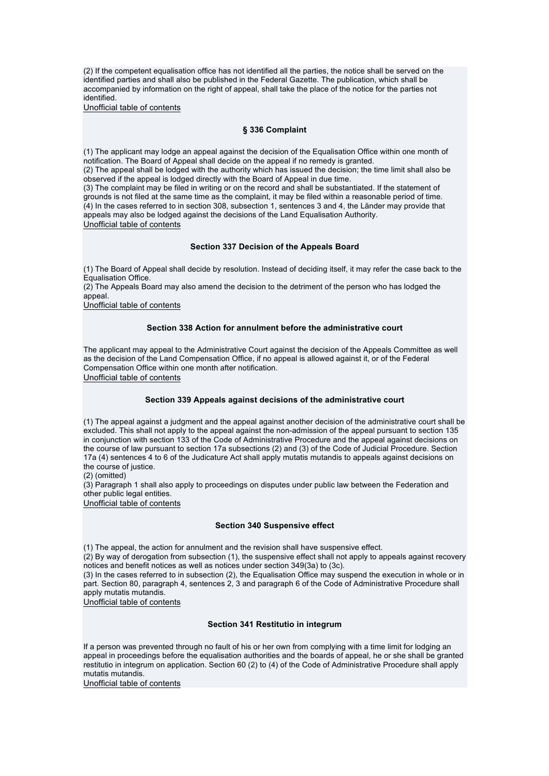(2) If the competent equalisation office has not identified all the parties, the notice shall be served on the identified parties and shall also be published in the Federal Gazette. The publication, which shall be accompanied by information on the right of appeal, shall take the place of the notice for the parties not identified.

Unofficial table of contents

## **§ 336 Complaint**

(1) The applicant may lodge an appeal against the decision of the Equalisation Office within one month of notification. The Board of Appeal shall decide on the appeal if no remedy is granted.

(2) The appeal shall be lodged with the authority which has issued the decision; the time limit shall also be observed if the appeal is lodged directly with the Board of Appeal in due time.

(3) The complaint may be filed in writing or on the record and shall be substantiated. If the statement of grounds is not filed at the same time as the complaint, it may be filed within a reasonable period of time. (4) In the cases referred to in section 308, subsection 1, sentences 3 and 4, the Länder may provide that appeals may also be lodged against the decisions of the Land Equalisation Authority. Unofficial table of contents

## **Section 337 Decision of the Appeals Board**

(1) The Board of Appeal shall decide by resolution. Instead of deciding itself, it may refer the case back to the Equalisation Office.

(2) The Appeals Board may also amend the decision to the detriment of the person who has lodged the appeal.

Unofficial table of contents

### **Section 338 Action for annulment before the administrative court**

The applicant may appeal to the Administrative Court against the decision of the Appeals Committee as well as the decision of the Land Compensation Office, if no appeal is allowed against it, or of the Federal Compensation Office within one month after notification. Unofficial table of contents

## **Section 339 Appeals against decisions of the administrative court**

(1) The appeal against a judgment and the appeal against another decision of the administrative court shall be excluded. This shall not apply to the appeal against the non-admission of the appeal pursuant to section 135 in conjunction with section 133 of the Code of Administrative Procedure and the appeal against decisions on the course of law pursuant to section 17a subsections (2) and (3) of the Code of Judicial Procedure. Section 17a (4) sentences 4 to 6 of the Judicature Act shall apply mutatis mutandis to appeals against decisions on the course of justice.

(2) (omitted)

(3) Paragraph 1 shall also apply to proceedings on disputes under public law between the Federation and other public legal entities.

Unofficial table of contents

### **Section 340 Suspensive effect**

(1) The appeal, the action for annulment and the revision shall have suspensive effect.

(2) By way of derogation from subsection (1), the suspensive effect shall not apply to appeals against recovery notices and benefit notices as well as notices under section 349(3a) to (3c).

(3) In the cases referred to in subsection (2), the Equalisation Office may suspend the execution in whole or in part. Section 80, paragraph 4, sentences 2, 3 and paragraph 6 of the Code of Administrative Procedure shall apply mutatis mutandis.

Unofficial table of contents

### **Section 341 Restitutio in integrum**

If a person was prevented through no fault of his or her own from complying with a time limit for lodging an appeal in proceedings before the equalisation authorities and the boards of appeal, he or she shall be granted restitutio in integrum on application. Section 60 (2) to (4) of the Code of Administrative Procedure shall apply mutatis mutandis.

Unofficial table of contents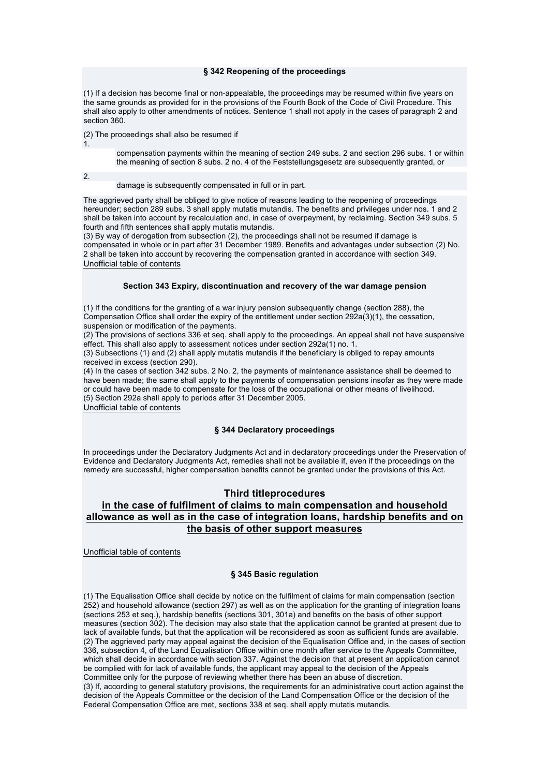### **§ 342 Reopening of the proceedings**

(1) If a decision has become final or non-appealable, the proceedings may be resumed within five years on the same grounds as provided for in the provisions of the Fourth Book of the Code of Civil Procedure. This shall also apply to other amendments of notices. Sentence 1 shall not apply in the cases of paragraph 2 and section 360.

(2) The proceedings shall also be resumed if

compensation payments within the meaning of section 249 subs. 2 and section 296 subs. 1 or within the meaning of section 8 subs. 2 no. 4 of the Feststellungsgesetz are subsequently granted, or

 $\overline{2}$ 

1.

damage is subsequently compensated in full or in part.

The aggrieved party shall be obliged to give notice of reasons leading to the reopening of proceedings hereunder; section 289 subs. 3 shall apply mutatis mutandis. The benefits and privileges under nos. 1 and 2 shall be taken into account by recalculation and, in case of overpayment, by reclaiming. Section 349 subs. 5 fourth and fifth sentences shall apply mutatis mutandis.

(3) By way of derogation from subsection (2), the proceedings shall not be resumed if damage is compensated in whole or in part after 31 December 1989. Benefits and advantages under subsection (2) No. 2 shall be taken into account by recovering the compensation granted in accordance with section 349. Unofficial table of contents

### **Section 343 Expiry, discontinuation and recovery of the war damage pension**

(1) If the conditions for the granting of a war injury pension subsequently change (section 288), the Compensation Office shall order the expiry of the entitlement under section 292a(3)(1), the cessation, suspension or modification of the payments.

(2) The provisions of sections 336 et seq. shall apply to the proceedings. An appeal shall not have suspensive effect. This shall also apply to assessment notices under section 292a(1) no. 1.

(3) Subsections (1) and (2) shall apply mutatis mutandis if the beneficiary is obliged to repay amounts received in excess (section 290).

(4) In the cases of section 342 subs. 2 No. 2, the payments of maintenance assistance shall be deemed to have been made; the same shall apply to the payments of compensation pensions insofar as they were made or could have been made to compensate for the loss of the occupational or other means of livelihood. (5) Section 292a shall apply to periods after 31 December 2005. Unofficial table of contents

## **§ 344 Declaratory proceedings**

In proceedings under the Declaratory Judgments Act and in declaratory proceedings under the Preservation of Evidence and Declaratory Judgments Act, remedies shall not be available if, even if the proceedings on the remedy are successful, higher compensation benefits cannot be granted under the provisions of this Act.

## **Third titleprocedures**

# **in the case of fulfilment of claims to main compensation and household allowance as well as in the case of integration loans, hardship benefits and on the basis of other support measures**

Unofficial table of contents

## **§ 345 Basic regulation**

(1) The Equalisation Office shall decide by notice on the fulfilment of claims for main compensation (section 252) and household allowance (section 297) as well as on the application for the granting of integration loans (sections 253 et seq.), hardship benefits (sections 301, 301a) and benefits on the basis of other support measures (section 302). The decision may also state that the application cannot be granted at present due to lack of available funds, but that the application will be reconsidered as soon as sufficient funds are available. (2) The aggrieved party may appeal against the decision of the Equalisation Office and, in the cases of section 336, subsection 4, of the Land Equalisation Office within one month after service to the Appeals Committee, which shall decide in accordance with section 337. Against the decision that at present an application cannot be complied with for lack of available funds, the applicant may appeal to the decision of the Appeals Committee only for the purpose of reviewing whether there has been an abuse of discretion. (3) If, according to general statutory provisions, the requirements for an administrative court action against the decision of the Appeals Committee or the decision of the Land Compensation Office or the decision of the Federal Compensation Office are met, sections 338 et seq. shall apply mutatis mutandis.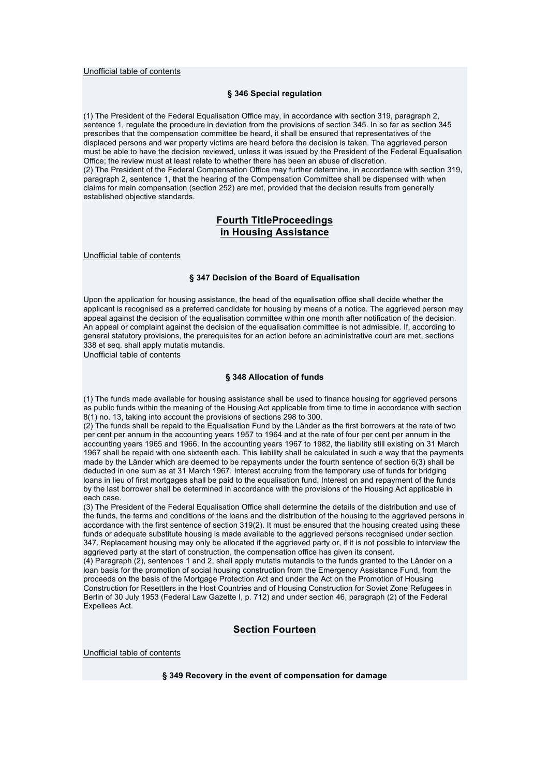### Unofficial table of contents

## **§ 346 Special regulation**

(1) The President of the Federal Equalisation Office may, in accordance with section 319, paragraph 2, sentence 1, regulate the procedure in deviation from the provisions of section 345. In so far as section 345 prescribes that the compensation committee be heard, it shall be ensured that representatives of the displaced persons and war property victims are heard before the decision is taken. The aggrieved person must be able to have the decision reviewed, unless it was issued by the President of the Federal Equalisation Office; the review must at least relate to whether there has been an abuse of discretion. (2) The President of the Federal Compensation Office may further determine, in accordance with section 319, paragraph 2, sentence 1, that the hearing of the Compensation Committee shall be dispensed with when claims for main compensation (section 252) are met, provided that the decision results from generally established objective standards.

## **Fourth TitleProceedings in Housing Assistance**

Unofficial table of contents

## **§ 347 Decision of the Board of Equalisation**

Upon the application for housing assistance, the head of the equalisation office shall decide whether the applicant is recognised as a preferred candidate for housing by means of a notice. The aggrieved person may appeal against the decision of the equalisation committee within one month after notification of the decision. An appeal or complaint against the decision of the equalisation committee is not admissible. If, according to general statutory provisions, the prerequisites for an action before an administrative court are met, sections 338 et seq. shall apply mutatis mutandis.

Unofficial table of contents

### **§ 348 Allocation of funds**

(1) The funds made available for housing assistance shall be used to finance housing for aggrieved persons as public funds within the meaning of the Housing Act applicable from time to time in accordance with section 8(1) no. 13, taking into account the provisions of sections 298 to 300.

(2) The funds shall be repaid to the Equalisation Fund by the Länder as the first borrowers at the rate of two per cent per annum in the accounting years 1957 to 1964 and at the rate of four per cent per annum in the accounting years 1965 and 1966. In the accounting years 1967 to 1982, the liability still existing on 31 March 1967 shall be repaid with one sixteenth each. This liability shall be calculated in such a way that the payments made by the Länder which are deemed to be repayments under the fourth sentence of section 6(3) shall be deducted in one sum as at 31 March 1967. Interest accruing from the temporary use of funds for bridging loans in lieu of first mortgages shall be paid to the equalisation fund. Interest on and repayment of the funds by the last borrower shall be determined in accordance with the provisions of the Housing Act applicable in each case.

(3) The President of the Federal Equalisation Office shall determine the details of the distribution and use of the funds, the terms and conditions of the loans and the distribution of the housing to the aggrieved persons in accordance with the first sentence of section 319(2). It must be ensured that the housing created using these funds or adequate substitute housing is made available to the aggrieved persons recognised under section 347. Replacement housing may only be allocated if the aggrieved party or, if it is not possible to interview the aggrieved party at the start of construction, the compensation office has given its consent.

(4) Paragraph (2), sentences 1 and 2, shall apply mutatis mutandis to the funds granted to the Länder on a loan basis for the promotion of social housing construction from the Emergency Assistance Fund, from the proceeds on the basis of the Mortgage Protection Act and under the Act on the Promotion of Housing Construction for Resettlers in the Host Countries and of Housing Construction for Soviet Zone Refugees in Berlin of 30 July 1953 (Federal Law Gazette I, p. 712) and under section 46, paragraph (2) of the Federal Expellees Act.

# **Section Fourteen**

Unofficial table of contents

**§ 349 Recovery in the event of compensation for damage**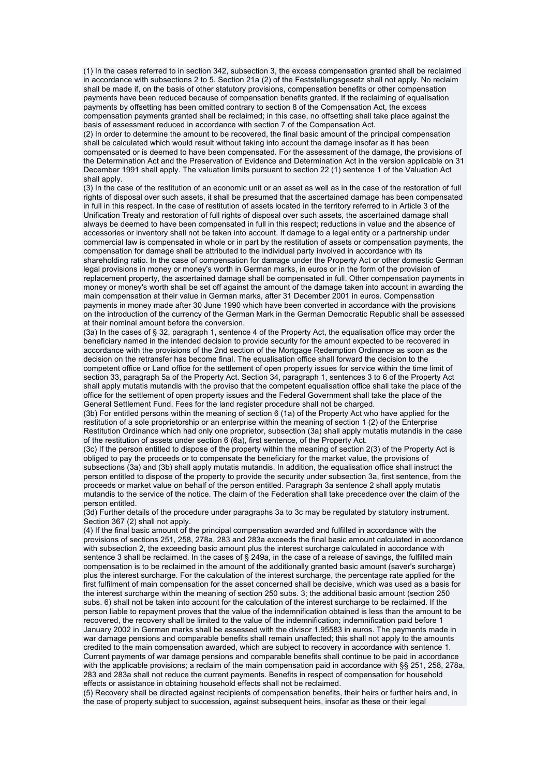(1) In the cases referred to in section 342, subsection 3, the excess compensation granted shall be reclaimed in accordance with subsections 2 to 5. Section 21a (2) of the Feststellungsgesetz shall not apply. No reclaim shall be made if, on the basis of other statutory provisions, compensation benefits or other compensation payments have been reduced because of compensation benefits granted. If the reclaiming of equalisation payments by offsetting has been omitted contrary to section 8 of the Compensation Act, the excess compensation payments granted shall be reclaimed; in this case, no offsetting shall take place against the basis of assessment reduced in accordance with section 7 of the Compensation Act.

(2) In order to determine the amount to be recovered, the final basic amount of the principal compensation shall be calculated which would result without taking into account the damage insofar as it has been compensated or is deemed to have been compensated. For the assessment of the damage, the provisions of the Determination Act and the Preservation of Evidence and Determination Act in the version applicable on 31 December 1991 shall apply. The valuation limits pursuant to section 22 (1) sentence 1 of the Valuation Act shall apply.

(3) In the case of the restitution of an economic unit or an asset as well as in the case of the restoration of full rights of disposal over such assets, it shall be presumed that the ascertained damage has been compensated in full in this respect. In the case of restitution of assets located in the territory referred to in Article 3 of the Unification Treaty and restoration of full rights of disposal over such assets, the ascertained damage shall always be deemed to have been compensated in full in this respect; reductions in value and the absence of accessories or inventory shall not be taken into account. If damage to a legal entity or a partnership under commercial law is compensated in whole or in part by the restitution of assets or compensation payments, the compensation for damage shall be attributed to the individual party involved in accordance with its shareholding ratio. In the case of compensation for damage under the Property Act or other domestic German legal provisions in money or money's worth in German marks, in euros or in the form of the provision of replacement property, the ascertained damage shall be compensated in full. Other compensation payments in money or money's worth shall be set off against the amount of the damage taken into account in awarding the main compensation at their value in German marks, after 31 December 2001 in euros. Compensation payments in money made after 30 June 1990 which have been converted in accordance with the provisions on the introduction of the currency of the German Mark in the German Democratic Republic shall be assessed at their nominal amount before the conversion.

(3a) In the cases of § 32, paragraph 1, sentence 4 of the Property Act, the equalisation office may order the beneficiary named in the intended decision to provide security for the amount expected to be recovered in accordance with the provisions of the 2nd section of the Mortgage Redemption Ordinance as soon as the decision on the retransfer has become final. The equalisation office shall forward the decision to the competent office or Land office for the settlement of open property issues for service within the time limit of section 33, paragraph 5a of the Property Act. Section 34, paragraph 1, sentences 3 to 6 of the Property Act shall apply mutatis mutandis with the proviso that the competent equalisation office shall take the place of the office for the settlement of open property issues and the Federal Government shall take the place of the General Settlement Fund. Fees for the land register procedure shall not be charged.

(3b) For entitled persons within the meaning of section 6 (1a) of the Property Act who have applied for the restitution of a sole proprietorship or an enterprise within the meaning of section 1 (2) of the Enterprise Restitution Ordinance which had only one proprietor, subsection (3a) shall apply mutatis mutandis in the case of the restitution of assets under section 6 (6a), first sentence, of the Property Act.

(3c) If the person entitled to dispose of the property within the meaning of section 2(3) of the Property Act is obliged to pay the proceeds or to compensate the beneficiary for the market value, the provisions of subsections (3a) and (3b) shall apply mutatis mutandis. In addition, the equalisation office shall instruct the person entitled to dispose of the property to provide the security under subsection 3a, first sentence, from the proceeds or market value on behalf of the person entitled. Paragraph 3a sentence 2 shall apply mutatis mutandis to the service of the notice. The claim of the Federation shall take precedence over the claim of the person entitled.

(3d) Further details of the procedure under paragraphs 3a to 3c may be regulated by statutory instrument. Section 367 (2) shall not apply.

(4) If the final basic amount of the principal compensation awarded and fulfilled in accordance with the provisions of sections 251, 258, 278a, 283 and 283a exceeds the final basic amount calculated in accordance with subsection 2, the exceeding basic amount plus the interest surcharge calculated in accordance with sentence 3 shall be reclaimed. In the cases of § 249a, in the case of a release of savings, the fulfilled main compensation is to be reclaimed in the amount of the additionally granted basic amount (saver's surcharge) plus the interest surcharge. For the calculation of the interest surcharge, the percentage rate applied for the first fulfilment of main compensation for the asset concerned shall be decisive, which was used as a basis for the interest surcharge within the meaning of section 250 subs. 3; the additional basic amount (section 250 subs. 6) shall not be taken into account for the calculation of the interest surcharge to be reclaimed. If the person liable to repayment proves that the value of the indemnification obtained is less than the amount to be recovered, the recovery shall be limited to the value of the indemnification; indemnification paid before 1 January 2002 in German marks shall be assessed with the divisor 1.95583 in euros. The payments made in war damage pensions and comparable benefits shall remain unaffected; this shall not apply to the amounts credited to the main compensation awarded, which are subject to recovery in accordance with sentence 1. Current payments of war damage pensions and comparable benefits shall continue to be paid in accordance with the applicable provisions; a reclaim of the main compensation paid in accordance with §§ 251, 258, 278a, 283 and 283a shall not reduce the current payments. Benefits in respect of compensation for household effects or assistance in obtaining household effects shall not be reclaimed.

(5) Recovery shall be directed against recipients of compensation benefits, their heirs or further heirs and, in the case of property subject to succession, against subsequent heirs, insofar as these or their legal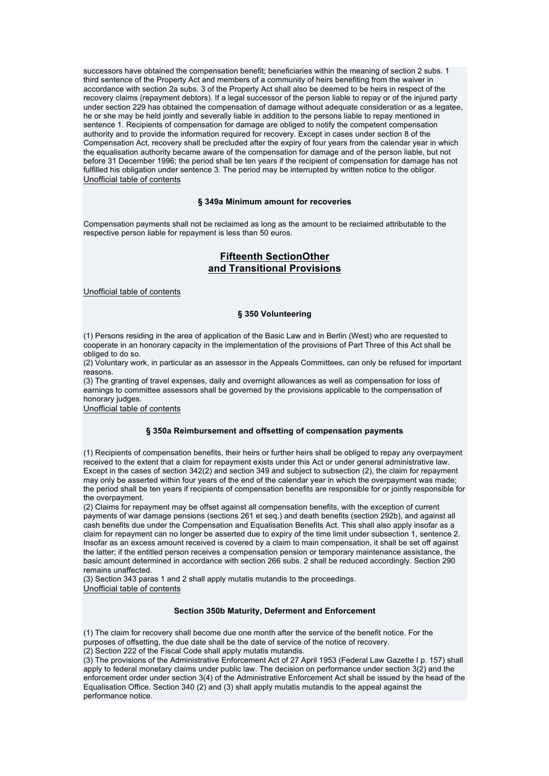successors have obtained the compensation benefit; beneficiaries within the meaning of section 2 subs. 1 third sentence of the Property Act and members of a community of heirs benefiting from the waiver in accordance with section 2a subs. 3 of the Property Act shall also be deemed to be heirs in respect of the recovery claims (repayment debtors). If a legal successor of the person liable to repay or of the injured party under section 229 has obtained the compensation of damage without adequate consideration or as a legatee, he or she may be held jointly and severally liable in addition to the persons liable to repay mentioned in sentence 1. Recipients of compensation for damage are obliged to notify the competent compensation authority and to provide the information required for recovery. Except in cases under section 8 of the Compensation Act, recovery shall be precluded after the expiry of four years from the calendar year in which the equalisation authority became aware of the compensation for damage and of the person liable, but not before 31 December 1996; the period shall be ten years if the recipient of compensation for damage has not fulfilled his obligation under sentence 3. The period may be interrupted by written notice to the obligor. Unofficial table of contents

### **§ 349a Minimum amount for recoveries**

Compensation payments shall not be reclaimed as long as the amount to be reclaimed attributable to the respective person liable for repayment is less than 50 euros.

# **Fifteenth SectionOther and Transitional Provisions**

Unofficial table of contents

### **§ 350 Volunteering**

(1) Persons residing in the area of application of the Basic Law and in Berlin (West) who are requested to cooperate in an honorary capacity in the implementation of the provisions of Part Three of this Act shall be obliged to do so.

(2) Voluntary work, in particular as an assessor in the Appeals Committees, can only be refused for important reasons.

(3) The granting of travel expenses, daily and overnight allowances as well as compensation for loss of earnings to committee assessors shall be governed by the provisions applicable to the compensation of honorary judges.

Unofficial table of contents

#### **§ 350a Reimbursement and offsetting of compensation payments**

(1) Recipients of compensation benefits, their heirs or further heirs shall be obliged to repay any overpayment received to the extent that a claim for repayment exists under this Act or under general administrative law. Except in the cases of section 342(2) and section 349 and subject to subsection (2), the claim for repayment may only be asserted within four years of the end of the calendar year in which the overpayment was made; the period shall be ten years if recipients of compensation benefits are responsible for or jointly responsible for the overpayment.

(2) Claims for repayment may be offset against all compensation benefits, with the exception of current payments of war damage pensions (sections 261 et seq.) and death benefits (section 292b), and against all cash benefits due under the Compensation and Equalisation Benefits Act. This shall also apply insofar as a claim for repayment can no longer be asserted due to expiry of the time limit under subsection 1, sentence 2. Insofar as an excess amount received is covered by a claim to main compensation, it shall be set off against the latter; if the entitled person receives a compensation pension or temporary maintenance assistance, the basic amount determined in accordance with section 266 subs. 2 shall be reduced accordingly. Section 290 remains unaffected.

(3) Section 343 paras 1 and 2 shall apply mutatis mutandis to the proceedings. Unofficial table of contents

## **Section 350b Maturity, Deferment and Enforcement**

(1) The claim for recovery shall become due one month after the service of the benefit notice. For the purposes of offsetting, the due date shall be the date of service of the notice of recovery.

(2) Section 222 of the Fiscal Code shall apply mutatis mutandis.

(3) The provisions of the Administrative Enforcement Act of 27 April 1953 (Federal Law Gazette I p. 157) shall apply to federal monetary claims under public law. The decision on performance under section 3(2) and the enforcement order under section 3(4) of the Administrative Enforcement Act shall be issued by the head of the Equalisation Office. Section 340 (2) and (3) shall apply mutatis mutandis to the appeal against the performance notice.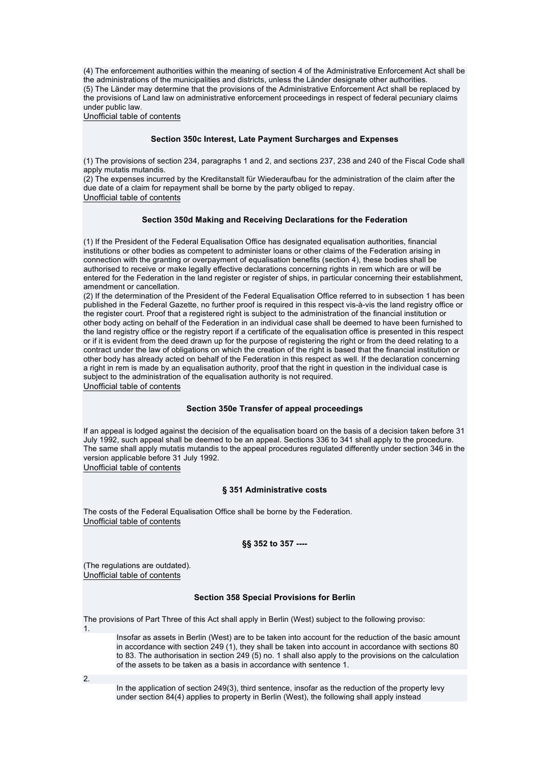(4) The enforcement authorities within the meaning of section 4 of the Administrative Enforcement Act shall be the administrations of the municipalities and districts, unless the Länder designate other authorities. (5) The Länder may determine that the provisions of the Administrative Enforcement Act shall be replaced by the provisions of Land law on administrative enforcement proceedings in respect of federal pecuniary claims under public law.

Unofficial table of contents

### **Section 350c Interest, Late Payment Surcharges and Expenses**

(1) The provisions of section 234, paragraphs 1 and 2, and sections 237, 238 and 240 of the Fiscal Code shall apply mutatis mutandis.

(2) The expenses incurred by the Kreditanstalt für Wiederaufbau for the administration of the claim after the due date of a claim for repayment shall be borne by the party obliged to repay. Unofficial table of contents

### **Section 350d Making and Receiving Declarations for the Federation**

(1) If the President of the Federal Equalisation Office has designated equalisation authorities, financial institutions or other bodies as competent to administer loans or other claims of the Federation arising in connection with the granting or overpayment of equalisation benefits (section 4), these bodies shall be authorised to receive or make legally effective declarations concerning rights in rem which are or will be entered for the Federation in the land register or register of ships, in particular concerning their establishment, amendment or cancellation.

(2) If the determination of the President of the Federal Equalisation Office referred to in subsection 1 has been published in the Federal Gazette, no further proof is required in this respect vis-à-vis the land registry office or the register court. Proof that a registered right is subject to the administration of the financial institution or other body acting on behalf of the Federation in an individual case shall be deemed to have been furnished to the land registry office or the registry report if a certificate of the equalisation office is presented in this respect or if it is evident from the deed drawn up for the purpose of registering the right or from the deed relating to a contract under the law of obligations on which the creation of the right is based that the financial institution or other body has already acted on behalf of the Federation in this respect as well. If the declaration concerning a right in rem is made by an equalisation authority, proof that the right in question in the individual case is subject to the administration of the equalisation authority is not required. Unofficial table of contents

## **Section 350e Transfer of appeal proceedings**

If an appeal is lodged against the decision of the equalisation board on the basis of a decision taken before 31 July 1992, such appeal shall be deemed to be an appeal. Sections 336 to 341 shall apply to the procedure. The same shall apply mutatis mutandis to the appeal procedures regulated differently under section 346 in the version applicable before 31 July 1992. Unofficial table of contents

## **§ 351 Administrative costs**

The costs of the Federal Equalisation Office shall be borne by the Federation. Unofficial table of contents

### **§§ 352 to 357 ----**

(The regulations are outdated). Unofficial table of contents

### **Section 358 Special Provisions for Berlin**

The provisions of Part Three of this Act shall apply in Berlin (West) subject to the following proviso: 1.

Insofar as assets in Berlin (West) are to be taken into account for the reduction of the basic amount in accordance with section 249 (1), they shall be taken into account in accordance with sections 80 to 83. The authorisation in section 249 (5) no. 1 shall also apply to the provisions on the calculation of the assets to be taken as a basis in accordance with sentence 1.

2.

In the application of section 249(3), third sentence, insofar as the reduction of the property levy under section 84(4) applies to property in Berlin (West), the following shall apply instead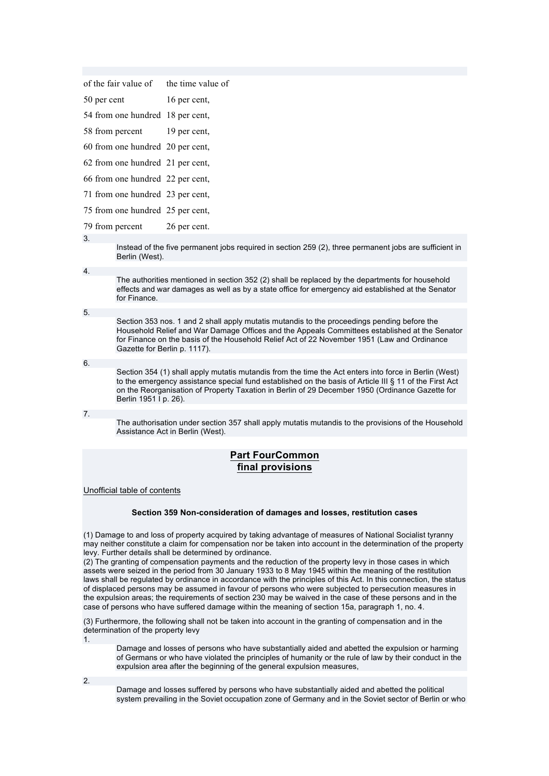|                  |                                  | of the fair value of the time value of                                                                                                                                                               |
|------------------|----------------------------------|------------------------------------------------------------------------------------------------------------------------------------------------------------------------------------------------------|
| 50 per cent      |                                  | 16 per cent,                                                                                                                                                                                         |
|                  |                                  | 54 from one hundred 18 per cent,                                                                                                                                                                     |
| 58 from percent  |                                  | 19 per cent,                                                                                                                                                                                         |
|                  |                                  | 60 from one hundred 20 per cent,                                                                                                                                                                     |
|                  |                                  | 62 from one hundred 21 per cent,                                                                                                                                                                     |
|                  |                                  | 66 from one hundred 22 per cent,                                                                                                                                                                     |
|                  |                                  | 71 from one hundred 23 per cent,                                                                                                                                                                     |
|                  | 75 from one hundred 25 per cent, |                                                                                                                                                                                                      |
| 79 from percent  |                                  | 26 per cent.                                                                                                                                                                                         |
| 3.               | Berlin (West).                   | Instead of the five permanent jobs required in section 259 (2), three permanent jobs are sufficient in                                                                                               |
| $\overline{4}$ . |                                  |                                                                                                                                                                                                      |
|                  | for Finance.                     | The authorities mentioned in section 352 (2) shall be replaced by the departments for household<br>effects and war damages as well as by a state office for emergency aid established at the Senator |
| 5.               |                                  |                                                                                                                                                                                                      |

Section 353 nos. 1 and 2 shall apply mutatis mutandis to the proceedings pending before the Household Relief and War Damage Offices and the Appeals Committees established at the Senator for Finance on the basis of the Household Relief Act of 22 November 1951 (Law and Ordinance Gazette for Berlin p. 1117).

6.

Section 354 (1) shall apply mutatis mutandis from the time the Act enters into force in Berlin (West) to the emergency assistance special fund established on the basis of Article III § 11 of the First Act on the Reorganisation of Property Taxation in Berlin of 29 December 1950 (Ordinance Gazette for Berlin 1951 I p. 26).

7.

The authorisation under section 357 shall apply mutatis mutandis to the provisions of the Household Assistance Act in Berlin (West).

# **Part FourCommon final provisions**

Unofficial table of contents

## **Section 359 Non-consideration of damages and losses, restitution cases**

(1) Damage to and loss of property acquired by taking advantage of measures of National Socialist tyranny may neither constitute a claim for compensation nor be taken into account in the determination of the property levy. Further details shall be determined by ordinance.

(2) The granting of compensation payments and the reduction of the property levy in those cases in which assets were seized in the period from 30 January 1933 to 8 May 1945 within the meaning of the restitution laws shall be regulated by ordinance in accordance with the principles of this Act. In this connection, the status of displaced persons may be assumed in favour of persons who were subjected to persecution measures in the expulsion areas; the requirements of section 230 may be waived in the case of these persons and in the case of persons who have suffered damage within the meaning of section 15a, paragraph 1, no. 4.

(3) Furthermore, the following shall not be taken into account in the granting of compensation and in the determination of the property levy 1.

Damage and losses of persons who have substantially aided and abetted the expulsion or harming of Germans or who have violated the principles of humanity or the rule of law by their conduct in the expulsion area after the beginning of the general expulsion measures,

2.

Damage and losses suffered by persons who have substantially aided and abetted the political system prevailing in the Soviet occupation zone of Germany and in the Soviet sector of Berlin or who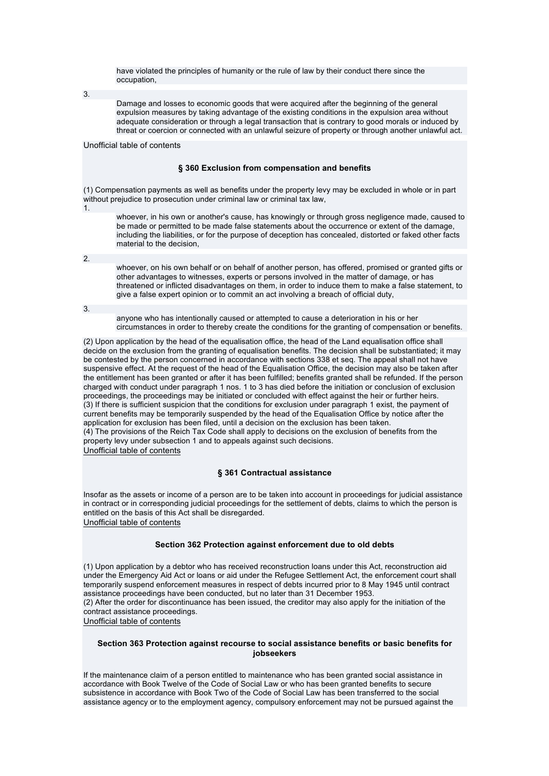have violated the principles of humanity or the rule of law by their conduct there since the occupation,

3.

Damage and losses to economic goods that were acquired after the beginning of the general expulsion measures by taking advantage of the existing conditions in the expulsion area without adequate consideration or through a legal transaction that is contrary to good morals or induced by threat or coercion or connected with an unlawful seizure of property or through another unlawful act.

### Unofficial table of contents

### **§ 360 Exclusion from compensation and benefits**

(1) Compensation payments as well as benefits under the property levy may be excluded in whole or in part without prejudice to prosecution under criminal law or criminal tax law,

1.

whoever, in his own or another's cause, has knowingly or through gross negligence made, caused to be made or permitted to be made false statements about the occurrence or extent of the damage, including the liabilities, or for the purpose of deception has concealed, distorted or faked other facts material to the decision,

2.

whoever, on his own behalf or on behalf of another person, has offered, promised or granted gifts or other advantages to witnesses, experts or persons involved in the matter of damage, or has threatened or inflicted disadvantages on them, in order to induce them to make a false statement, to give a false expert opinion or to commit an act involving a breach of official duty,

3.

anyone who has intentionally caused or attempted to cause a deterioration in his or her circumstances in order to thereby create the conditions for the granting of compensation or benefits.

(2) Upon application by the head of the equalisation office, the head of the Land equalisation office shall decide on the exclusion from the granting of equalisation benefits. The decision shall be substantiated; it may be contested by the person concerned in accordance with sections 338 et seq. The appeal shall not have suspensive effect. At the request of the head of the Equalisation Office, the decision may also be taken after the entitlement has been granted or after it has been fulfilled; benefits granted shall be refunded. If the person charged with conduct under paragraph 1 nos. 1 to 3 has died before the initiation or conclusion of exclusion proceedings, the proceedings may be initiated or concluded with effect against the heir or further heirs. (3) If there is sufficient suspicion that the conditions for exclusion under paragraph 1 exist, the payment of current benefits may be temporarily suspended by the head of the Equalisation Office by notice after the application for exclusion has been filed, until a decision on the exclusion has been taken. (4) The provisions of the Reich Tax Code shall apply to decisions on the exclusion of benefits from the property levy under subsection 1 and to appeals against such decisions. Unofficial table of contents

## **§ 361 Contractual assistance**

Insofar as the assets or income of a person are to be taken into account in proceedings for judicial assistance in contract or in corresponding judicial proceedings for the settlement of debts, claims to which the person is entitled on the basis of this Act shall be disregarded. Unofficial table of contents

## **Section 362 Protection against enforcement due to old debts**

(1) Upon application by a debtor who has received reconstruction loans under this Act, reconstruction aid under the Emergency Aid Act or loans or aid under the Refugee Settlement Act, the enforcement court shall temporarily suspend enforcement measures in respect of debts incurred prior to 8 May 1945 until contract assistance proceedings have been conducted, but no later than 31 December 1953. (2) After the order for discontinuance has been issued, the creditor may also apply for the initiation of the contract assistance proceedings. Unofficial table of contents

## **Section 363 Protection against recourse to social assistance benefits or basic benefits for jobseekers**

If the maintenance claim of a person entitled to maintenance who has been granted social assistance in accordance with Book Twelve of the Code of Social Law or who has been granted benefits to secure subsistence in accordance with Book Two of the Code of Social Law has been transferred to the social assistance agency or to the employment agency, compulsory enforcement may not be pursued against the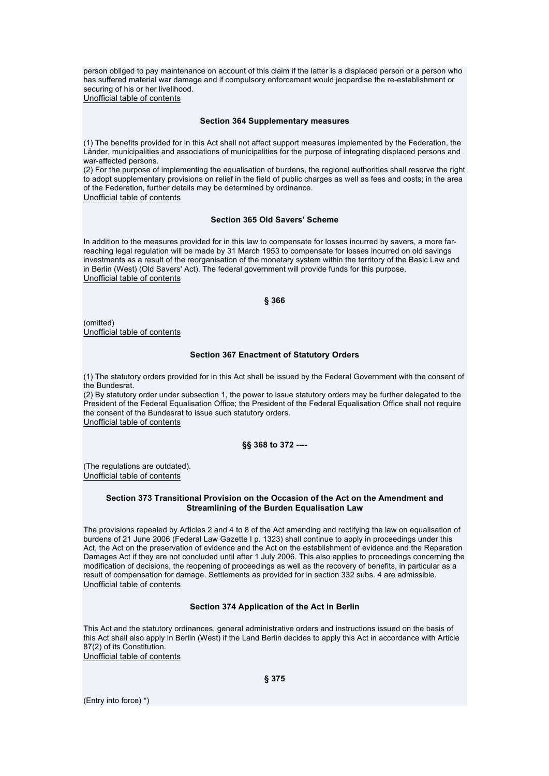person obliged to pay maintenance on account of this claim if the latter is a displaced person or a person who has suffered material war damage and if compulsory enforcement would jeopardise the re-establishment or securing of his or her livelihood.

Unofficial table of contents

#### **Section 364 Supplementary measures**

(1) The benefits provided for in this Act shall not affect support measures implemented by the Federation, the Länder, municipalities and associations of municipalities for the purpose of integrating displaced persons and war-affected persons.

(2) For the purpose of implementing the equalisation of burdens, the regional authorities shall reserve the right to adopt supplementary provisions on relief in the field of public charges as well as fees and costs; in the area of the Federation, further details may be determined by ordinance. Unofficial table of contents

### **Section 365 Old Savers' Scheme**

In addition to the measures provided for in this law to compensate for losses incurred by savers, a more farreaching legal regulation will be made by 31 March 1953 to compensate for losses incurred on old savings investments as a result of the reorganisation of the monetary system within the territory of the Basic Law and in Berlin (West) (Old Savers' Act). The federal government will provide funds for this purpose. Unofficial table of contents

```
§ 366
```
(omitted) Unofficial table of contents

### **Section 367 Enactment of Statutory Orders**

(1) The statutory orders provided for in this Act shall be issued by the Federal Government with the consent of the Bundesrat.

(2) By statutory order under subsection 1, the power to issue statutory orders may be further delegated to the President of the Federal Equalisation Office; the President of the Federal Equalisation Office shall not require the consent of the Bundesrat to issue such statutory orders. Unofficial table of contents

## **§§ 368 to 372 ----**

(The regulations are outdated). Unofficial table of contents

### **Section 373 Transitional Provision on the Occasion of the Act on the Amendment and Streamlining of the Burden Equalisation Law**

The provisions repealed by Articles 2 and 4 to 8 of the Act amending and rectifying the law on equalisation of burdens of 21 June 2006 (Federal Law Gazette I p. 1323) shall continue to apply in proceedings under this Act, the Act on the preservation of evidence and the Act on the establishment of evidence and the Reparation Damages Act if they are not concluded until after 1 July 2006. This also applies to proceedings concerning the modification of decisions, the reopening of proceedings as well as the recovery of benefits, in particular as a result of compensation for damage. Settlements as provided for in section 332 subs. 4 are admissible. Unofficial table of contents

### **Section 374 Application of the Act in Berlin**

This Act and the statutory ordinances, general administrative orders and instructions issued on the basis of this Act shall also apply in Berlin (West) if the Land Berlin decides to apply this Act in accordance with Article 87(2) of its Constitution. Unofficial table of contents